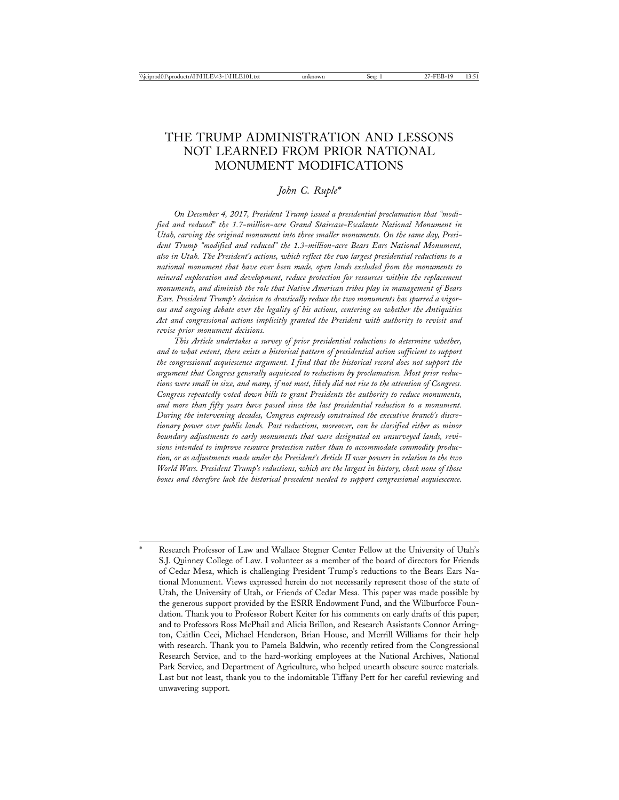# THE TRUMP ADMINISTRATION AND LESSONS NOT LEARNED FROM PRIOR NATIONAL MONUMENT MODIFICATIONS

## *John C. Ruple\**

*On December 4, 2017, President Trump issued a presidential proclamation that "modified and reduced" the 1.7-million-acre Grand Staircase-Escalante National Monument in Utah, carving the original monument into three smaller monuments. On the same day, President Trump "modified and reduced" the 1.3-million-acre Bears Ears National Monument, also in Utah. The President's actions, which reflect the two largest presidential reductions to a national monument that have ever been made, open lands excluded from the monuments to mineral exploration and development, reduce protection for resources within the replacement monuments, and diminish the role that Native American tribes play in management of Bears Ears. President Trump's decision to drastically reduce the two monuments has spurred a vigorous and ongoing debate over the legality of his actions, centering on whether the Antiquities Act and congressional actions implicitly granted the President with authority to revisit and revise prior monument decisions.*

*This Article undertakes a survey of prior presidential reductions to determine whether, and to what extent, there exists a historical pattern of presidential action sufficient to support the congressional acquiescence argument. I find that the historical record does not support the argument that Congress generally acquiesced to reductions by proclamation. Most prior reductions were small in size, and many, if not most, likely did not rise to the attention of Congress. Congress repeatedly voted down bills to grant Presidents the authority to reduce monuments, and more than fifty years have passed since the last presidential reduction to a monument. During the intervening decades, Congress expressly constrained the executive branch's discretionary power over public lands. Past reductions, moreover, can be classified either as minor boundary adjustments to early monuments that were designated on unsurveyed lands, revisions intended to improve resource protection rather than to accommodate commodity production, or as adjustments made under the President's Article II war powers in relation to the two World Wars. President Trump's reductions, which are the largest in history, check none of those boxes and therefore lack the historical precedent needed to support congressional acquiescence.*

Research Professor of Law and Wallace Stegner Center Fellow at the University of Utah's S.J. Quinney College of Law. I volunteer as a member of the board of directors for Friends of Cedar Mesa, which is challenging President Trump's reductions to the Bears Ears National Monument. Views expressed herein do not necessarily represent those of the state of Utah, the University of Utah, or Friends of Cedar Mesa. This paper was made possible by the generous support provided by the ESRR Endowment Fund, and the Wilburforce Foundation. Thank you to Professor Robert Keiter for his comments on early drafts of this paper; and to Professors Ross McPhail and Alicia Brillon, and Research Assistants Connor Arrington, Caitlin Ceci, Michael Henderson, Brian House, and Merrill Williams for their help with research. Thank you to Pamela Baldwin, who recently retired from the Congressional Research Service, and to the hard-working employees at the National Archives, National Park Service, and Department of Agriculture, who helped unearth obscure source materials. Last but not least, thank you to the indomitable Tiffany Pett for her careful reviewing and unwavering support.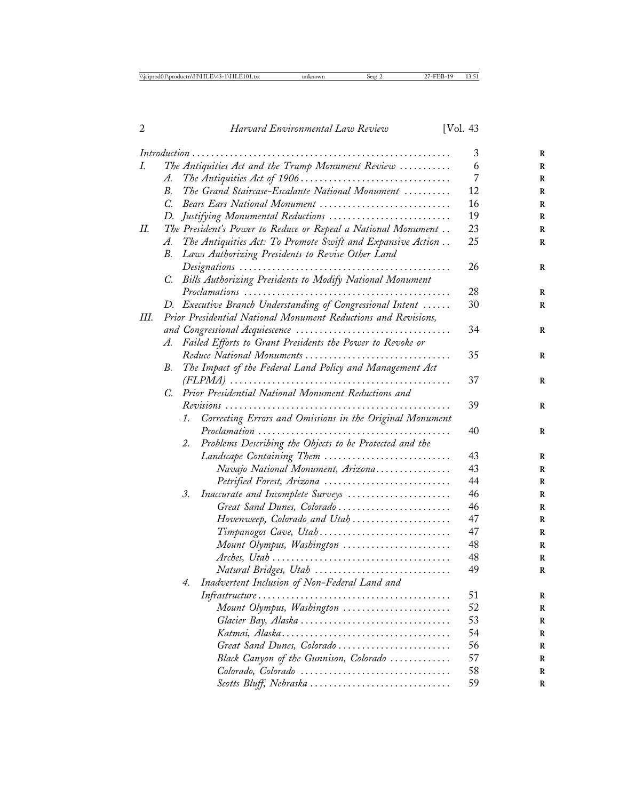|    |             |                                                                | 3  |
|----|-------------|----------------------------------------------------------------|----|
| I. |             | The Antiquities Act and the Trump Monument Review              | 6  |
|    | A.          |                                                                | 7  |
|    | В.          | The Grand Staircase-Escalante National Monument                | 12 |
|    | $C_{\cdot}$ | Bears Ears National Monument                                   | 16 |
|    | D.          | Justifying Monumental Reductions                               | 19 |
| П. |             | The President's Power to Reduce or Repeal a National Monument  | 23 |
|    | A.          | The Antiquities Act: To Promote Swift and Expansive Action     | 25 |
|    | В.          | Laws Authorizing Presidents to Revise Other Land               |    |
|    |             |                                                                | 26 |
|    | C.          | Bills Authorizing Presidents to Modify National Monument       |    |
|    |             |                                                                | 28 |
|    | D.          | Executive Branch Understanding of Congressional Intent         | 30 |
| Ш. |             | Prior Presidential National Monument Reductions and Revisions, |    |
|    |             |                                                                | 34 |
|    |             | A. Failed Efforts to Grant Presidents the Power to Revoke or   |    |
|    |             | Reduce National Monuments                                      | 35 |
|    | В.          | The Impact of the Federal Land Policy and Management Act       |    |
|    |             |                                                                | 37 |
|    | C.          | Prior Presidential National Monument Reductions and            |    |
|    |             |                                                                | 39 |
|    |             | Correcting Errors and Omissions in the Original Monument<br>1. |    |
|    |             |                                                                | 40 |
|    |             | Problems Describing the Objects to be Protected and the<br>2.  |    |
|    |             | Landscape Containing Them                                      | 43 |
|    |             | Navajo National Monument, Arizona                              | 43 |
|    |             | Petrified Forest, Arizona                                      | 44 |
|    |             | Inaccurate and Incomplete Surveys<br>3.                        | 46 |
|    |             | Great Sand Dunes, Colorado                                     | 46 |
|    |             | Hovenweep, Colorado and Utah                                   | 47 |
|    |             | Timpanogos Cave, Utah                                          | 47 |
|    |             | Mount Olympus, Washington                                      | 48 |
|    |             |                                                                | 48 |
|    |             | Natural Bridges, Utah                                          | 49 |
|    |             | Inadvertent Inclusion of Non-Federal Land and<br>4.            |    |
|    |             |                                                                | 51 |
|    |             | Mount Olympus, Washington                                      | 52 |
|    |             |                                                                | 53 |
|    |             |                                                                | 54 |
|    |             | Great Sand Dunes, Colorado                                     | 56 |
|    |             | Black Canyon of the Gunnison, Colorado                         | 57 |
|    |             | Colorado, Colorado                                             | 58 |
|    |             | Scotts Bluff, Nebraska                                         | 59 |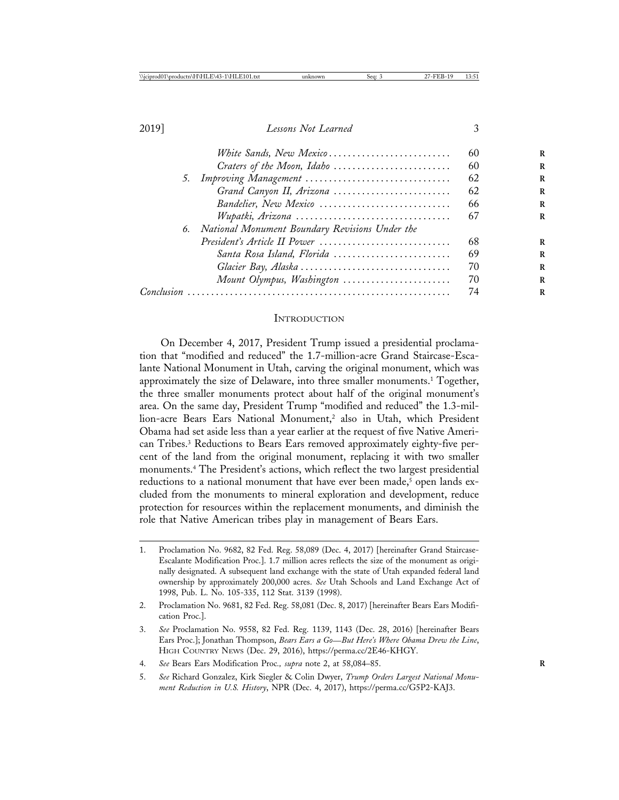|            | White Sands, New Mexico                        | 60 |
|------------|------------------------------------------------|----|
|            | Craters of the Moon, Idaho                     | 60 |
|            | 5. Improving Management                        | 62 |
|            | Grand Canyon II, Arizona                       | 62 |
|            | Bandelier, New Mexico                          | 66 |
|            | Wupatki, Arizona                               | 67 |
| 6.         | National Monument Boundary Revisions Under the |    |
|            | President's Article II Power                   | 68 |
|            | Santa Rosa Island, Florida                     | 69 |
|            |                                                | 70 |
|            | Mount Olympus, Washington                      | 70 |
| Conclusion |                                                | 74 |
|            |                                                |    |

#### **INTRODUCTION**

On December 4, 2017, President Trump issued a presidential proclamation that "modified and reduced" the 1.7-million-acre Grand Staircase-Escalante National Monument in Utah, carving the original monument, which was approximately the size of Delaware, into three smaller monuments.<sup>1</sup> Together, the three smaller monuments protect about half of the original monument's area. On the same day, President Trump "modified and reduced" the 1.3-million-acre Bears Ears National Monument,<sup>2</sup> also in Utah, which President Obama had set aside less than a year earlier at the request of five Native American Tribes.3 Reductions to Bears Ears removed approximately eighty-five percent of the land from the original monument, replacing it with two smaller monuments.4 The President's actions, which reflect the two largest presidential reductions to a national monument that have ever been made,<sup>5</sup> open lands excluded from the monuments to mineral exploration and development, reduce protection for resources within the replacement monuments, and diminish the role that Native American tribes play in management of Bears Ears.

<sup>1.</sup> Proclamation No. 9682, 82 Fed. Reg. 58,089 (Dec. 4, 2017) [hereinafter Grand Staircase-Escalante Modification Proc.]. 1.7 million acres reflects the size of the monument as originally designated. A subsequent land exchange with the state of Utah expanded federal land ownership by approximately 200,000 acres. *See* Utah Schools and Land Exchange Act of 1998, Pub. L. No. 105-335, 112 Stat. 3139 (1998).

<sup>2.</sup> Proclamation No. 9681, 82 Fed. Reg. 58,081 (Dec. 8, 2017) [hereinafter Bears Ears Modification Proc.].

<sup>3.</sup> *See* Proclamation No. 9558, 82 Fed. Reg. 1139, 1143 (Dec. 28, 2016) [hereinafter Bears Ears Proc.]; Jonathan Thompson, *Bears Ears a Go*—*But Here's Where Obama Drew the Line*, HIGH COUNTRY NEWS (Dec. 29, 2016), https://perma.cc/2E46-KHGY.

<sup>4.</sup> *See* Bears Ears Modification Proc*., supra* note 2, at 58,084–85. **R**

<sup>5.</sup> *See* Richard Gonzalez, Kirk Siegler & Colin Dwyer, *Trump Orders Largest National Monument Reduction in U.S. History*, NPR (Dec. 4, 2017), https://perma.cc/G5P2-KAJ3.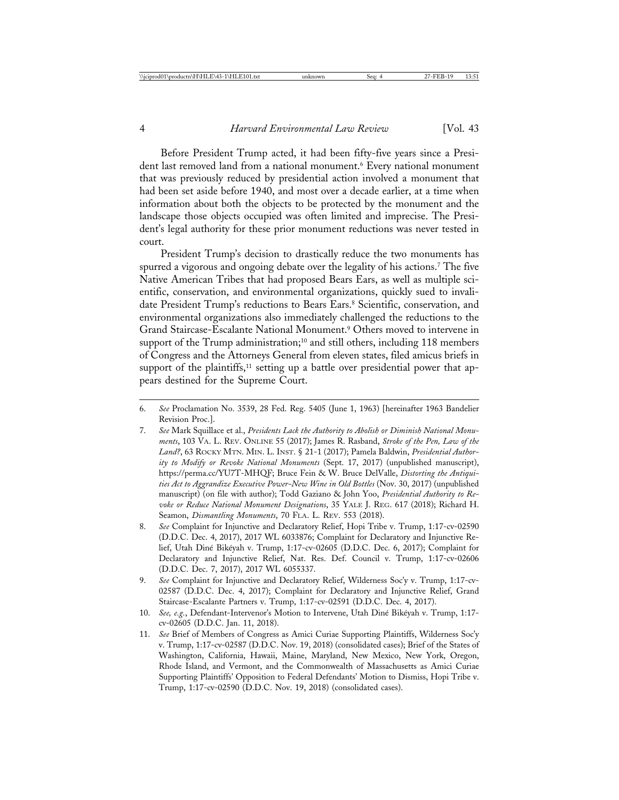Before President Trump acted, it had been fifty-five years since a President last removed land from a national monument.<sup>6</sup> Every national monument that was previously reduced by presidential action involved a monument that had been set aside before 1940, and most over a decade earlier, at a time when information about both the objects to be protected by the monument and the landscape those objects occupied was often limited and imprecise. The President's legal authority for these prior monument reductions was never tested in court.

President Trump's decision to drastically reduce the two monuments has spurred a vigorous and ongoing debate over the legality of his actions.<sup>7</sup> The five Native American Tribes that had proposed Bears Ears, as well as multiple scientific, conservation, and environmental organizations, quickly sued to invalidate President Trump's reductions to Bears Ears.<sup>8</sup> Scientific, conservation, and environmental organizations also immediately challenged the reductions to the Grand Staircase-Escalante National Monument.9 Others moved to intervene in support of the Trump administration;<sup>10</sup> and still others, including 118 members of Congress and the Attorneys General from eleven states, filed amicus briefs in support of the plaintiffs,<sup>11</sup> setting up a battle over presidential power that appears destined for the Supreme Court.

<sup>6.</sup> *See* Proclamation No. 3539, 28 Fed. Reg. 5405 (June 1, 1963) [hereinafter 1963 Bandelier Revision Proc.].

<sup>7.</sup> *See* Mark Squillace et al., *Presidents Lack the Authority to Abolish or Diminish National Monuments*, 103 VA. L. REV. ONLINE 55 (2017); James R. Rasband, *Stroke of the Pen, Law of the* Land?, 63 ROCKY MTN. MIN. L. INST. § 21-1 (2017); Pamela Baldwin, Presidential Author*ity to Modify or Revoke National Monuments* (Sept. 17, 2017) (unpublished manuscript), https://perma.cc/YU7T-MHQF; Bruce Fein & W. Bruce DelValle, *Distorting the Antiquities Act to Aggrandize Executive Power-New Wine in Old Bottles* (Nov. 30, 2017) (unpublished manuscript) (on file with author); Todd Gaziano & John Yoo, *Presidential Authority to Revoke or Reduce National Monument Designations*, 35 YALE J. REG. 617 (2018); Richard H. Seamon, *Dismantling Monuments*, 70 FLA. L. REV. 553 (2018).

<sup>8.</sup> *See* Complaint for Injunctive and Declaratory Relief, Hopi Tribe v. Trump, 1:17-cv-02590 (D.D.C. Dec. 4, 2017), 2017 WL 6033876; Complaint for Declaratory and Injunctive Relief, Utah Diné Bikéyah v. Trump, 1:17-cv-02605 (D.D.C. Dec. 6, 2017); Complaint for Declaratory and Injunctive Relief, Nat. Res. Def. Council v. Trump, 1:17-cv-02606 (D.D.C. Dec. 7, 2017), 2017 WL 6055337.

<sup>9.</sup> *See* Complaint for Injunctive and Declaratory Relief, Wilderness Soc'y v. Trump, 1:17-cv-02587 (D.D.C. Dec. 4, 2017); Complaint for Declaratory and Injunctive Relief, Grand Staircase-Escalante Partners v. Trump, 1:17-cv-02591 (D.D.C. Dec. 4, 2017).

<sup>10.</sup> *See, e.g.*, Defendant-Intervenor's Motion to Intervene, Utah Diné Bikéyah v. Trump, 1:17cv-02605 (D.D.C. Jan. 11, 2018).

<sup>11.</sup> *See* Brief of Members of Congress as Amici Curiae Supporting Plaintiffs, Wilderness Soc'y v. Trump, 1:17-cv-02587 (D.D.C. Nov. 19, 2018) (consolidated cases); Brief of the States of Washington, California, Hawaii, Maine, Maryland, New Mexico, New York, Oregon, Rhode Island, and Vermont, and the Commonwealth of Massachusetts as Amici Curiae Supporting Plaintiffs' Opposition to Federal Defendants' Motion to Dismiss, Hopi Tribe v. Trump, 1:17-cv-02590 (D.D.C. Nov. 19, 2018) (consolidated cases).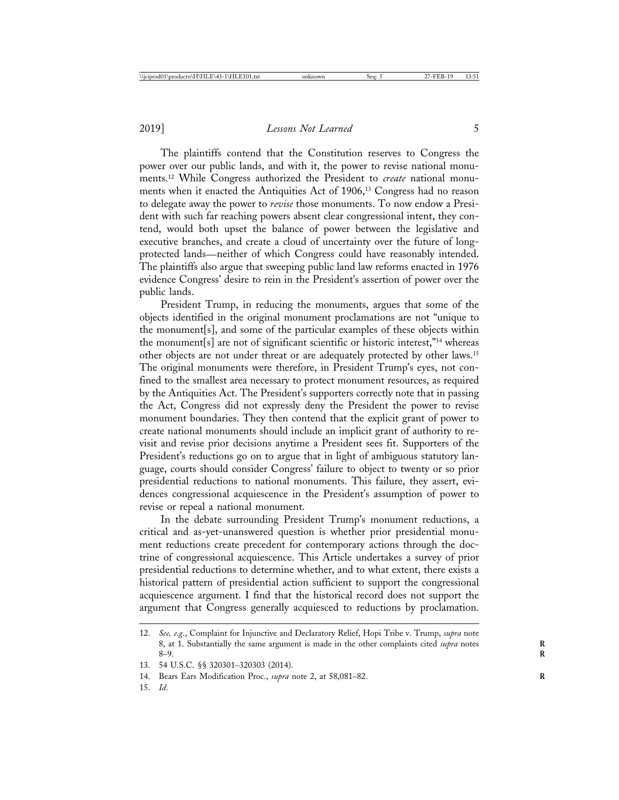The plaintiffs contend that the Constitution reserves to Congress the power over our public lands, and with it, the power to revise national monuments.12 While Congress authorized the President to *create* national monuments when it enacted the Antiquities Act of 1906,<sup>13</sup> Congress had no reason to delegate away the power to *revise* those monuments. To now endow a President with such far reaching powers absent clear congressional intent, they contend, would both upset the balance of power between the legislative and executive branches, and create a cloud of uncertainty over the future of longprotected lands—neither of which Congress could have reasonably intended. The plaintiffs also argue that sweeping public land law reforms enacted in 1976 evidence Congress' desire to rein in the President's assertion of power over the public lands.

President Trump, in reducing the monuments, argues that some of the objects identified in the original monument proclamations are not "unique to the monument[s], and some of the particular examples of these objects within the monument[s] are not of significant scientific or historic interest,"14 whereas other objects are not under threat or are adequately protected by other laws.15 The original monuments were therefore, in President Trump's eyes, not confined to the smallest area necessary to protect monument resources, as required by the Antiquities Act. The President's supporters correctly note that in passing the Act, Congress did not expressly deny the President the power to revise monument boundaries. They then contend that the explicit grant of power to create national monuments should include an implicit grant of authority to revisit and revise prior decisions anytime a President sees fit. Supporters of the President's reductions go on to argue that in light of ambiguous statutory language, courts should consider Congress' failure to object to twenty or so prior presidential reductions to national monuments. This failure, they assert, evidences congressional acquiescence in the President's assumption of power to revise or repeal a national monument.

In the debate surrounding President Trump's monument reductions, a critical and as-yet-unanswered question is whether prior presidential monument reductions create precedent for contemporary actions through the doctrine of congressional acquiescence. This Article undertakes a survey of prior presidential reductions to determine whether, and to what extent, there exists a historical pattern of presidential action sufficient to support the congressional acquiescence argument. I find that the historical record does not support the argument that Congress generally acquiesced to reductions by proclamation.

<sup>12.</sup> *See, e.g*., Complaint for Injunctive and Declaratory Relief, Hopi Tribe v. Trump, *supra* note 8, at 1. Substantially the same argument is made in the other complaints cited *supra* notes 8–9. **R**

<sup>13. 54</sup> U.S.C. §§ 320301–320303 (2014).

<sup>14.</sup> Bears Ears Modification Proc., *supra* note 2, at 58,081-82.

<sup>15.</sup> *Id*.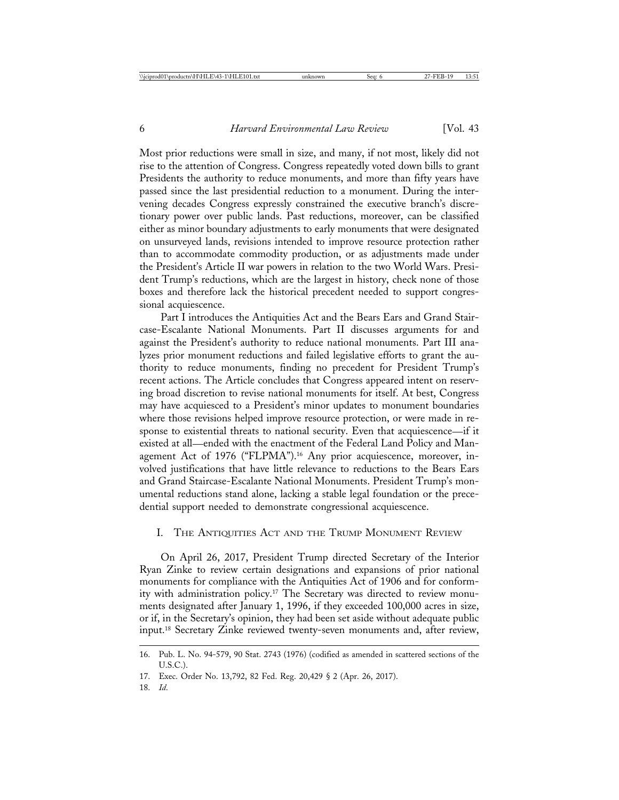Most prior reductions were small in size, and many, if not most, likely did not rise to the attention of Congress. Congress repeatedly voted down bills to grant Presidents the authority to reduce monuments, and more than fifty years have passed since the last presidential reduction to a monument. During the intervening decades Congress expressly constrained the executive branch's discretionary power over public lands. Past reductions, moreover, can be classified either as minor boundary adjustments to early monuments that were designated on unsurveyed lands, revisions intended to improve resource protection rather than to accommodate commodity production, or as adjustments made under the President's Article II war powers in relation to the two World Wars. President Trump's reductions, which are the largest in history, check none of those boxes and therefore lack the historical precedent needed to support congressional acquiescence.

Part I introduces the Antiquities Act and the Bears Ears and Grand Staircase-Escalante National Monuments. Part II discusses arguments for and against the President's authority to reduce national monuments. Part III analyzes prior monument reductions and failed legislative efforts to grant the authority to reduce monuments, finding no precedent for President Trump's recent actions. The Article concludes that Congress appeared intent on reserving broad discretion to revise national monuments for itself. At best, Congress may have acquiesced to a President's minor updates to monument boundaries where those revisions helped improve resource protection, or were made in response to existential threats to national security. Even that acquiescence—if it existed at all—ended with the enactment of the Federal Land Policy and Management Act of 1976 ("FLPMA").<sup>16</sup> Any prior acquiescence, moreover, involved justifications that have little relevance to reductions to the Bears Ears and Grand Staircase-Escalante National Monuments. President Trump's monumental reductions stand alone, lacking a stable legal foundation or the precedential support needed to demonstrate congressional acquiescence.

#### I. THE ANTIQUITIES ACT AND THE TRUMP MONUMENT REVIEW

On April 26, 2017, President Trump directed Secretary of the Interior Ryan Zinke to review certain designations and expansions of prior national monuments for compliance with the Antiquities Act of 1906 and for conformity with administration policy.17 The Secretary was directed to review monuments designated after January 1, 1996, if they exceeded 100,000 acres in size, or if, in the Secretary's opinion, they had been set aside without adequate public input.18 Secretary Zinke reviewed twenty-seven monuments and, after review,

<sup>16.</sup> Pub. L. No. 94-579, 90 Stat. 2743 (1976) (codified as amended in scattered sections of the U.S.C.).

<sup>17.</sup> Exec. Order No. 13,792, 82 Fed. Reg. 20,429 § 2 (Apr. 26, 2017).

<sup>18.</sup> *Id*.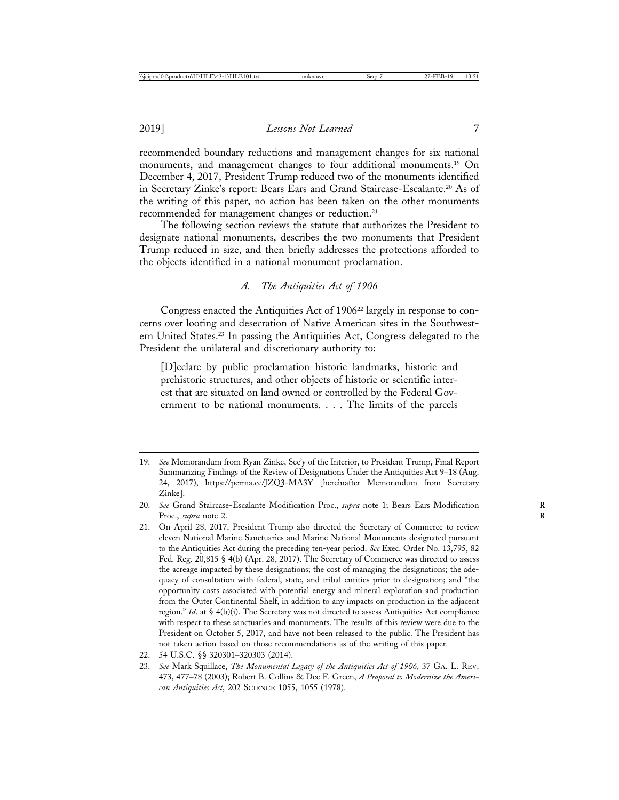recommended boundary reductions and management changes for six national monuments, and management changes to four additional monuments.<sup>19</sup> On December 4, 2017, President Trump reduced two of the monuments identified in Secretary Zinke's report: Bears Ears and Grand Staircase-Escalante.20 As of the writing of this paper, no action has been taken on the other monuments recommended for management changes or reduction.<sup>21</sup>

The following section reviews the statute that authorizes the President to designate national monuments, describes the two monuments that President Trump reduced in size, and then briefly addresses the protections afforded to the objects identified in a national monument proclamation.

## *A. The Antiquities Act of 1906*

Congress enacted the Antiquities Act of 1906<sup>22</sup> largely in response to concerns over looting and desecration of Native American sites in the Southwestern United States.23 In passing the Antiquities Act, Congress delegated to the President the unilateral and discretionary authority to:

[D]eclare by public proclamation historic landmarks, historic and prehistoric structures, and other objects of historic or scientific interest that are situated on land owned or controlled by the Federal Government to be national monuments. . . . The limits of the parcels

<sup>19.</sup> *See* Memorandum from Ryan Zinke, Sec'y of the Interior, to President Trump, Final Report Summarizing Findings of the Review of Designations Under the Antiquities Act 9–18 (Aug. 24, 2017), https://perma.cc/JZQ3-MA3Y [hereinafter Memorandum from Secretary Zinke].

<sup>20.</sup> *See* Grand Staircase-Escalante Modification Proc., *supra* note 1; Bears Ears Modification **R** Proc., *supra* note 2.

<sup>21.</sup> On April 28, 2017, President Trump also directed the Secretary of Commerce to review eleven National Marine Sanctuaries and Marine National Monuments designated pursuant to the Antiquities Act during the preceding ten-year period. *See* Exec. Order No. 13,795, 82 Fed. Reg. 20,815 § 4(b) (Apr. 28, 2017). The Secretary of Commerce was directed to assess the acreage impacted by these designations; the cost of managing the designations; the adequacy of consultation with federal, state, and tribal entities prior to designation; and "the opportunity costs associated with potential energy and mineral exploration and production from the Outer Continental Shelf, in addition to any impacts on production in the adjacent region." *Id*. at § 4(b)(i). The Secretary was not directed to assess Antiquities Act compliance with respect to these sanctuaries and monuments. The results of this review were due to the President on October 5, 2017, and have not been released to the public. The President has not taken action based on those recommendations as of the writing of this paper.

<sup>22. 54</sup> U.S.C. §§ 320301–320303 (2014).

<sup>23.</sup> *See* Mark Squillace, *The Monumental Legacy of the Antiquities Act of 1906*, 37 GA. L. REV. 473, 477–78 (2003); Robert B. Collins & Dee F. Green, *A Proposal to Modernize the American Antiquities Act*, 202 SCIENCE 1055, 1055 (1978).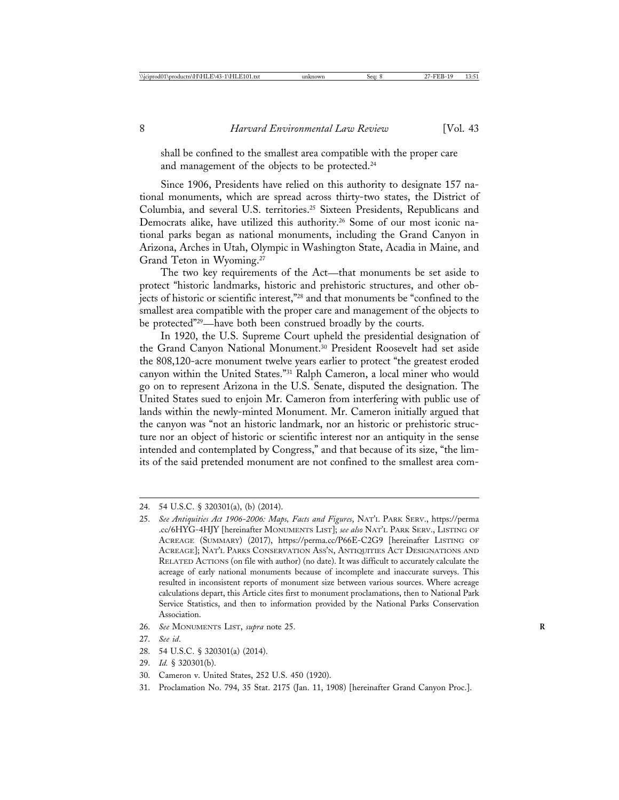shall be confined to the smallest area compatible with the proper care and management of the objects to be protected.24

Since 1906, Presidents have relied on this authority to designate 157 national monuments, which are spread across thirty-two states, the District of Columbia, and several U.S. territories.25 Sixteen Presidents, Republicans and Democrats alike, have utilized this authority.<sup>26</sup> Some of our most iconic national parks began as national monuments, including the Grand Canyon in Arizona, Arches in Utah, Olympic in Washington State, Acadia in Maine, and Grand Teton in Wyoming.27

The two key requirements of the Act—that monuments be set aside to protect "historic landmarks, historic and prehistoric structures, and other objects of historic or scientific interest,"28 and that monuments be "confined to the smallest area compatible with the proper care and management of the objects to be protected"29—have both been construed broadly by the courts.

In 1920, the U.S. Supreme Court upheld the presidential designation of the Grand Canyon National Monument.30 President Roosevelt had set aside the 808,120-acre monument twelve years earlier to protect "the greatest eroded canyon within the United States."31 Ralph Cameron, a local miner who would go on to represent Arizona in the U.S. Senate, disputed the designation. The United States sued to enjoin Mr. Cameron from interfering with public use of lands within the newly-minted Monument. Mr. Cameron initially argued that the canyon was "not an historic landmark, nor an historic or prehistoric structure nor an object of historic or scientific interest nor an antiquity in the sense intended and contemplated by Congress," and that because of its size, "the limits of the said pretended monument are not confined to the smallest area com-

26. *See* MONUMENTS LIST, *supra* note 25. **R**

- 28. 54 U.S.C. § 320301(a) (2014).
- 29. *Id.* § 320301(b).

<sup>24. 54</sup> U.S.C. § 320301(a), (b) (2014).

<sup>25.</sup> *See Antiquities Act 1906-2006: Maps, Facts and Figures*, NAT'L PARK SERV., https://perma .cc/6HYG-4HJY [hereinafter MONUMENTS LIST]; *see also* NAT'L PARK SERV., LISTING OF ACREAGE (SUMMARY) (2017), https://perma.cc/P66E-C2G9 [hereinafter LISTING OF ACREAGE]; NAT'L PARKS CONSERVATION ASS'N, ANTIQUITIES ACT DESIGNATIONS AND RELATED ACTIONS (on file with author) (no date). It was difficult to accurately calculate the acreage of early national monuments because of incomplete and inaccurate surveys. This resulted in inconsistent reports of monument size between various sources. Where acreage calculations depart, this Article cites first to monument proclamations, then to National Park Service Statistics, and then to information provided by the National Parks Conservation Association.

<sup>27.</sup> *See id*.

<sup>30.</sup> Cameron v. United States, 252 U.S. 450 (1920).

<sup>31.</sup> Proclamation No. 794, 35 Stat. 2175 (Jan. 11, 1908) [hereinafter Grand Canyon Proc.].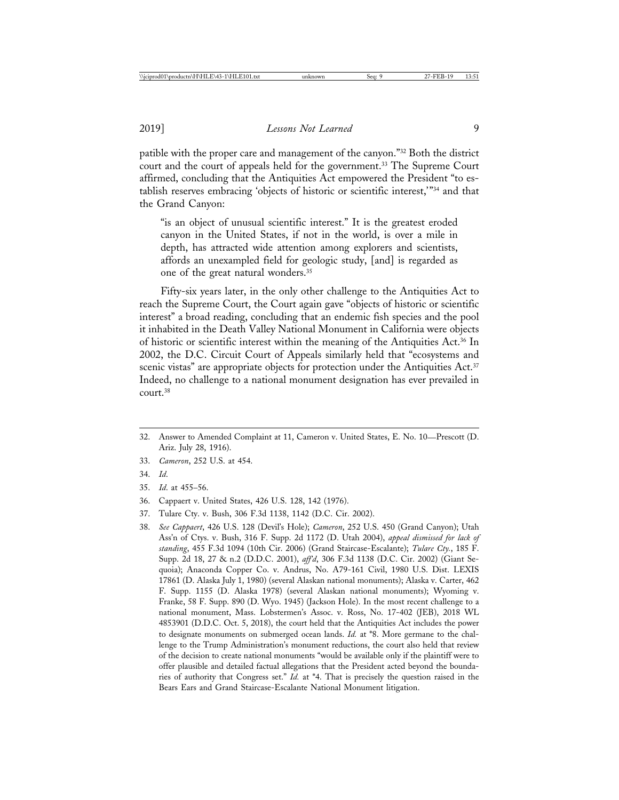patible with the proper care and management of the canyon."32 Both the district court and the court of appeals held for the government.33 The Supreme Court affirmed, concluding that the Antiquities Act empowered the President "to establish reserves embracing 'objects of historic or scientific interest,'"34 and that the Grand Canyon:

"is an object of unusual scientific interest." It is the greatest eroded canyon in the United States, if not in the world, is over a mile in depth, has attracted wide attention among explorers and scientists, affords an unexampled field for geologic study, [and] is regarded as one of the great natural wonders.35

Fifty-six years later, in the only other challenge to the Antiquities Act to reach the Supreme Court, the Court again gave "objects of historic or scientific interest" a broad reading, concluding that an endemic fish species and the pool it inhabited in the Death Valley National Monument in California were objects of historic or scientific interest within the meaning of the Antiquities Act.36 In 2002, the D.C. Circuit Court of Appeals similarly held that "ecosystems and scenic vistas" are appropriate objects for protection under the Antiquities Act.<sup>37</sup> Indeed, no challenge to a national monument designation has ever prevailed in court.38

- 32. Answer to Amended Complaint at 11, Cameron v. United States, E. No. 10—Prescott (D. Ariz. July 28, 1916).
- 33. *Cameron*, 252 U.S. at 454.
- 34. *Id*.
- 35. *Id*. at 455–56.
- 36. Cappaert v. United States, 426 U.S. 128, 142 (1976).
- 37. Tulare Cty. v. Bush, 306 F.3d 1138, 1142 (D.C. Cir. 2002).
- 38. *See Cappaert*, 426 U.S. 128 (Devil's Hole); *Cameron*, 252 U.S. 450 (Grand Canyon); Utah Ass'n of Ctys. v. Bush, 316 F. Supp. 2d 1172 (D. Utah 2004), *appeal dismissed for lack of standing*, 455 F.3d 1094 (10th Cir. 2006) (Grand Staircase-Escalante); *Tulare Cty.*, 185 F. Supp. 2d 18, 27 & n.2 (D.D.C. 2001), *aff'd*, 306 F.3d 1138 (D.C. Cir. 2002) (Giant Sequoia); Anaconda Copper Co. v. Andrus, No. A79-161 Civil, 1980 U.S. Dist. LEXIS 17861 (D. Alaska July 1, 1980) (several Alaskan national monuments); Alaska v. Carter, 462 F. Supp. 1155 (D. Alaska 1978) (several Alaskan national monuments); Wyoming v. Franke, 58 F. Supp. 890 (D. Wyo. 1945) (Jackson Hole). In the most recent challenge to a national monument, Mass. Lobstermen's Assoc. v. Ross, No. 17-402 (JEB), 2018 WL 4853901 (D.D.C. Oct. 5, 2018), the court held that the Antiquities Act includes the power to designate monuments on submerged ocean lands. *Id.* at \*8. More germane to the challenge to the Trump Administration's monument reductions, the court also held that review of the decision to create national monuments "would be available only if the plaintiff were to offer plausible and detailed factual allegations that the President acted beyond the boundaries of authority that Congress set." *Id.* at \*4. That is precisely the question raised in the Bears Ears and Grand Staircase-Escalante National Monument litigation.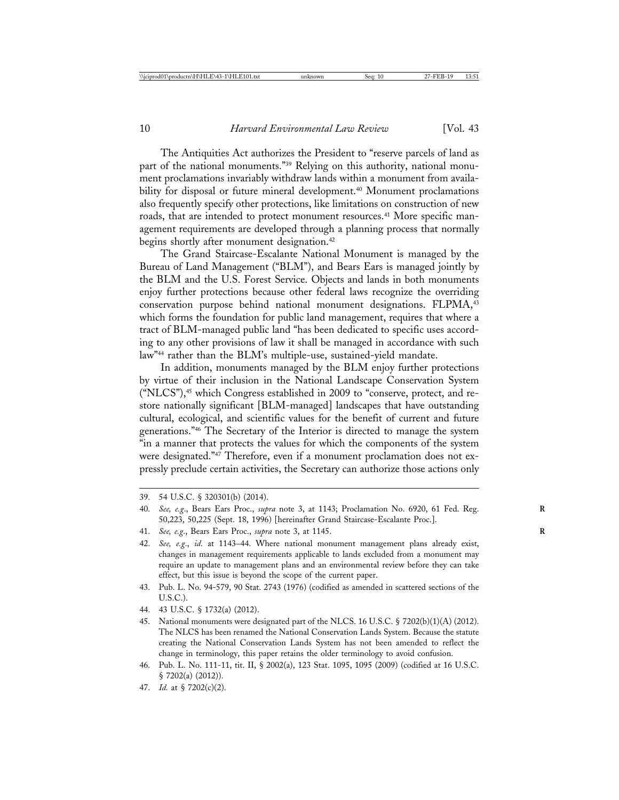The Antiquities Act authorizes the President to "reserve parcels of land as part of the national monuments."<sup>39</sup> Relying on this authority, national monument proclamations invariably withdraw lands within a monument from availability for disposal or future mineral development.<sup>40</sup> Monument proclamations also frequently specify other protections, like limitations on construction of new roads, that are intended to protect monument resources.<sup>41</sup> More specific management requirements are developed through a planning process that normally begins shortly after monument designation.<sup>42</sup>

The Grand Staircase-Escalante National Monument is managed by the Bureau of Land Management ("BLM"), and Bears Ears is managed jointly by the BLM and the U.S. Forest Service. Objects and lands in both monuments enjoy further protections because other federal laws recognize the overriding conservation purpose behind national monument designations. FLPMA,<sup>43</sup> which forms the foundation for public land management, requires that where a tract of BLM-managed public land "has been dedicated to specific uses according to any other provisions of law it shall be managed in accordance with such law"44 rather than the BLM's multiple-use, sustained-yield mandate.

In addition, monuments managed by the BLM enjoy further protections by virtue of their inclusion in the National Landscape Conservation System ("NLCS"),45 which Congress established in 2009 to "conserve, protect, and restore nationally significant [BLM-managed] landscapes that have outstanding cultural, ecological, and scientific values for the benefit of current and future generations."46 The Secretary of the Interior is directed to manage the system "in a manner that protects the values for which the components of the system were designated."47 Therefore, even if a monument proclamation does not expressly preclude certain activities, the Secretary can authorize those actions only

<sup>39. 54</sup> U.S.C. § 320301(b) (2014).

<sup>40.</sup> *See, e.g*., Bears Ears Proc., *supra* note 3, at 1143; Proclamation No. 6920, 61 Fed. Reg. **R** 50,223, 50,225 (Sept. 18, 1996) [hereinafter Grand Staircase-Escalante Proc.].

<sup>41.</sup> *See, e.g*., Bears Ears Proc., *supra* note 3, at 1145. **R**

<sup>42.</sup> *See, e.g*., *id*. at 1143–44. Where national monument management plans already exist, changes in management requirements applicable to lands excluded from a monument may require an update to management plans and an environmental review before they can take effect, but this issue is beyond the scope of the current paper.

<sup>43.</sup> Pub. L. No. 94-579, 90 Stat. 2743 (1976) (codified as amended in scattered sections of the U.S.C.).

<sup>44. 43</sup> U.S.C. § 1732(a) (2012).

<sup>45.</sup> National monuments were designated part of the NLCS. 16 U.S.C. § 7202(b)(1)(A) (2012). The NLCS has been renamed the National Conservation Lands System. Because the statute creating the National Conservation Lands System has not been amended to reflect the change in terminology, this paper retains the older terminology to avoid confusion.

<sup>46.</sup> Pub. L. No. 111-11, tit. II, § 2002(a), 123 Stat. 1095, 1095 (2009) (codified at 16 U.S.C. § 7202(a) (2012)).

<sup>47.</sup> *Id.* at § 7202(c)(2).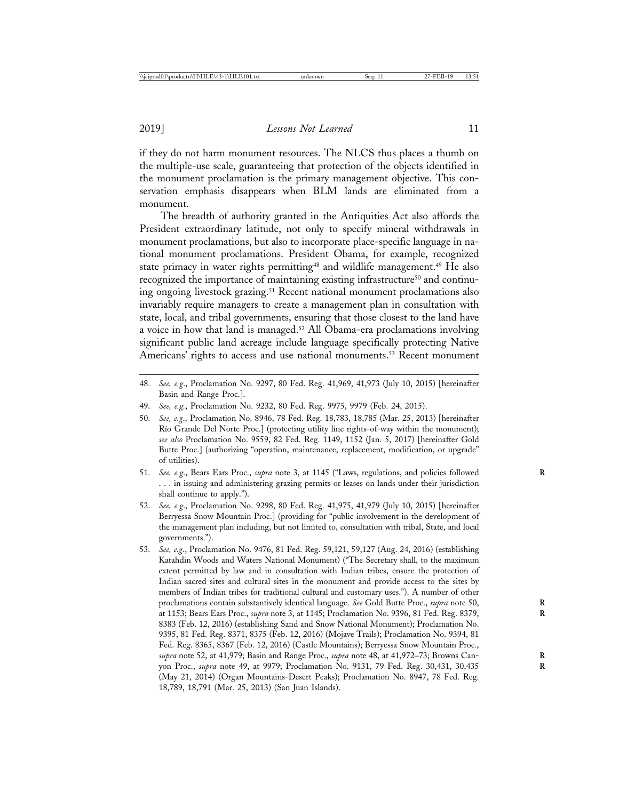if they do not harm monument resources. The NLCS thus places a thumb on the multiple-use scale, guaranteeing that protection of the objects identified in the monument proclamation is the primary management objective. This conservation emphasis disappears when BLM lands are eliminated from a monument.

The breadth of authority granted in the Antiquities Act also affords the President extraordinary latitude, not only to specify mineral withdrawals in monument proclamations, but also to incorporate place-specific language in national monument proclamations. President Obama, for example, recognized state primacy in water rights permitting<sup>48</sup> and wildlife management.<sup>49</sup> He also recognized the importance of maintaining existing infrastructure<sup>50</sup> and continuing ongoing livestock grazing.<sup>51</sup> Recent national monument proclamations also invariably require managers to create a management plan in consultation with state, local, and tribal governments, ensuring that those closest to the land have a voice in how that land is managed.<sup>52</sup> All Obama-era proclamations involving significant public land acreage include language specifically protecting Native Americans' rights to access and use national monuments.<sup>53</sup> Recent monument

- 48. *See, e.g*., Proclamation No. 9297, 80 Fed. Reg. 41,969, 41,973 (July 10, 2015) [hereinafter Basin and Range Proc.].
- 49. *See, e.g.*, Proclamation No. 9232, 80 Fed. Reg. 9975, 9979 (Feb. 24, 2015).
- 50. *See, e.g*., Proclamation No. 8946, 78 Fed. Reg. 18,783, 18,785 (Mar. 25, 2013) [hereinafter Río Grande Del Norte Proc.] (protecting utility line rights-of-way within the monument); *see also* Proclamation No. 9559, 82 Fed. Reg. 1149, 1152 (Jan. 5, 2017) [hereinafter Gold Butte Proc.] (authorizing "operation, maintenance, replacement, modification, or upgrade" of utilities).
- 51. *See, e.g*., Bears Ears Proc., *supra* note 3, at 1145 ("Laws, regulations, and policies followed **R** . . . in issuing and administering grazing permits or leases on lands under their jurisdiction shall continue to apply.").
- 52. *See, e.g*., Proclamation No. 9298, 80 Fed. Reg. 41,975, 41,979 (July 10, 2015) [hereinafter Berryessa Snow Mountain Proc.] (providing for "public involvement in the development of the management plan including, but not limited to, consultation with tribal, State, and local governments.").
- 53. *See, e.g*., Proclamation No. 9476, 81 Fed. Reg. 59,121, 59,127 (Aug. 24, 2016) (establishing Katahdin Woods and Waters National Monument) ("The Secretary shall, to the maximum extent permitted by law and in consultation with Indian tribes, ensure the protection of Indian sacred sites and cultural sites in the monument and provide access to the sites by members of Indian tribes for traditional cultural and customary uses."). A number of other proclamations contain substantively identical language. *See* Gold Butte Proc., *supra* note 50, **R** at 1153; Bears Ears Proc., *supra* note 3, at 1145; Proclamation No. 9396, 81 Fed. Reg. 8379, **R** 8383 (Feb. 12, 2016) (establishing Sand and Snow National Monument); Proclamation No. 9395, 81 Fed. Reg. 8371, 8375 (Feb. 12, 2016) (Mojave Trails); Proclamation No. 9394, 81 Fed. Reg. 8365, 8367 (Feb. 12, 2016) (Castle Mountains); Berryessa Snow Mountain Proc., *supra* note 52, at 41,979; Basin and Range Proc., *supra* note 48, at 41,972–73; Browns Can- **R** yon Proc., *supra* note 49, at 9979; Proclamation No. 9131, 79 Fed. Reg. 30,431, 30,435 **R** (May 21, 2014) (Organ Mountains-Desert Peaks); Proclamation No. 8947, 78 Fed. Reg. 18,789, 18,791 (Mar. 25, 2013) (San Juan Islands).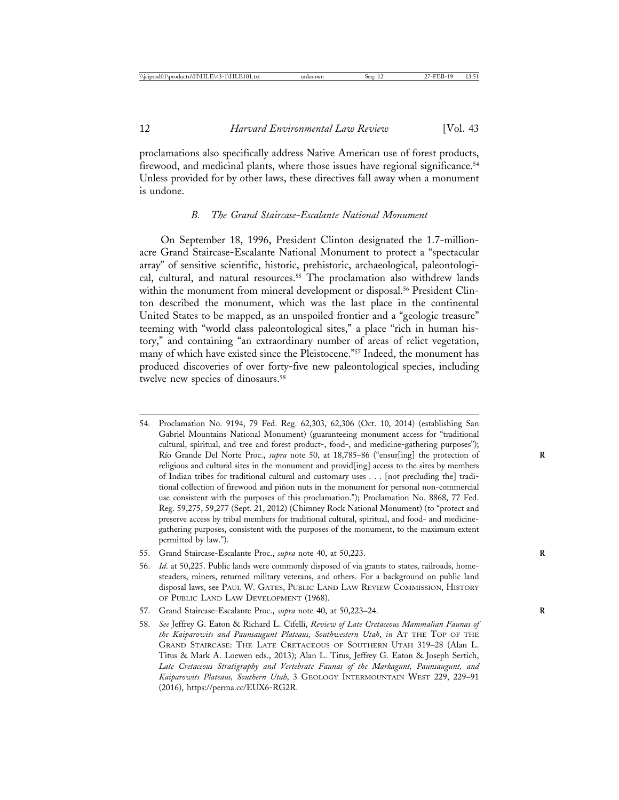proclamations also specifically address Native American use of forest products, firewood, and medicinal plants, where those issues have regional significance.<sup>54</sup> Unless provided for by other laws, these directives fall away when a monument is undone.

#### *B. The Grand Staircase-Escalante National Monument*

On September 18, 1996, President Clinton designated the 1.7-millionacre Grand Staircase-Escalante National Monument to protect a "spectacular array" of sensitive scientific, historic, prehistoric, archaeological, paleontological, cultural, and natural resources.<sup>55</sup> The proclamation also withdrew lands within the monument from mineral development or disposal.<sup>56</sup> President Clinton described the monument, which was the last place in the continental United States to be mapped, as an unspoiled frontier and a "geologic treasure" teeming with "world class paleontological sites," a place "rich in human history," and containing "an extraordinary number of areas of relict vegetation, many of which have existed since the Pleistocene."57 Indeed, the monument has produced discoveries of over forty-five new paleontological species, including twelve new species of dinosaurs.<sup>58</sup>

- 54. Proclamation No. 9194, 79 Fed. Reg. 62,303, 62,306 (Oct. 10, 2014) (establishing San Gabriel Mountains National Monument) (guaranteeing monument access for "traditional cultural, spiritual, and tree and forest product-, food-, and medicine-gathering purposes"); Río Grande Del Norte Proc., *supra* note 50, at 18,785-86 ("ensur[ing] the protection of religious and cultural sites in the monument and provid[ing] access to the sites by members of Indian tribes for traditional cultural and customary uses . . . [not precluding the] traditional collection of firewood and piñon nuts in the monument for personal non-commercial use consistent with the purposes of this proclamation."); Proclamation No. 8868, 77 Fed. Reg. 59,275, 59,277 (Sept. 21, 2012) (Chimney Rock National Monument) (to "protect and preserve access by tribal members for traditional cultural, spiritual, and food- and medicinegathering purposes, consistent with the purposes of the monument, to the maximum extent permitted by law.").
- 55. Grand Staircase-Escalante Proc., *supra* note 40, at 50,223. **R**
- 56. *Id*. at 50,225. Public lands were commonly disposed of via grants to states, railroads, homesteaders, miners, returned military veterans, and others. For a background on public land disposal laws, see PAUL W. GATES, PUBLIC LAND LAW REVIEW COMMISSION, HISTORY OF PUBLIC LAND LAW DEVELOPMENT (1968).
- 57. Grand Staircase-Escalante Proc., *supra* note 40, at 50,223–24. **R**
- 58. *See* Jeffrey G. Eaton & Richard L. Cifelli, *Review of Late Cretaceous Mammalian Faunas of the Kaiparowits and Paunsaugunt Plateaus, Southwestern Utah*, *in* AT THE TOP OF THE GRAND STAIRCASE: THE LATE CRETACEOUS OF SOUTHERN UTAH 319–28 (Alan L. Titus & Mark A. Loewen eds., 2013); Alan L. Titus, Jeffrey G. Eaton & Joseph Sertich, *Late Cretaceous Stratigraphy and Vertebrate Faunas of the Markagunt, Paunsaugunt, and Kaiparowits Plateaus, Southern Utah*, 3 GEOLOGY INTERMOUNTAIN WEST 229, 229–91 (2016), https://perma.cc/EUX6-RG2R.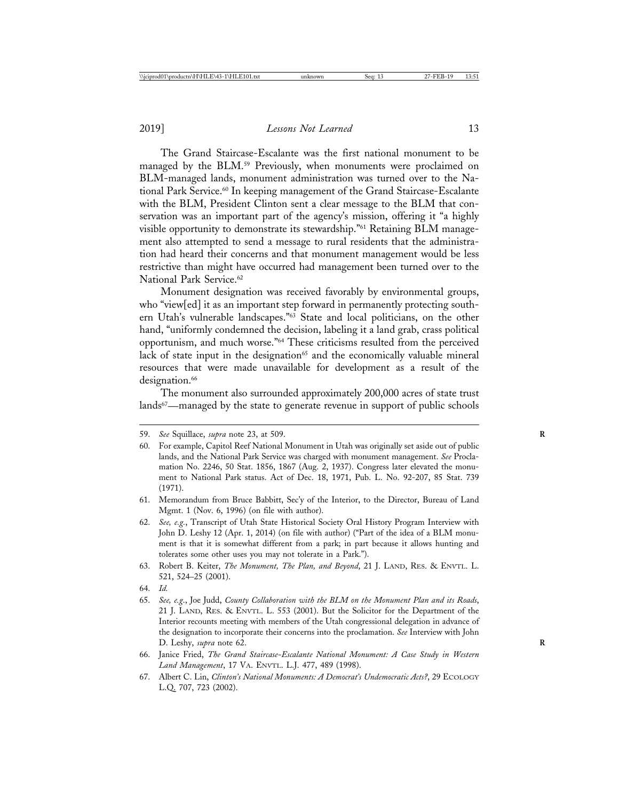The Grand Staircase-Escalante was the first national monument to be managed by the BLM.59 Previously, when monuments were proclaimed on BLM-managed lands, monument administration was turned over to the National Park Service.60 In keeping management of the Grand Staircase-Escalante with the BLM, President Clinton sent a clear message to the BLM that conservation was an important part of the agency's mission, offering it "a highly visible opportunity to demonstrate its stewardship."61 Retaining BLM management also attempted to send a message to rural residents that the administration had heard their concerns and that monument management would be less restrictive than might have occurred had management been turned over to the National Park Service.<sup>62</sup>

Monument designation was received favorably by environmental groups, who "view[ed] it as an important step forward in permanently protecting southern Utah's vulnerable landscapes."63 State and local politicians, on the other hand, "uniformly condemned the decision, labeling it a land grab, crass political opportunism, and much worse."64 These criticisms resulted from the perceived lack of state input in the designation<sup>65</sup> and the economically valuable mineral resources that were made unavailable for development as a result of the designation.<sup>66</sup>

The monument also surrounded approximately 200,000 acres of state trust lands<sup>67</sup>—managed by the state to generate revenue in support of public schools

<sup>59.</sup> *See* Squillace, *supra* note 23, at 509. **R**

<sup>60.</sup> For example, Capitol Reef National Monument in Utah was originally set aside out of public lands, and the National Park Service was charged with monument management. *See* Proclamation No. 2246, 50 Stat. 1856, 1867 (Aug. 2, 1937). Congress later elevated the monument to National Park status. Act of Dec. 18, 1971, Pub. L. No. 92-207, 85 Stat. 739 (1971).

<sup>61.</sup> Memorandum from Bruce Babbitt, Sec'y of the Interior, to the Director, Bureau of Land Mgmt. 1 (Nov. 6, 1996) (on file with author).

<sup>62.</sup> *See, e.g.*, Transcript of Utah State Historical Society Oral History Program Interview with John D. Leshy 12 (Apr. 1, 2014) (on file with author) ("Part of the idea of a BLM monument is that it is somewhat different from a park; in part because it allows hunting and tolerates some other uses you may not tolerate in a Park.").

<sup>63.</sup> Robert B. Keiter, *The Monument, The Plan, and Beyond*, 21 J. LAND, RES. & ENVTL. L. 521, 524–25 (2001).

<sup>64.</sup> *Id.*

<sup>65.</sup> *See, e.g*., Joe Judd, *County Collaboration with the BLM on the Monument Plan and its Roads*, 21 J. LAND, RES. & ENVTL. L. 553 (2001). But the Solicitor for the Department of the Interior recounts meeting with members of the Utah congressional delegation in advance of the designation to incorporate their concerns into the proclamation. *See* Interview with John D. Leshy, *supra* note 62.

<sup>66.</sup> Janice Fried, *The Grand Staircase-Escalante National Monument: A Case Study in Western Land Management*, 17 VA. ENVTL. L.J. 477, 489 (1998).

<sup>67.</sup> Albert C. Lin, *Clinton's National Monuments: A Democrat's Undemocratic Acts?*, 29 ECOLOGY L.Q. 707, 723 (2002).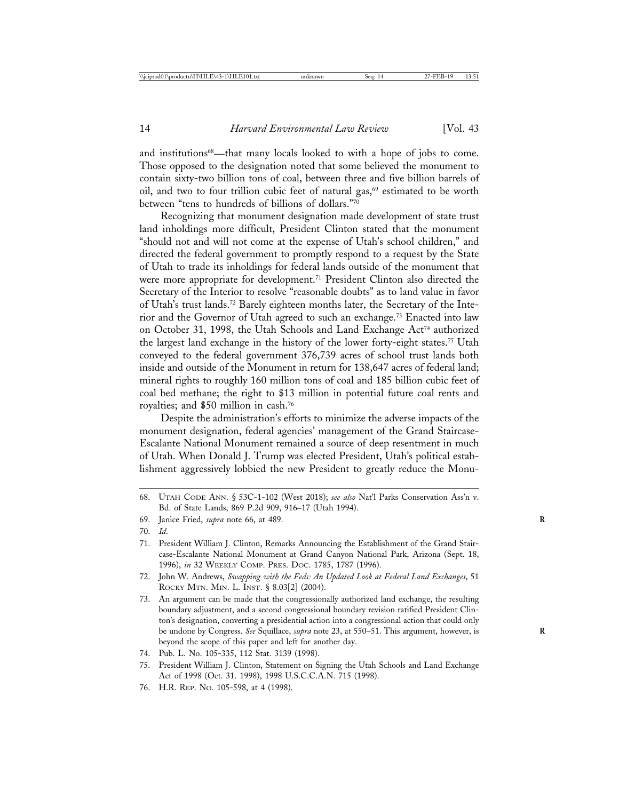and institutions<sup>68</sup>—that many locals looked to with a hope of jobs to come. Those opposed to the designation noted that some believed the monument to contain sixty-two billion tons of coal, between three and five billion barrels of oil, and two to four trillion cubic feet of natural gas,<sup>69</sup> estimated to be worth between "tens to hundreds of billions of dollars."70

Recognizing that monument designation made development of state trust land inholdings more difficult, President Clinton stated that the monument "should not and will not come at the expense of Utah's school children," and directed the federal government to promptly respond to a request by the State of Utah to trade its inholdings for federal lands outside of the monument that were more appropriate for development.71 President Clinton also directed the Secretary of the Interior to resolve "reasonable doubts" as to land value in favor of Utah's trust lands.72 Barely eighteen months later, the Secretary of the Interior and the Governor of Utah agreed to such an exchange.73 Enacted into law on October 31, 1998, the Utah Schools and Land Exchange Act74 authorized the largest land exchange in the history of the lower forty-eight states.75 Utah conveyed to the federal government 376,739 acres of school trust lands both inside and outside of the Monument in return for 138,647 acres of federal land; mineral rights to roughly 160 million tons of coal and 185 billion cubic feet of coal bed methane; the right to \$13 million in potential future coal rents and royalties; and \$50 million in cash.76

Despite the administration's efforts to minimize the adverse impacts of the monument designation, federal agencies' management of the Grand Staircase-Escalante National Monument remained a source of deep resentment in much of Utah. When Donald J. Trump was elected President, Utah's political establishment aggressively lobbied the new President to greatly reduce the Monu-

69. Janice Fried, *supra* note 66, at 489. **R**

- 72. John W. Andrews, *Swapping with the Feds: An Updated Look at Federal Land Exchanges*, 51 ROCKY MTN. MIN. L. INST. § 8.03[2] (2004).
- 73. An argument can be made that the congressionally authorized land exchange, the resulting boundary adjustment, and a second congressional boundary revision ratified President Clinton's designation, converting a presidential action into a congressional action that could only be undone by Congress. *See* Squillace, *supra* note 23, at 550–51. This argument, however, is **R** beyond the scope of this paper and left for another day.
- 74. Pub. L. No. 105-335, 112 Stat. 3139 (1998).
- 75. President William J. Clinton, Statement on Signing the Utah Schools and Land Exchange Act of 1998 (Oct. 31. 1998), 1998 U.S.C.C.A.N. 715 (1998).
- 76. H.R. REP. NO. 105-598, at 4 (1998).

<sup>68.</sup> UTAH CODE ANN. § 53C-1-102 (West 2018); *see also* Nat'l Parks Conservation Ass'n v. Bd. of State Lands, 869 P.2d 909, 916–17 (Utah 1994).

<sup>70.</sup> *Id*.

<sup>71.</sup> President William J. Clinton, Remarks Announcing the Establishment of the Grand Staircase-Escalante National Monument at Grand Canyon National Park, Arizona (Sept. 18, 1996), *in* 32 WEEKLY COMP. PRES. DOC. 1785, 1787 (1996).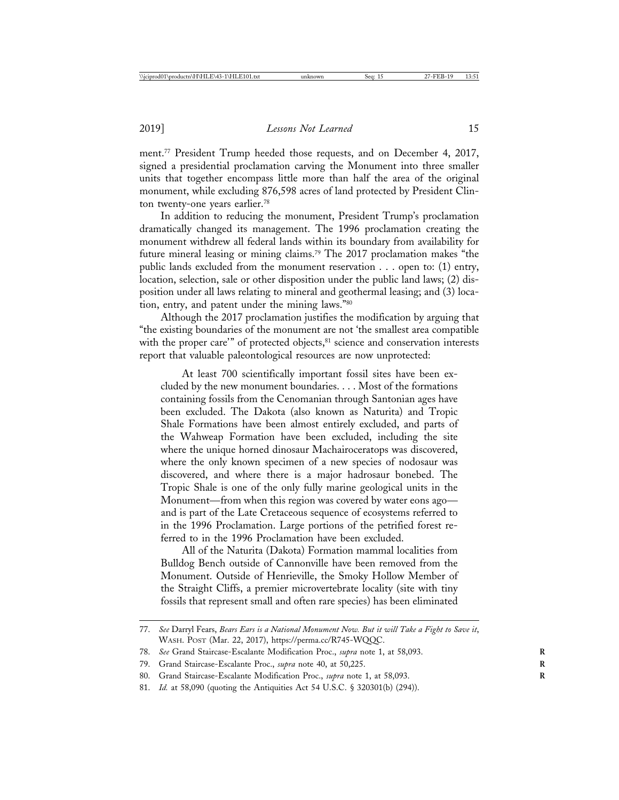ment.77 President Trump heeded those requests, and on December 4, 2017, signed a presidential proclamation carving the Monument into three smaller units that together encompass little more than half the area of the original monument, while excluding 876,598 acres of land protected by President Clinton twenty-one years earlier.78

In addition to reducing the monument, President Trump's proclamation dramatically changed its management. The 1996 proclamation creating the monument withdrew all federal lands within its boundary from availability for future mineral leasing or mining claims.79 The 2017 proclamation makes "the public lands excluded from the monument reservation . . . open to: (1) entry, location, selection, sale or other disposition under the public land laws; (2) disposition under all laws relating to mineral and geothermal leasing; and (3) location, entry, and patent under the mining laws."80

Although the 2017 proclamation justifies the modification by arguing that "the existing boundaries of the monument are not 'the smallest area compatible with the proper care'" of protected objects,<sup>81</sup> science and conservation interests report that valuable paleontological resources are now unprotected:

At least 700 scientifically important fossil sites have been excluded by the new monument boundaries. . . . Most of the formations containing fossils from the Cenomanian through Santonian ages have been excluded. The Dakota (also known as Naturita) and Tropic Shale Formations have been almost entirely excluded, and parts of the Wahweap Formation have been excluded, including the site where the unique horned dinosaur Machairoceratops was discovered, where the only known specimen of a new species of nodosaur was discovered, and where there is a major hadrosaur bonebed. The Tropic Shale is one of the only fully marine geological units in the Monument—from when this region was covered by water eons ago and is part of the Late Cretaceous sequence of ecosystems referred to in the 1996 Proclamation. Large portions of the petrified forest referred to in the 1996 Proclamation have been excluded.

All of the Naturita (Dakota) Formation mammal localities from Bulldog Bench outside of Cannonville have been removed from the Monument. Outside of Henrieville, the Smoky Hollow Member of the Straight Cliffs, a premier microvertebrate locality (site with tiny fossils that represent small and often rare species) has been eliminated

<sup>77.</sup> *See* Darryl Fears, *Bears Ears is a National Monument Now. But it will Take a Fight to Save it*, WASH. POST (Mar. 22, 2017), https://perma.cc/R745-WQQC.

<sup>78.</sup> *See* Grand Staircase-Escalante Modification Proc., *supra* note 1, at 58,093. **R**

<sup>79.</sup> Grand Staircase-Escalante Proc., *supra* note 40, at 50,225. **R**

<sup>80.</sup> Grand Staircase-Escalante Modification Proc., *supra* note 1, at 58,093. **R**

<sup>81.</sup> *Id.* at 58,090 (quoting the Antiquities Act 54 U.S.C. § 320301(b) (294)).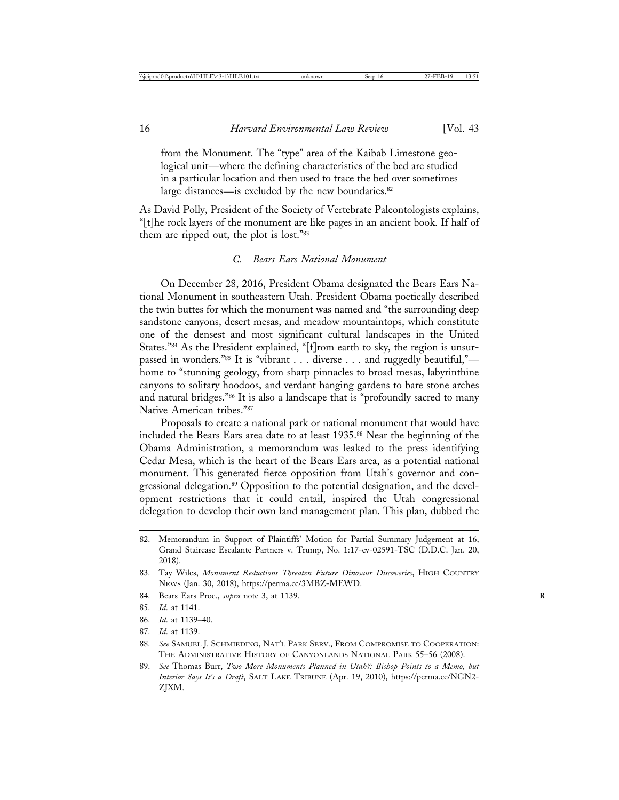from the Monument. The "type" area of the Kaibab Limestone geological unit—where the defining characteristics of the bed are studied in a particular location and then used to trace the bed over sometimes large distances—is excluded by the new boundaries.<sup>82</sup>

As David Polly, President of the Society of Vertebrate Paleontologists explains, "[t]he rock layers of the monument are like pages in an ancient book. If half of them are ripped out, the plot is lost."83

### *C. Bears Ears National Monument*

On December 28, 2016, President Obama designated the Bears Ears National Monument in southeastern Utah. President Obama poetically described the twin buttes for which the monument was named and "the surrounding deep sandstone canyons, desert mesas, and meadow mountaintops, which constitute one of the densest and most significant cultural landscapes in the United States."84 As the President explained, "[f]rom earth to sky, the region is unsurpassed in wonders."85 It is "vibrant . . . diverse . . . and ruggedly beautiful," home to "stunning geology, from sharp pinnacles to broad mesas, labyrinthine canyons to solitary hoodoos, and verdant hanging gardens to bare stone arches and natural bridges."86 It is also a landscape that is "profoundly sacred to many Native American tribes."87

Proposals to create a national park or national monument that would have included the Bears Ears area date to at least 1935.88 Near the beginning of the Obama Administration, a memorandum was leaked to the press identifying Cedar Mesa, which is the heart of the Bears Ears area, as a potential national monument. This generated fierce opposition from Utah's governor and congressional delegation.<sup>89</sup> Opposition to the potential designation, and the development restrictions that it could entail, inspired the Utah congressional delegation to develop their own land management plan. This plan, dubbed the

- 84. Bears Ears Proc., *supra* note 3, at 1139. **R**
- 85. *Id*. at 1141.
- 86. *Id*. at 1139–40.
- 87. *Id*. at 1139.

<sup>82.</sup> Memorandum in Support of Plaintiffs' Motion for Partial Summary Judgement at 16, Grand Staircase Escalante Partners v. Trump, No. 1:17-cv-02591-TSC (D.D.C. Jan. 20, 2018).

<sup>83.</sup> Tay Wiles, *Monument Reductions Threaten Future Dinosaur Discoveries*, HIGH COUNTRY NEWS (Jan. 30, 2018), https://perma.cc/3MBZ-MEWD.

<sup>88.</sup> *See* SAMUEL J. SCHMIEDING, NAT'L PARK SERV., FROM COMPROMISE TO COOPERATION: THE ADMINISTRATIVE HISTORY OF CANYONLANDS NATIONAL PARK 55–56 (2008).

<sup>89.</sup> *See* Thomas Burr, *Two More Monuments Planned in Utah?: Bishop Points to a Memo, but Interior Says It's a Draft*, SALT LAKE TRIBUNE (Apr. 19, 2010), https://perma.cc/NGN2- ZJXM.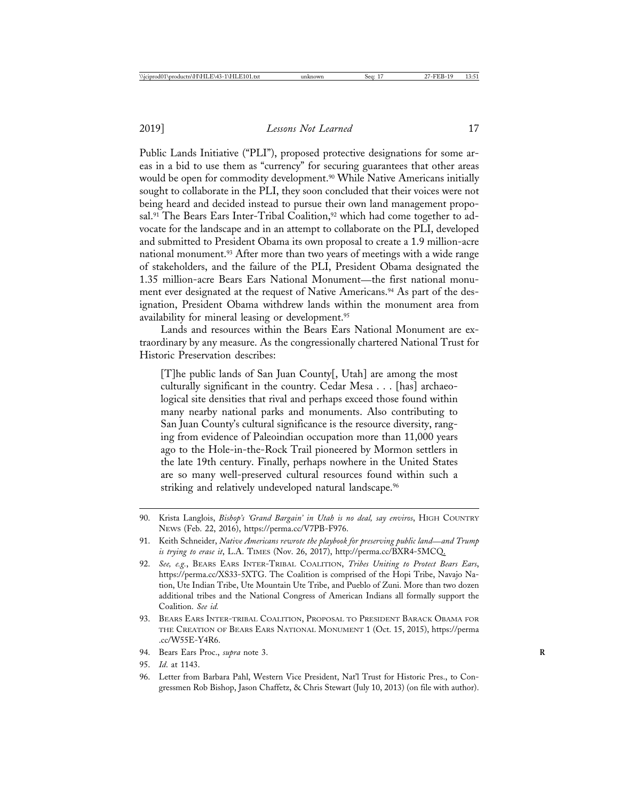Public Lands Initiative ("PLI"), proposed protective designations for some areas in a bid to use them as "currency" for securing guarantees that other areas would be open for commodity development.<sup>90</sup> While Native Americans initially sought to collaborate in the PLI, they soon concluded that their voices were not being heard and decided instead to pursue their own land management proposal.<sup>91</sup> The Bears Ears Inter-Tribal Coalition,<sup>92</sup> which had come together to advocate for the landscape and in an attempt to collaborate on the PLI, developed and submitted to President Obama its own proposal to create a 1.9 million-acre national monument.93 After more than two years of meetings with a wide range of stakeholders, and the failure of the PLI, President Obama designated the 1.35 million-acre Bears Ears National Monument—the first national monument ever designated at the request of Native Americans.<sup>94</sup> As part of the designation, President Obama withdrew lands within the monument area from availability for mineral leasing or development.<sup>95</sup>

Lands and resources within the Bears Ears National Monument are extraordinary by any measure. As the congressionally chartered National Trust for Historic Preservation describes:

[T]he public lands of San Juan County[, Utah] are among the most culturally significant in the country. Cedar Mesa . . . [has] archaeological site densities that rival and perhaps exceed those found within many nearby national parks and monuments. Also contributing to San Juan County's cultural significance is the resource diversity, ranging from evidence of Paleoindian occupation more than 11,000 years ago to the Hole-in-the-Rock Trail pioneered by Mormon settlers in the late 19th century. Finally, perhaps nowhere in the United States are so many well-preserved cultural resources found within such a striking and relatively undeveloped natural landscape.<sup>96</sup>

- 93. BEARS EARS INTER-TRIBAL COALITION, PROPOSAL TO PRESIDENT BARACK OBAMA FOR THE CREATION OF BEARS EARS NATIONAL MONUMENT 1 (Oct. 15, 2015), https://perma .cc/W55E-Y4R6.
- 94. Bears Ears Proc., *supra* note 3. **R**
- 95. *Id*. at 1143.
- 96. Letter from Barbara Pahl, Western Vice President, Nat'l Trust for Historic Pres., to Congressmen Rob Bishop, Jason Chaffetz, & Chris Stewart (July 10, 2013) (on file with author).

<sup>90.</sup> Krista Langlois, *Bishop's 'Grand Bargain' in Utah is no deal, say enviros*, HIGH COUNTRY NEWS (Feb. 22, 2016), https://perma.cc/V7PB-F976.

<sup>91.</sup> Keith Schneider, *Native Americans rewrote the playbook for preserving public land*—*and Trump is trying to erase it*, L.A. TIMES (Nov. 26, 2017), http://perma.cc/BXR4-5MCQ.

<sup>92.</sup> *See, e.g.*, BEARS EARS INTER-TRIBAL COALITION, *Tribes Uniting to Protect Bears Ears*, https://perma.cc/XS33-5XTG. The Coalition is comprised of the Hopi Tribe, Navajo Nation, Ute Indian Tribe, Ute Mountain Ute Tribe, and Pueblo of Zuni. More than two dozen additional tribes and the National Congress of American Indians all formally support the Coalition. *See id.*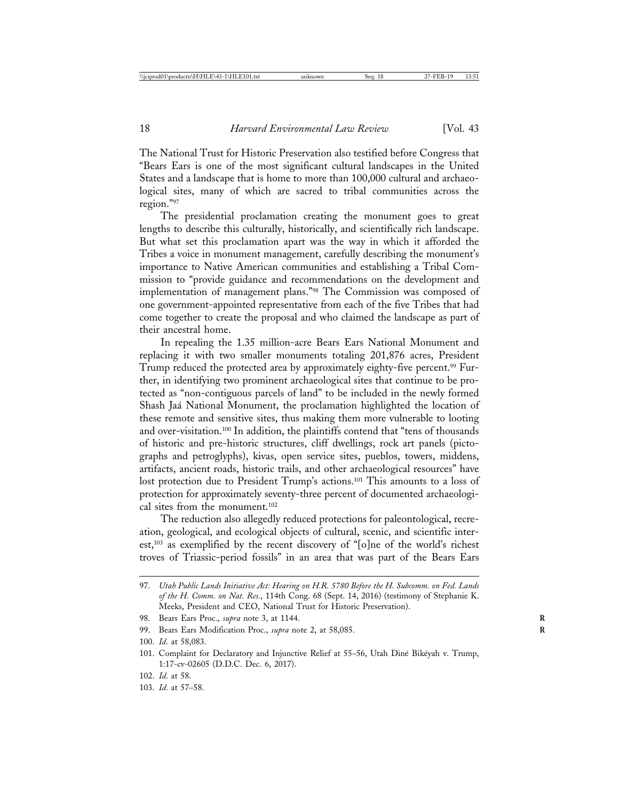The National Trust for Historic Preservation also testified before Congress that "Bears Ears is one of the most significant cultural landscapes in the United States and a landscape that is home to more than 100,000 cultural and archaeological sites, many of which are sacred to tribal communities across the region."97

The presidential proclamation creating the monument goes to great lengths to describe this culturally, historically, and scientifically rich landscape. But what set this proclamation apart was the way in which it afforded the Tribes a voice in monument management, carefully describing the monument's importance to Native American communities and establishing a Tribal Commission to "provide guidance and recommendations on the development and implementation of management plans."98 The Commission was composed of one government-appointed representative from each of the five Tribes that had come together to create the proposal and who claimed the landscape as part of their ancestral home.

In repealing the 1.35 million-acre Bears Ears National Monument and replacing it with two smaller monuments totaling 201,876 acres, President Trump reduced the protected area by approximately eighty-five percent.<sup>99</sup> Further, in identifying two prominent archaeological sites that continue to be protected as "non-contiguous parcels of land" to be included in the newly formed Shash Jaá National Monument, the proclamation highlighted the location of these remote and sensitive sites, thus making them more vulnerable to looting and over-visitation.100 In addition, the plaintiffs contend that "tens of thousands of historic and pre-historic structures, cliff dwellings, rock art panels (pictographs and petroglyphs), kivas, open service sites, pueblos, towers, middens, artifacts, ancient roads, historic trails, and other archaeological resources" have lost protection due to President Trump's actions.101 This amounts to a loss of protection for approximately seventy-three percent of documented archaeological sites from the monument.102

The reduction also allegedly reduced protections for paleontological, recreation, geological, and ecological objects of cultural, scenic, and scientific interest,103 as exemplified by the recent discovery of "[o]ne of the world's richest troves of Triassic-period fossils" in an area that was part of the Bears Ears

- 102. *Id*. at 58.
- 103. *Id*. at 57–58.

<sup>97.</sup> *Utah Public Lands Initiative Act: Hearing on H.R. 5780 Before the H. Subcomm. on Fed. Lands of the H. Comm. on Nat. Res.*, 114th Cong. 68 (Sept. 14, 2016) (testimony of Stephanie K. Meeks, President and CEO, National Trust for Historic Preservation).

<sup>98.</sup> Bears Ears Proc., *supra* note 3, at 1144.

<sup>99.</sup> Bears Ears Modification Proc., *supra* note 2, at 58,085. **R**

<sup>100.</sup> *Id*. at 58,083.

<sup>101.</sup> Complaint for Declaratory and Injunctive Relief at 55–56, Utah Diné Bikéyah v. Trump, 1:17-cv-02605 (D.D.C. Dec. 6, 2017).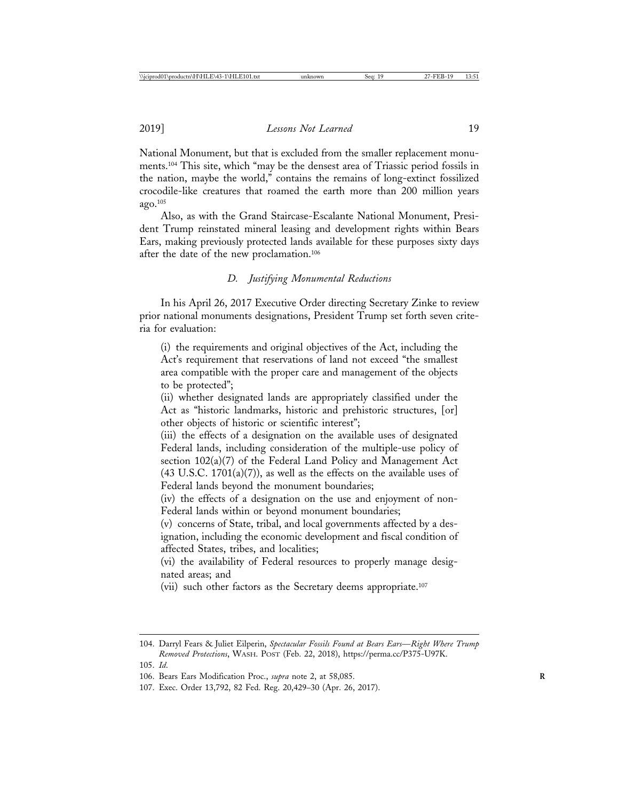National Monument, but that is excluded from the smaller replacement monuments.104 This site, which "may be the densest area of Triassic period fossils in the nation, maybe the world," contains the remains of long-extinct fossilized crocodile-like creatures that roamed the earth more than 200 million years ago.105

Also, as with the Grand Staircase-Escalante National Monument, President Trump reinstated mineral leasing and development rights within Bears Ears, making previously protected lands available for these purposes sixty days after the date of the new proclamation.106

## *D. Justifying Monumental Reductions*

In his April 26, 2017 Executive Order directing Secretary Zinke to review prior national monuments designations, President Trump set forth seven criteria for evaluation:

(i) the requirements and original objectives of the Act, including the Act's requirement that reservations of land not exceed "the smallest area compatible with the proper care and management of the objects to be protected";

(ii) whether designated lands are appropriately classified under the Act as "historic landmarks, historic and prehistoric structures, [or] other objects of historic or scientific interest";

(iii) the effects of a designation on the available uses of designated Federal lands, including consideration of the multiple-use policy of section 102(a)(7) of the Federal Land Policy and Management Act  $(43 \text{ U.S.C. } 1701(a)(7))$ , as well as the effects on the available uses of Federal lands beyond the monument boundaries;

(iv) the effects of a designation on the use and enjoyment of non-Federal lands within or beyond monument boundaries;

(v) concerns of State, tribal, and local governments affected by a designation, including the economic development and fiscal condition of affected States, tribes, and localities;

(vi) the availability of Federal resources to properly manage designated areas; and

(vii) such other factors as the Secretary deems appropriate.107

<sup>104.</sup> Darryl Fears & Juliet Eilperin, *Spectacular Fossils Found at Bears Ears*—*Right Where Trump Removed Protections*, WASH. POST (Feb. 22, 2018), https://perma.cc/P375-U97K.

<sup>105.</sup> *Id*.

<sup>106.</sup> Bears Ears Modification Proc., *supra* note 2, at 58,085. **R**

<sup>107.</sup> Exec. Order 13,792, 82 Fed. Reg. 20,429–30 (Apr. 26, 2017).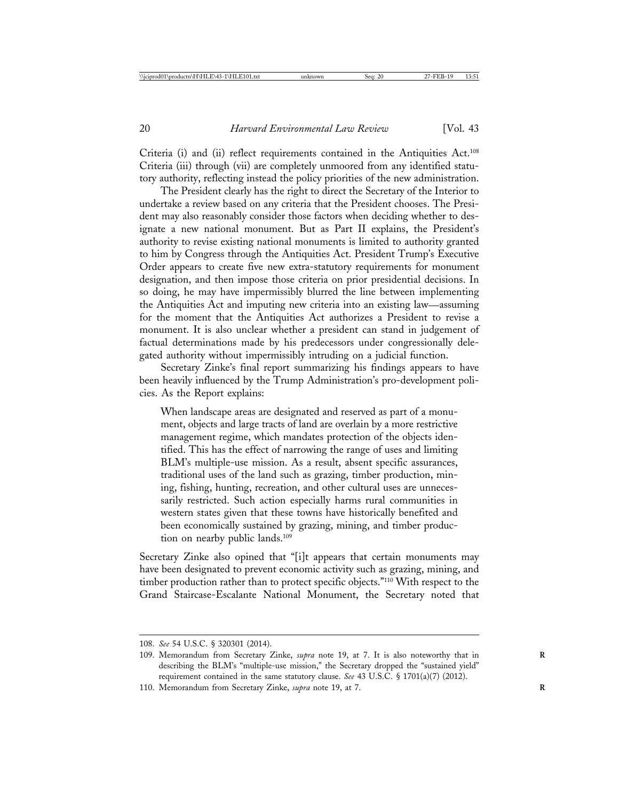Criteria (i) and (ii) reflect requirements contained in the Antiquities Act.108 Criteria (iii) through (vii) are completely unmoored from any identified statutory authority, reflecting instead the policy priorities of the new administration.

The President clearly has the right to direct the Secretary of the Interior to undertake a review based on any criteria that the President chooses. The President may also reasonably consider those factors when deciding whether to designate a new national monument. But as Part II explains, the President's authority to revise existing national monuments is limited to authority granted to him by Congress through the Antiquities Act. President Trump's Executive Order appears to create five new extra-statutory requirements for monument designation, and then impose those criteria on prior presidential decisions. In so doing, he may have impermissibly blurred the line between implementing the Antiquities Act and imputing new criteria into an existing law—assuming for the moment that the Antiquities Act authorizes a President to revise a monument. It is also unclear whether a president can stand in judgement of factual determinations made by his predecessors under congressionally delegated authority without impermissibly intruding on a judicial function.

Secretary Zinke's final report summarizing his findings appears to have been heavily influenced by the Trump Administration's pro-development policies. As the Report explains:

When landscape areas are designated and reserved as part of a monument, objects and large tracts of land are overlain by a more restrictive management regime, which mandates protection of the objects identified. This has the effect of narrowing the range of uses and limiting BLM's multiple-use mission. As a result, absent specific assurances, traditional uses of the land such as grazing, timber production, mining, fishing, hunting, recreation, and other cultural uses are unnecessarily restricted. Such action especially harms rural communities in western states given that these towns have historically benefited and been economically sustained by grazing, mining, and timber production on nearby public lands.<sup>109</sup>

Secretary Zinke also opined that "[i]t appears that certain monuments may have been designated to prevent economic activity such as grazing, mining, and timber production rather than to protect specific objects."110 With respect to the Grand Staircase-Escalante National Monument, the Secretary noted that

<sup>108.</sup> *See* 54 U.S.C. § 320301 (2014).

<sup>109.</sup> Memorandum from Secretary Zinke, *supra* note 19, at 7. It is also noteworthy that in **R** describing the BLM's "multiple-use mission," the Secretary dropped the "sustained yield" requirement contained in the same statutory clause. *See* 43 U.S.C. § 1701(a)(7) (2012).

<sup>110.</sup> Memorandum from Secretary Zinke, *supra* note 19, at 7. **R**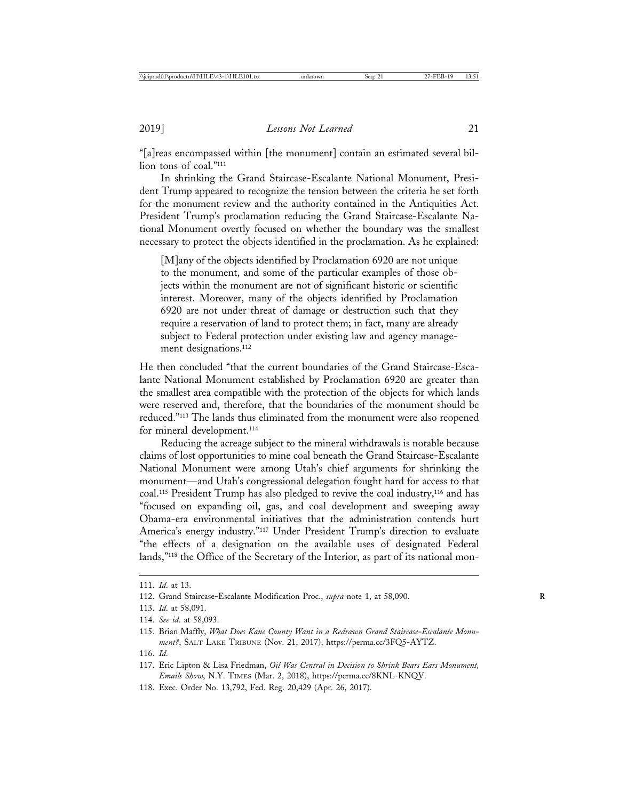"[a]reas encompassed within [the monument] contain an estimated several billion tons of coal."111

In shrinking the Grand Staircase-Escalante National Monument, President Trump appeared to recognize the tension between the criteria he set forth for the monument review and the authority contained in the Antiquities Act. President Trump's proclamation reducing the Grand Staircase-Escalante National Monument overtly focused on whether the boundary was the smallest necessary to protect the objects identified in the proclamation. As he explained:

[M]any of the objects identified by Proclamation 6920 are not unique to the monument, and some of the particular examples of those objects within the monument are not of significant historic or scientific interest. Moreover, many of the objects identified by Proclamation 6920 are not under threat of damage or destruction such that they require a reservation of land to protect them; in fact, many are already subject to Federal protection under existing law and agency management designations.<sup>112</sup>

He then concluded "that the current boundaries of the Grand Staircase-Escalante National Monument established by Proclamation 6920 are greater than the smallest area compatible with the protection of the objects for which lands were reserved and, therefore, that the boundaries of the monument should be reduced."113 The lands thus eliminated from the monument were also reopened for mineral development.<sup>114</sup>

Reducing the acreage subject to the mineral withdrawals is notable because claims of lost opportunities to mine coal beneath the Grand Staircase-Escalante National Monument were among Utah's chief arguments for shrinking the monument—and Utah's congressional delegation fought hard for access to that coal.115 President Trump has also pledged to revive the coal industry,116 and has "focused on expanding oil, gas, and coal development and sweeping away Obama-era environmental initiatives that the administration contends hurt America's energy industry."117 Under President Trump's direction to evaluate "the effects of a designation on the available uses of designated Federal lands,"118 the Office of the Secretary of the Interior, as part of its national mon-

<sup>111.</sup> *Id*. at 13.

<sup>112.</sup> Grand Staircase-Escalante Modification Proc., *supra* note 1, at 58,090. **R**

<sup>113.</sup> *Id*. at 58,091.

<sup>114.</sup> *See id*. at 58,093.

<sup>115.</sup> Brian Maffly, *What Does Kane County Want in a Redrawn Grand Staircase-Escalante Monument?*, SALT LAKE TRIBUNE (Nov. 21, 2017), https://perma.cc/3FQ5-AYTZ.

<sup>116.</sup> *Id*.

<sup>117.</sup> Eric Lipton & Lisa Friedman, *Oil Was Central in Decision to Shrink Bears Ears Monument, Emails Show*, N.Y. TIMES (Mar. 2, 2018), https://perma.cc/8KNL-KNQV.

<sup>118.</sup> Exec. Order No. 13,792, Fed. Reg. 20,429 (Apr. 26, 2017).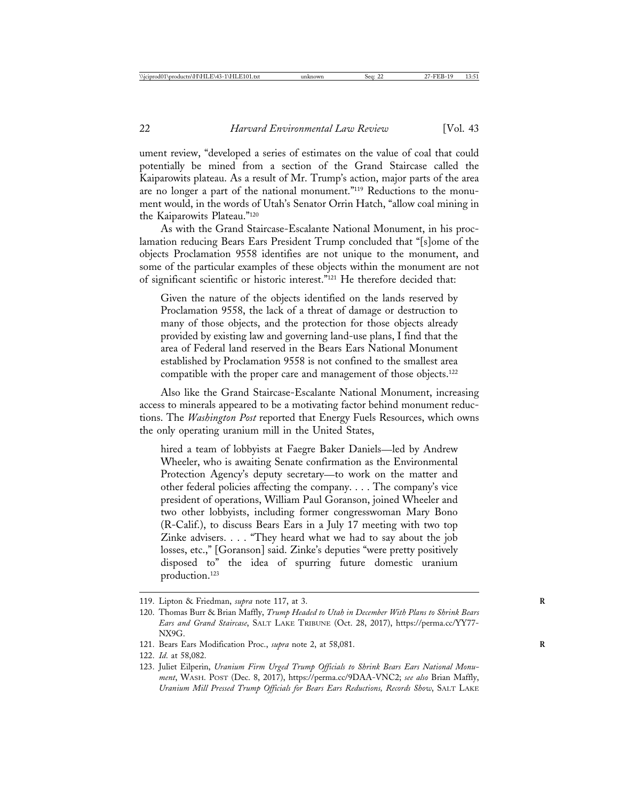ument review, "developed a series of estimates on the value of coal that could potentially be mined from a section of the Grand Staircase called the Kaiparowits plateau. As a result of Mr. Trump's action, major parts of the area are no longer a part of the national monument."119 Reductions to the monument would, in the words of Utah's Senator Orrin Hatch, "allow coal mining in the Kaiparowits Plateau."120

As with the Grand Staircase-Escalante National Monument, in his proclamation reducing Bears Ears President Trump concluded that "[s]ome of the objects Proclamation 9558 identifies are not unique to the monument, and some of the particular examples of these objects within the monument are not of significant scientific or historic interest."121 He therefore decided that:

Given the nature of the objects identified on the lands reserved by Proclamation 9558, the lack of a threat of damage or destruction to many of those objects, and the protection for those objects already provided by existing law and governing land-use plans, I find that the area of Federal land reserved in the Bears Ears National Monument established by Proclamation 9558 is not confined to the smallest area compatible with the proper care and management of those objects.<sup>122</sup>

Also like the Grand Staircase-Escalante National Monument, increasing access to minerals appeared to be a motivating factor behind monument reductions. The *Washington Post* reported that Energy Fuels Resources, which owns the only operating uranium mill in the United States,

hired a team of lobbyists at Faegre Baker Daniels—led by Andrew Wheeler, who is awaiting Senate confirmation as the Environmental Protection Agency's deputy secretary—to work on the matter and other federal policies affecting the company. . . . The company's vice president of operations, William Paul Goranson, joined Wheeler and two other lobbyists, including former congresswoman Mary Bono (R-Calif.), to discuss Bears Ears in a July 17 meeting with two top Zinke advisers. . . . "They heard what we had to say about the job losses, etc.," [Goranson] said. Zinke's deputies "were pretty positively disposed to" the idea of spurring future domestic uranium production.123

<sup>119.</sup> Lipton & Friedman, *supra* note 117, at 3. **R**

<sup>120.</sup> Thomas Burr & Brian Maffly, *Trump Headed to Utah in December With Plans to Shrink Bears Ears and Grand Staircase*, SALT LAKE TRIBUNE (Oct. 28, 2017), https://perma.cc/YY77- NX9G.

<sup>121.</sup> Bears Ears Modification Proc., *supra* note 2, at 58,081. **R**

<sup>122.</sup> *Id*. at 58,082.

<sup>123.</sup> Juliet Eilperin, *Uranium Firm Urged Trump Officials to Shrink Bears Ears National Monument*, WASH. POST (Dec. 8, 2017), https://perma.cc/9DAA-VNC2; *see also* Brian Maffly, *Uranium Mill Pressed Trump Officials for Bears Ears Reductions, Records Show*, SALT LAKE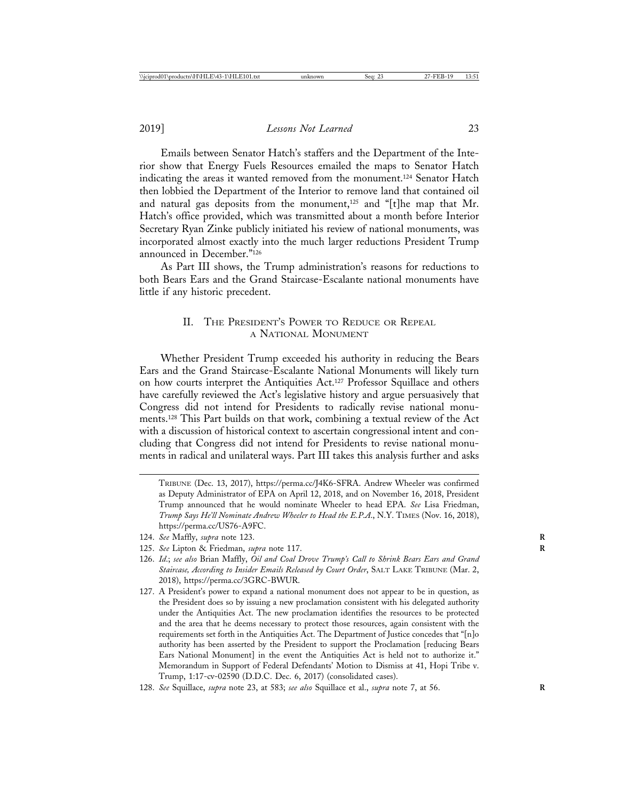Emails between Senator Hatch's staffers and the Department of the Interior show that Energy Fuels Resources emailed the maps to Senator Hatch indicating the areas it wanted removed from the monument.124 Senator Hatch then lobbied the Department of the Interior to remove land that contained oil and natural gas deposits from the monument,<sup>125</sup> and "[t]he map that Mr. Hatch's office provided, which was transmitted about a month before Interior Secretary Ryan Zinke publicly initiated his review of national monuments, was incorporated almost exactly into the much larger reductions President Trump announced in December."126

As Part III shows, the Trump administration's reasons for reductions to both Bears Ears and the Grand Staircase-Escalante national monuments have little if any historic precedent.

#### II. THE PRESIDENT'S POWER TO REDUCE OR REPEAL A NATIONAL MONUMENT

Whether President Trump exceeded his authority in reducing the Bears Ears and the Grand Staircase-Escalante National Monuments will likely turn on how courts interpret the Antiquities Act.<sup>127</sup> Professor Squillace and others have carefully reviewed the Act's legislative history and argue persuasively that Congress did not intend for Presidents to radically revise national monuments.128 This Part builds on that work, combining a textual review of the Act with a discussion of historical context to ascertain congressional intent and concluding that Congress did not intend for Presidents to revise national monuments in radical and unilateral ways. Part III takes this analysis further and asks

TRIBUNE (Dec. 13, 2017), https://perma.cc/J4K6-SFRA. Andrew Wheeler was confirmed as Deputy Administrator of EPA on April 12, 2018, and on November 16, 2018, President Trump announced that he would nominate Wheeler to head EPA. *See* Lisa Friedman, *Trump Says He'll Nominate Andrew Wheeler to Head the E.P.A*., N.Y. TIMES (Nov. 16, 2018), https://perma.cc/US76-A9FC.

- 124. *See* Maffly, *supra* note 123. **R**
- 125. *See* Lipton & Friedman, *supra* note 117. **R**
- 126. *Id*.; *see also* Brian Maffly, *Oil and Coal Drove Trump's Call to Shrink Bears Ears and Grand Staircase, According to Insider Emails Released by Court Order*, SALT LAKE TRIBUNE (Mar. 2, 2018), https://perma.cc/3GRC-BWUR.
- 127. A President's power to expand a national monument does not appear to be in question, as the President does so by issuing a new proclamation consistent with his delegated authority under the Antiquities Act. The new proclamation identifies the resources to be protected and the area that he deems necessary to protect those resources, again consistent with the requirements set forth in the Antiquities Act. The Department of Justice concedes that "[n]o authority has been asserted by the President to support the Proclamation [reducing Bears Ears National Monument] in the event the Antiquities Act is held not to authorize it." Memorandum in Support of Federal Defendants' Motion to Dismiss at 41, Hopi Tribe v. Trump, 1:17-cv-02590 (D.D.C. Dec. 6, 2017) (consolidated cases).
- 128. *See* Squillace, *supra* note 23, at 583; *see also* Squillace et al., *supra* note 7, at 56. **R**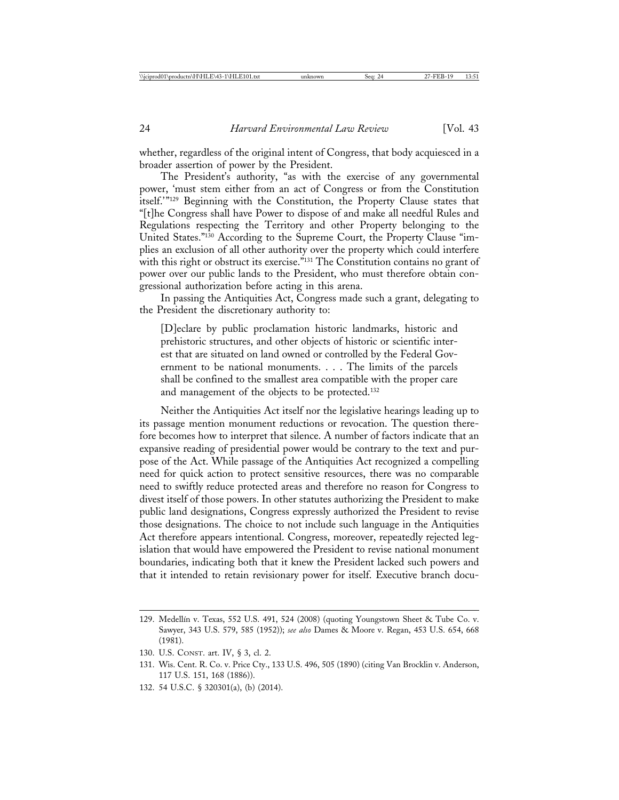whether, regardless of the original intent of Congress, that body acquiesced in a broader assertion of power by the President.

The President's authority, "as with the exercise of any governmental power, 'must stem either from an act of Congress or from the Constitution itself.'"129 Beginning with the Constitution, the Property Clause states that "[t]he Congress shall have Power to dispose of and make all needful Rules and Regulations respecting the Territory and other Property belonging to the United States."130 According to the Supreme Court, the Property Clause "implies an exclusion of all other authority over the property which could interfere with this right or obstruct its exercise."<sup>131</sup> The Constitution contains no grant of power over our public lands to the President, who must therefore obtain congressional authorization before acting in this arena.

In passing the Antiquities Act, Congress made such a grant, delegating to the President the discretionary authority to:

[D]eclare by public proclamation historic landmarks, historic and prehistoric structures, and other objects of historic or scientific interest that are situated on land owned or controlled by the Federal Government to be national monuments. . . . The limits of the parcels shall be confined to the smallest area compatible with the proper care and management of the objects to be protected.132

Neither the Antiquities Act itself nor the legislative hearings leading up to its passage mention monument reductions or revocation. The question therefore becomes how to interpret that silence. A number of factors indicate that an expansive reading of presidential power would be contrary to the text and purpose of the Act. While passage of the Antiquities Act recognized a compelling need for quick action to protect sensitive resources, there was no comparable need to swiftly reduce protected areas and therefore no reason for Congress to divest itself of those powers. In other statutes authorizing the President to make public land designations, Congress expressly authorized the President to revise those designations. The choice to not include such language in the Antiquities Act therefore appears intentional. Congress, moreover, repeatedly rejected legislation that would have empowered the President to revise national monument boundaries, indicating both that it knew the President lacked such powers and that it intended to retain revisionary power for itself. Executive branch docu-

132. 54 U.S.C. § 320301(a), (b) (2014).

<sup>129.</sup> Medellín v. Texas, 552 U.S. 491, 524 (2008) (quoting Youngstown Sheet & Tube Co. v. Sawyer, 343 U.S. 579, 585 (1952)); *see also* Dames & Moore v. Regan, 453 U.S. 654, 668 (1981).

<sup>130.</sup> U.S. CONST. art. IV, § 3, cl. 2.

<sup>131.</sup> Wis. Cent. R. Co. v. Price Cty., 133 U.S. 496, 505 (1890) (citing Van Brocklin v. Anderson, 117 U.S. 151, 168 (1886)).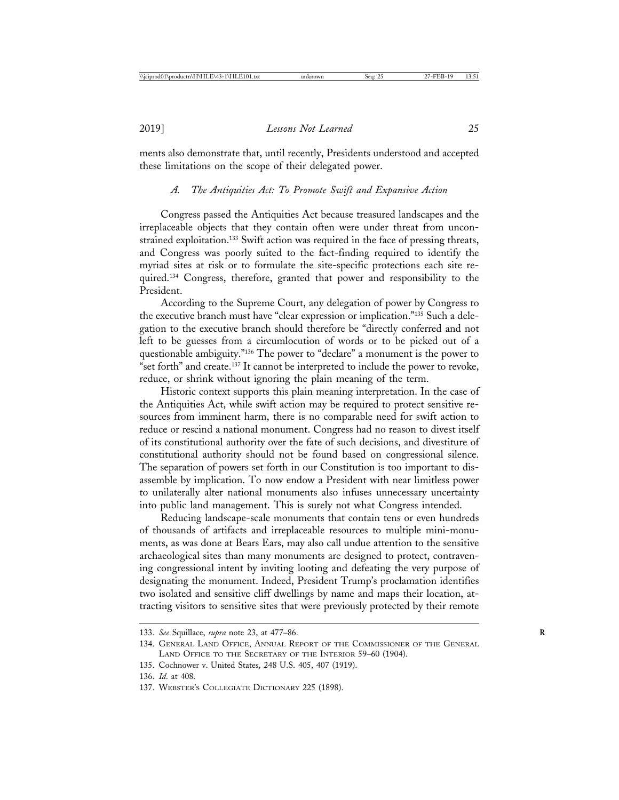ments also demonstrate that, until recently, Presidents understood and accepted these limitations on the scope of their delegated power.

## *A. The Antiquities Act: To Promote Swift and Expansive Action*

Congress passed the Antiquities Act because treasured landscapes and the irreplaceable objects that they contain often were under threat from unconstrained exploitation.133 Swift action was required in the face of pressing threats, and Congress was poorly suited to the fact-finding required to identify the myriad sites at risk or to formulate the site-specific protections each site required.134 Congress, therefore, granted that power and responsibility to the President.

According to the Supreme Court, any delegation of power by Congress to the executive branch must have "clear expression or implication."135 Such a delegation to the executive branch should therefore be "directly conferred and not left to be guesses from a circumlocution of words or to be picked out of a questionable ambiguity."136 The power to "declare" a monument is the power to "set forth" and create.137 It cannot be interpreted to include the power to revoke, reduce, or shrink without ignoring the plain meaning of the term.

Historic context supports this plain meaning interpretation. In the case of the Antiquities Act, while swift action may be required to protect sensitive resources from imminent harm, there is no comparable need for swift action to reduce or rescind a national monument. Congress had no reason to divest itself of its constitutional authority over the fate of such decisions, and divestiture of constitutional authority should not be found based on congressional silence. The separation of powers set forth in our Constitution is too important to disassemble by implication. To now endow a President with near limitless power to unilaterally alter national monuments also infuses unnecessary uncertainty into public land management. This is surely not what Congress intended.

Reducing landscape-scale monuments that contain tens or even hundreds of thousands of artifacts and irreplaceable resources to multiple mini-monuments, as was done at Bears Ears, may also call undue attention to the sensitive archaeological sites than many monuments are designed to protect, contravening congressional intent by inviting looting and defeating the very purpose of designating the monument. Indeed, President Trump's proclamation identifies two isolated and sensitive cliff dwellings by name and maps their location, attracting visitors to sensitive sites that were previously protected by their remote

- 135. Cochnower v. United States, 248 U.S. 405, 407 (1919).
- 136. *Id*. at 408.

<sup>133.</sup> *See* Squillace, *supra* note 23, at 477–86. **R**

<sup>134.</sup> GENERAL LAND OFFICE, ANNUAL REPORT OF THE COMMISSIONER OF THE GENERAL LAND OFFICE TO THE SECRETARY OF THE INTERIOR 59–60 (1904).

<sup>137.</sup> WEBSTER'S COLLEGIATE DICTIONARY 225 (1898).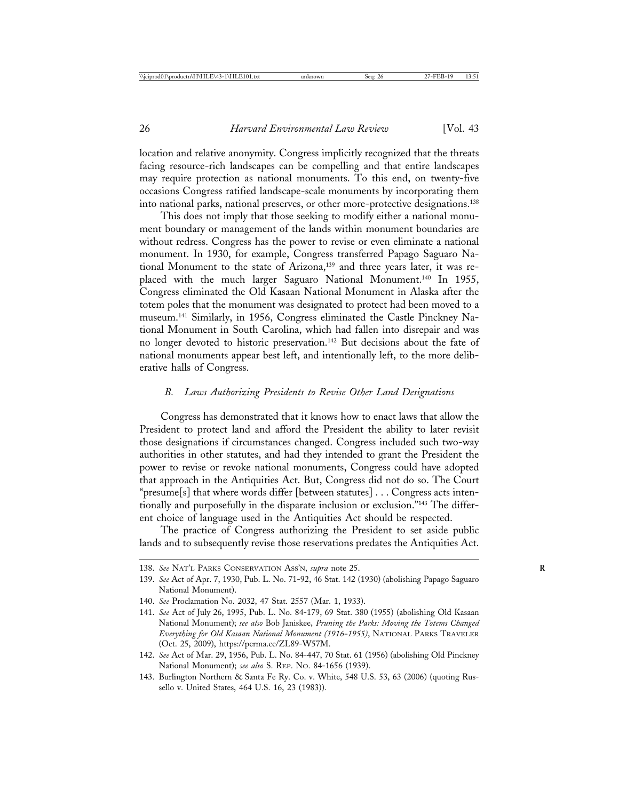location and relative anonymity. Congress implicitly recognized that the threats facing resource-rich landscapes can be compelling and that entire landscapes may require protection as national monuments. To this end, on twenty-five occasions Congress ratified landscape-scale monuments by incorporating them into national parks, national preserves, or other more-protective designations.138

This does not imply that those seeking to modify either a national monument boundary or management of the lands within monument boundaries are without redress. Congress has the power to revise or even eliminate a national monument. In 1930, for example, Congress transferred Papago Saguaro National Monument to the state of Arizona,<sup>139</sup> and three years later, it was replaced with the much larger Saguaro National Monument.140 In 1955, Congress eliminated the Old Kasaan National Monument in Alaska after the totem poles that the monument was designated to protect had been moved to a museum.141 Similarly, in 1956, Congress eliminated the Castle Pinckney National Monument in South Carolina, which had fallen into disrepair and was no longer devoted to historic preservation.142 But decisions about the fate of national monuments appear best left, and intentionally left, to the more deliberative halls of Congress.

#### *B. Laws Authorizing Presidents to Revise Other Land Designations*

Congress has demonstrated that it knows how to enact laws that allow the President to protect land and afford the President the ability to later revisit those designations if circumstances changed. Congress included such two-way authorities in other statutes, and had they intended to grant the President the power to revise or revoke national monuments, Congress could have adopted that approach in the Antiquities Act. But, Congress did not do so. The Court "presume[s] that where words differ [between statutes] . . . Congress acts intentionally and purposefully in the disparate inclusion or exclusion."<sup>143</sup> The different choice of language used in the Antiquities Act should be respected.

The practice of Congress authorizing the President to set aside public lands and to subsequently revise those reservations predates the Antiquities Act.

<sup>138.</sup> *See* NAT'L PARKS CONSERVATION ASS'N, *supra* note 25. **R**

<sup>139.</sup> *See* Act of Apr. 7, 1930, Pub. L. No. 71-92, 46 Stat. 142 (1930) (abolishing Papago Saguaro National Monument).

<sup>140.</sup> *See* Proclamation No. 2032, 47 Stat. 2557 (Mar. 1, 1933).

<sup>141.</sup> *See* Act of July 26, 1995, Pub. L. No. 84-179, 69 Stat. 380 (1955) (abolishing Old Kasaan National Monument); *see also* Bob Janiskee, *Pruning the Parks: Moving the Totems Changed Everything for Old Kasaan National Monument (1916-1955)*, NATIONAL PARKS TRAVELER (Oct. 25, 2009), https://perma.cc/ZL89-W57M.

<sup>142.</sup> *See* Act of Mar. 29, 1956, Pub. L. No. 84-447, 70 Stat. 61 (1956) (abolishing Old Pinckney National Monument); *see also* S. REP. NO. 84-1656 (1939).

<sup>143.</sup> Burlington Northern & Santa Fe Ry. Co. v. White, 548 U.S. 53, 63 (2006) (quoting Russello v. United States, 464 U.S. 16, 23 (1983)).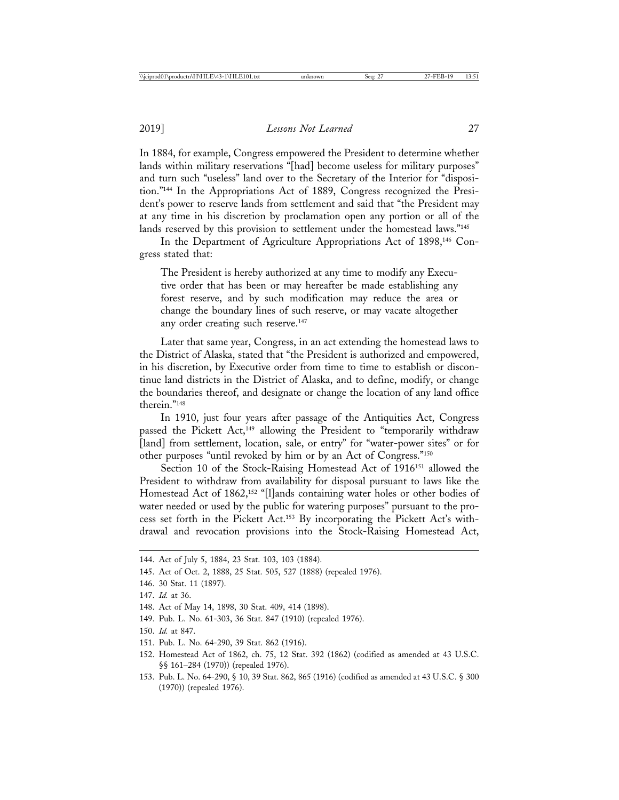In 1884, for example, Congress empowered the President to determine whether lands within military reservations "[had] become useless for military purposes" and turn such "useless" land over to the Secretary of the Interior for "disposition."144 In the Appropriations Act of 1889, Congress recognized the President's power to reserve lands from settlement and said that "the President may at any time in his discretion by proclamation open any portion or all of the lands reserved by this provision to settlement under the homestead laws."<sup>145</sup>

In the Department of Agriculture Appropriations Act of 1898,146 Congress stated that:

The President is hereby authorized at any time to modify any Executive order that has been or may hereafter be made establishing any forest reserve, and by such modification may reduce the area or change the boundary lines of such reserve, or may vacate altogether any order creating such reserve.<sup>147</sup>

Later that same year, Congress, in an act extending the homestead laws to the District of Alaska, stated that "the President is authorized and empowered, in his discretion, by Executive order from time to time to establish or discontinue land districts in the District of Alaska, and to define, modify, or change the boundaries thereof, and designate or change the location of any land office therein."148

In 1910, just four years after passage of the Antiquities Act, Congress passed the Pickett Act,<sup>149</sup> allowing the President to "temporarily withdraw [land] from settlement, location, sale, or entry" for "water-power sites" or for other purposes "until revoked by him or by an Act of Congress."150

Section 10 of the Stock-Raising Homestead Act of 1916<sup>151</sup> allowed the President to withdraw from availability for disposal pursuant to laws like the Homestead Act of 1862,<sup>152</sup> "[l]ands containing water holes or other bodies of water needed or used by the public for watering purposes" pursuant to the process set forth in the Pickett Act.153 By incorporating the Pickett Act's withdrawal and revocation provisions into the Stock-Raising Homestead Act,

- 149. Pub. L. No. 61-303, 36 Stat. 847 (1910) (repealed 1976).
- 150. *Id.* at 847.
- 151. Pub. L. No. 64-290, 39 Stat. 862 (1916).
- 152. Homestead Act of 1862, ch. 75, 12 Stat. 392 (1862) (codified as amended at 43 U.S.C. §§ 161–284 (1970)) (repealed 1976).
- 153. Pub. L. No. 64-290, § 10, 39 Stat. 862, 865 (1916) (codified as amended at 43 U.S.C. § 300 (1970)) (repealed 1976).

<sup>144.</sup> Act of July 5, 1884, 23 Stat. 103, 103 (1884).

<sup>145.</sup> Act of Oct. 2, 1888, 25 Stat. 505, 527 (1888) (repealed 1976).

<sup>146. 30</sup> Stat. 11 (1897).

<sup>147.</sup> *Id.* at 36.

<sup>148.</sup> Act of May 14, 1898, 30 Stat. 409, 414 (1898).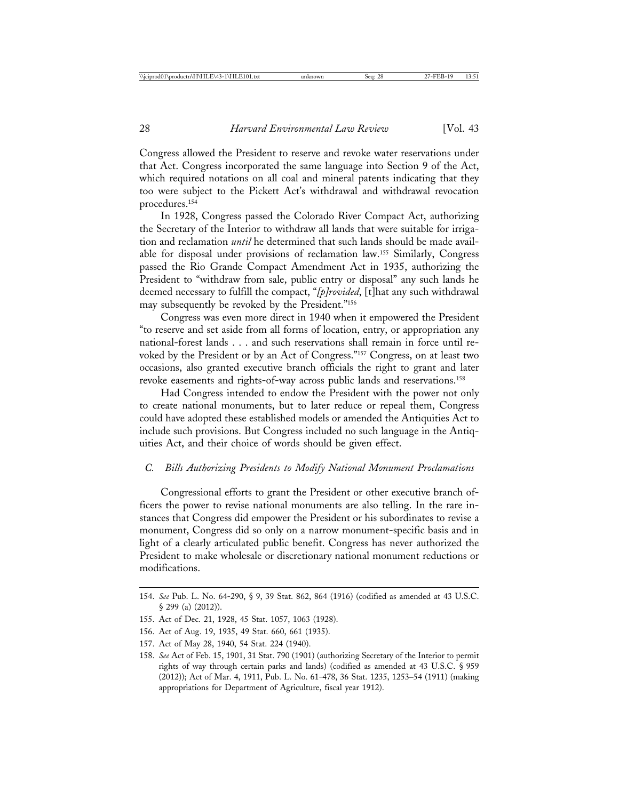Congress allowed the President to reserve and revoke water reservations under that Act. Congress incorporated the same language into Section 9 of the Act, which required notations on all coal and mineral patents indicating that they too were subject to the Pickett Act's withdrawal and withdrawal revocation procedures.154

In 1928, Congress passed the Colorado River Compact Act, authorizing the Secretary of the Interior to withdraw all lands that were suitable for irrigation and reclamation *until* he determined that such lands should be made available for disposal under provisions of reclamation law.155 Similarly, Congress passed the Rio Grande Compact Amendment Act in 1935, authorizing the President to "withdraw from sale, public entry or disposal" any such lands he deemed necessary to fulfill the compact, "*[p]rovided*, [t]hat any such withdrawal may subsequently be revoked by the President."156

Congress was even more direct in 1940 when it empowered the President "to reserve and set aside from all forms of location, entry, or appropriation any national-forest lands . . . and such reservations shall remain in force until revoked by the President or by an Act of Congress."157 Congress, on at least two occasions, also granted executive branch officials the right to grant and later revoke easements and rights-of-way across public lands and reservations.158

Had Congress intended to endow the President with the power not only to create national monuments, but to later reduce or repeal them, Congress could have adopted these established models or amended the Antiquities Act to include such provisions. But Congress included no such language in the Antiquities Act, and their choice of words should be given effect.

#### *C. Bills Authorizing Presidents to Modify National Monument Proclamations*

Congressional efforts to grant the President or other executive branch officers the power to revise national monuments are also telling. In the rare instances that Congress did empower the President or his subordinates to revise a monument, Congress did so only on a narrow monument-specific basis and in light of a clearly articulated public benefit. Congress has never authorized the President to make wholesale or discretionary national monument reductions or modifications.

156. Act of Aug. 19, 1935, 49 Stat. 660, 661 (1935).

<sup>154.</sup> *See* Pub. L. No. 64-290, § 9, 39 Stat. 862, 864 (1916) (codified as amended at 43 U.S.C. § 299 (a) (2012)).

<sup>155.</sup> Act of Dec. 21, 1928, 45 Stat. 1057, 1063 (1928).

<sup>157.</sup> Act of May 28, 1940, 54 Stat. 224 (1940).

<sup>158.</sup> *See* Act of Feb. 15, 1901, 31 Stat. 790 (1901) (authorizing Secretary of the Interior to permit rights of way through certain parks and lands) (codified as amended at 43 U.S.C. § 959 (2012)); Act of Mar. 4, 1911, Pub. L. No. 61-478, 36 Stat. 1235, 1253–54 (1911) (making appropriations for Department of Agriculture, fiscal year 1912).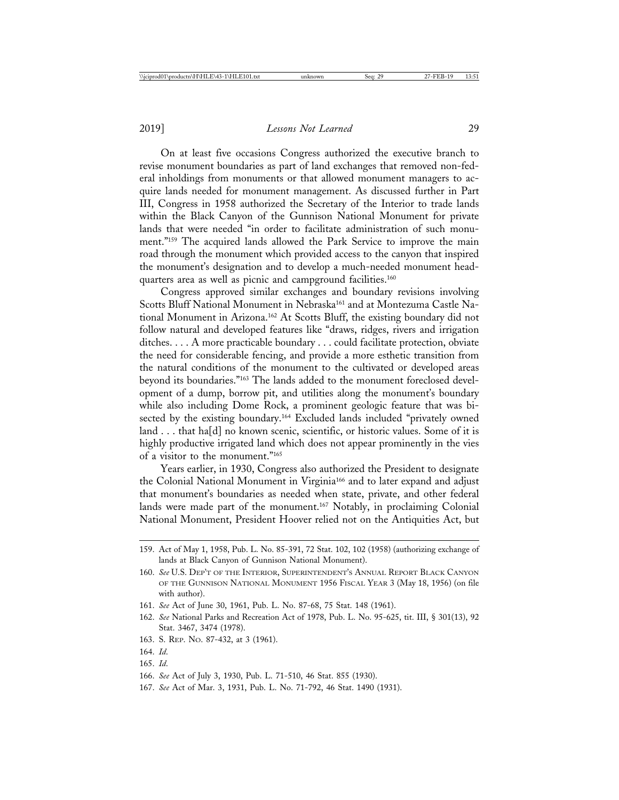On at least five occasions Congress authorized the executive branch to revise monument boundaries as part of land exchanges that removed non-federal inholdings from monuments or that allowed monument managers to acquire lands needed for monument management. As discussed further in Part III, Congress in 1958 authorized the Secretary of the Interior to trade lands within the Black Canyon of the Gunnison National Monument for private lands that were needed "in order to facilitate administration of such monument."159 The acquired lands allowed the Park Service to improve the main road through the monument which provided access to the canyon that inspired the monument's designation and to develop a much-needed monument headquarters area as well as picnic and campground facilities.<sup>160</sup>

Congress approved similar exchanges and boundary revisions involving Scotts Bluff National Monument in Nebraska<sup>161</sup> and at Montezuma Castle National Monument in Arizona.162 At Scotts Bluff, the existing boundary did not follow natural and developed features like "draws, ridges, rivers and irrigation ditches. . . . A more practicable boundary . . . could facilitate protection, obviate the need for considerable fencing, and provide a more esthetic transition from the natural conditions of the monument to the cultivated or developed areas beyond its boundaries."163 The lands added to the monument foreclosed development of a dump, borrow pit, and utilities along the monument's boundary while also including Dome Rock, a prominent geologic feature that was bisected by the existing boundary.164 Excluded lands included "privately owned land . . . that ha[d] no known scenic, scientific, or historic values. Some of it is highly productive irrigated land which does not appear prominently in the vies of a visitor to the monument."165

Years earlier, in 1930, Congress also authorized the President to designate the Colonial National Monument in Virginia166 and to later expand and adjust that monument's boundaries as needed when state, private, and other federal lands were made part of the monument.<sup>167</sup> Notably, in proclaiming Colonial National Monument, President Hoover relied not on the Antiquities Act, but

- 162. *See* National Parks and Recreation Act of 1978, Pub. L. No. 95-625, tit. III, § 301(13), 92 Stat. 3467, 3474 (1978).
- 163. S. REP. NO. 87-432, at 3 (1961).
- 164. *Id*.
- 165. *Id*.

167. *See* Act of Mar. 3, 1931, Pub. L. No. 71-792, 46 Stat. 1490 (1931).

<sup>159.</sup> Act of May 1, 1958, Pub. L. No. 85-391, 72 Stat. 102, 102 (1958) (authorizing exchange of lands at Black Canyon of Gunnison National Monument).

<sup>160.</sup> *See* U.S. DEP'T OF THE INTERIOR, SUPERINTENDENT'S ANNUAL REPORT BLACK CANYON OF THE GUNNISON NATIONAL MONUMENT 1956 FISCAL YEAR 3 (May 18, 1956) (on file with author).

<sup>161.</sup> *See* Act of June 30, 1961, Pub. L. No. 87-68, 75 Stat. 148 (1961).

<sup>166.</sup> *See* Act of July 3, 1930, Pub. L. 71-510, 46 Stat. 855 (1930).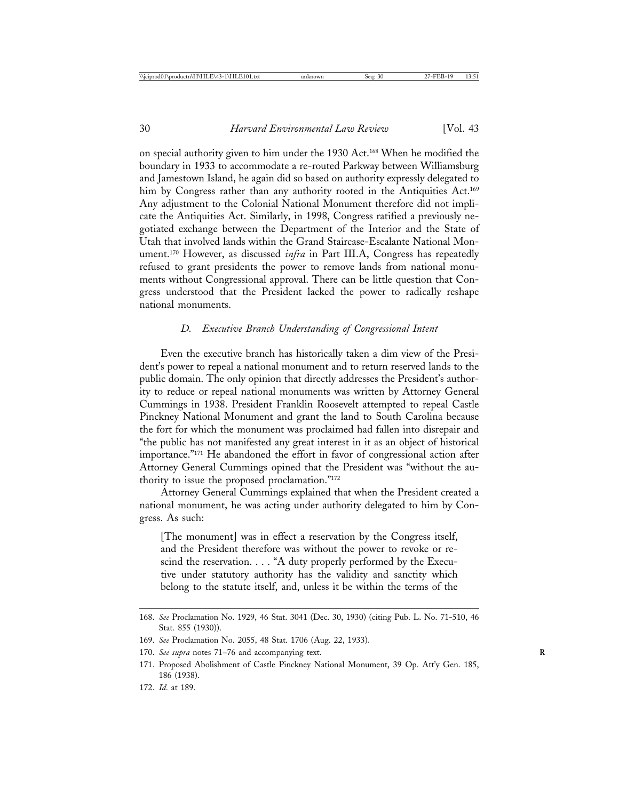on special authority given to him under the 1930 Act.168 When he modified the boundary in 1933 to accommodate a re-routed Parkway between Williamsburg and Jamestown Island, he again did so based on authority expressly delegated to him by Congress rather than any authority rooted in the Antiquities Act.<sup>169</sup> Any adjustment to the Colonial National Monument therefore did not implicate the Antiquities Act. Similarly, in 1998, Congress ratified a previously negotiated exchange between the Department of the Interior and the State of Utah that involved lands within the Grand Staircase-Escalante National Monument.170 However, as discussed *infra* in Part III.A, Congress has repeatedly refused to grant presidents the power to remove lands from national monuments without Congressional approval. There can be little question that Congress understood that the President lacked the power to radically reshape national monuments.

#### *D. Executive Branch Understanding of Congressional Intent*

Even the executive branch has historically taken a dim view of the President's power to repeal a national monument and to return reserved lands to the public domain. The only opinion that directly addresses the President's authority to reduce or repeal national monuments was written by Attorney General Cummings in 1938. President Franklin Roosevelt attempted to repeal Castle Pinckney National Monument and grant the land to South Carolina because the fort for which the monument was proclaimed had fallen into disrepair and "the public has not manifested any great interest in it as an object of historical importance."171 He abandoned the effort in favor of congressional action after Attorney General Cummings opined that the President was "without the authority to issue the proposed proclamation."172

Attorney General Cummings explained that when the President created a national monument, he was acting under authority delegated to him by Congress. As such:

[The monument] was in effect a reservation by the Congress itself, and the President therefore was without the power to revoke or rescind the reservation. . . . "A duty properly performed by the Executive under statutory authority has the validity and sanctity which belong to the statute itself, and, unless it be within the terms of the

<sup>168.</sup> *See* Proclamation No. 1929, 46 Stat. 3041 (Dec. 30, 1930) (citing Pub. L. No. 71-510, 46 Stat. 855 (1930)).

<sup>169.</sup> *See* Proclamation No. 2055, 48 Stat. 1706 (Aug. 22, 1933).

<sup>170.</sup> See supra notes 71–76 and accompanying text.

<sup>171.</sup> Proposed Abolishment of Castle Pinckney National Monument, 39 Op. Att'y Gen. 185, 186 (1938).

<sup>172.</sup> *Id*. at 189.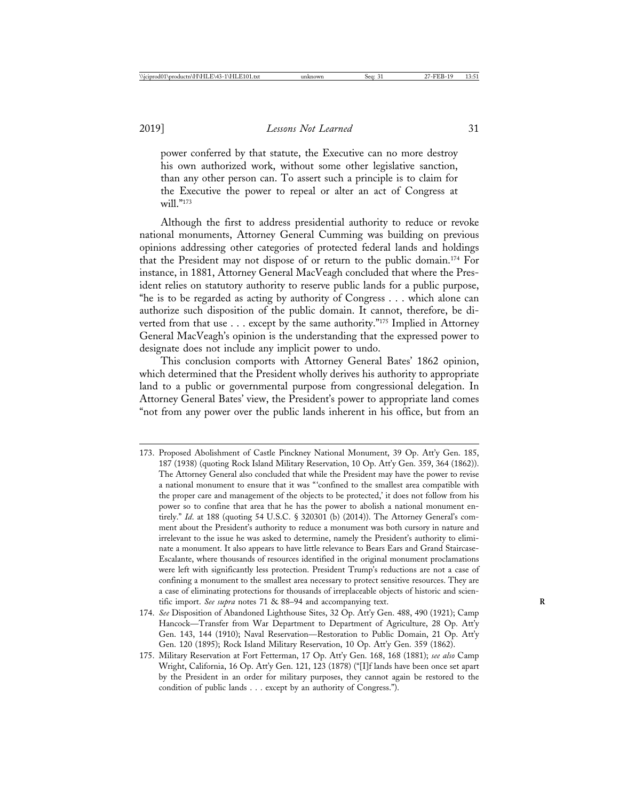power conferred by that statute, the Executive can no more destroy his own authorized work, without some other legislative sanction, than any other person can. To assert such a principle is to claim for the Executive the power to repeal or alter an act of Congress at  $will$ ."173

Although the first to address presidential authority to reduce or revoke national monuments, Attorney General Cumming was building on previous opinions addressing other categories of protected federal lands and holdings that the President may not dispose of or return to the public domain.174 For instance, in 1881, Attorney General MacVeagh concluded that where the President relies on statutory authority to reserve public lands for a public purpose, "he is to be regarded as acting by authority of Congress . . . which alone can authorize such disposition of the public domain. It cannot, therefore, be diverted from that use . . . except by the same authority."175 Implied in Attorney General MacVeagh's opinion is the understanding that the expressed power to designate does not include any implicit power to undo.

This conclusion comports with Attorney General Bates' 1862 opinion, which determined that the President wholly derives his authority to appropriate land to a public or governmental purpose from congressional delegation. In Attorney General Bates' view, the President's power to appropriate land comes "not from any power over the public lands inherent in his office, but from an

<sup>173.</sup> Proposed Abolishment of Castle Pinckney National Monument, 39 Op. Att'y Gen. 185, 187 (1938) (quoting Rock Island Military Reservation, 10 Op. Att'y Gen. 359, 364 (1862)). The Attorney General also concluded that while the President may have the power to revise a national monument to ensure that it was "'confined to the smallest area compatible with the proper care and management of the objects to be protected,' it does not follow from his power so to confine that area that he has the power to abolish a national monument entirely." *Id*. at 188 (quoting 54 U.S.C. § 320301 (b) (2014)). The Attorney General's comment about the President's authority to reduce a monument was both cursory in nature and irrelevant to the issue he was asked to determine, namely the President's authority to eliminate a monument. It also appears to have little relevance to Bears Ears and Grand Staircase-Escalante, where thousands of resources identified in the original monument proclamations were left with significantly less protection. President Trump's reductions are not a case of confining a monument to the smallest area necessary to protect sensitive resources. They are a case of eliminating protections for thousands of irreplaceable objects of historic and scientific import. *See supra* notes 71 & 88–94 and accompanying text. **R**

<sup>174.</sup> *See* Disposition of Abandoned Lighthouse Sites, 32 Op. Att'y Gen. 488, 490 (1921); Camp Hancock—Transfer from War Department to Department of Agriculture, 28 Op. Att'y Gen. 143, 144 (1910); Naval Reservation—Restoration to Public Domain, 21 Op. Att'y Gen. 120 (1895); Rock Island Military Reservation, 10 Op. Att'y Gen. 359 (1862).

<sup>175.</sup> Military Reservation at Fort Fetterman, 17 Op. Att'y Gen. 168, 168 (1881); *see also* Camp Wright, California, 16 Op. Att'y Gen. 121, 123 (1878) ("[I]f lands have been once set apart by the President in an order for military purposes, they cannot again be restored to the condition of public lands . . . except by an authority of Congress.").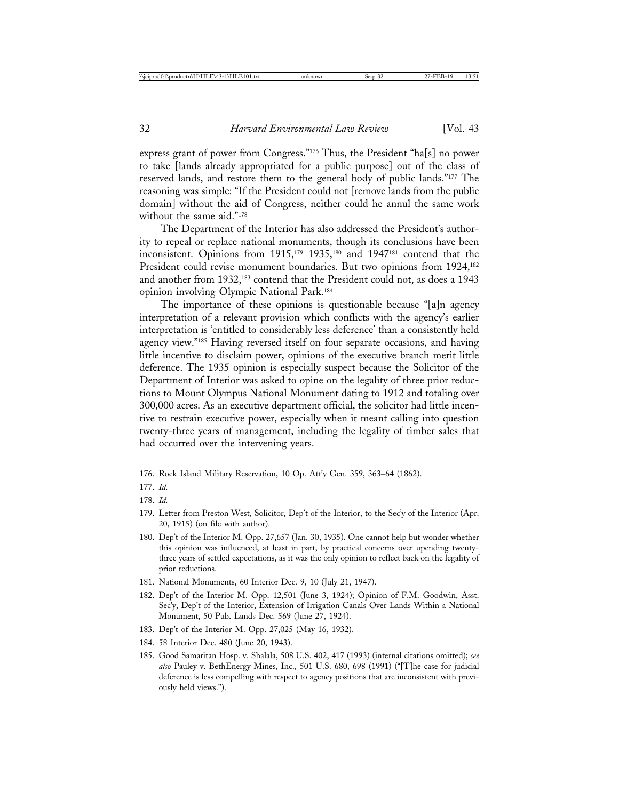express grant of power from Congress."176 Thus, the President "ha[s] no power to take [lands already appropriated for a public purpose] out of the class of reserved lands, and restore them to the general body of public lands."177 The reasoning was simple: "If the President could not [remove lands from the public domain] without the aid of Congress, neither could he annul the same work without the same aid."178

The Department of the Interior has also addressed the President's authority to repeal or replace national monuments, though its conclusions have been inconsistent. Opinions from 1915,179 1935,180 and 1947181 contend that the President could revise monument boundaries. But two opinions from 1924,<sup>182</sup> and another from 1932,183 contend that the President could not, as does a 1943 opinion involving Olympic National Park.184

The importance of these opinions is questionable because "[a]n agency interpretation of a relevant provision which conflicts with the agency's earlier interpretation is 'entitled to considerably less deference' than a consistently held agency view."185 Having reversed itself on four separate occasions, and having little incentive to disclaim power, opinions of the executive branch merit little deference. The 1935 opinion is especially suspect because the Solicitor of the Department of Interior was asked to opine on the legality of three prior reductions to Mount Olympus National Monument dating to 1912 and totaling over 300,000 acres. As an executive department official, the solicitor had little incentive to restrain executive power, especially when it meant calling into question twenty-three years of management, including the legality of timber sales that had occurred over the intervening years.

176. Rock Island Military Reservation, 10 Op. Att'y Gen. 359, 363–64 (1862).

- 181. National Monuments, 60 Interior Dec. 9, 10 (July 21, 1947).
- 182. Dep't of the Interior M. Opp. 12,501 (June 3, 1924); Opinion of F.M. Goodwin, Asst. Sec'y, Dep't of the Interior, Extension of Irrigation Canals Over Lands Within a National Monument, 50 Pub. Lands Dec. 569 (June 27, 1924).
- 183. Dep't of the Interior M. Opp. 27,025 (May 16, 1932).
- 184. 58 Interior Dec. 480 (June 20, 1943).
- 185. Good Samaritan Hosp. v. Shalala, 508 U.S. 402, 417 (1993) (internal citations omitted); *see also* Pauley v. BethEnergy Mines, Inc., 501 U.S. 680, 698 (1991) ("[T]he case for judicial deference is less compelling with respect to agency positions that are inconsistent with previously held views.").

<sup>177.</sup> *Id.*

<sup>178.</sup> *Id.*

<sup>179.</sup> Letter from Preston West, Solicitor, Dep't of the Interior, to the Sec'y of the Interior (Apr. 20, 1915) (on file with author).

<sup>180.</sup> Dep't of the Interior M. Opp. 27,657 (Jan. 30, 1935). One cannot help but wonder whether this opinion was influenced, at least in part, by practical concerns over upending twentythree years of settled expectations, as it was the only opinion to reflect back on the legality of prior reductions.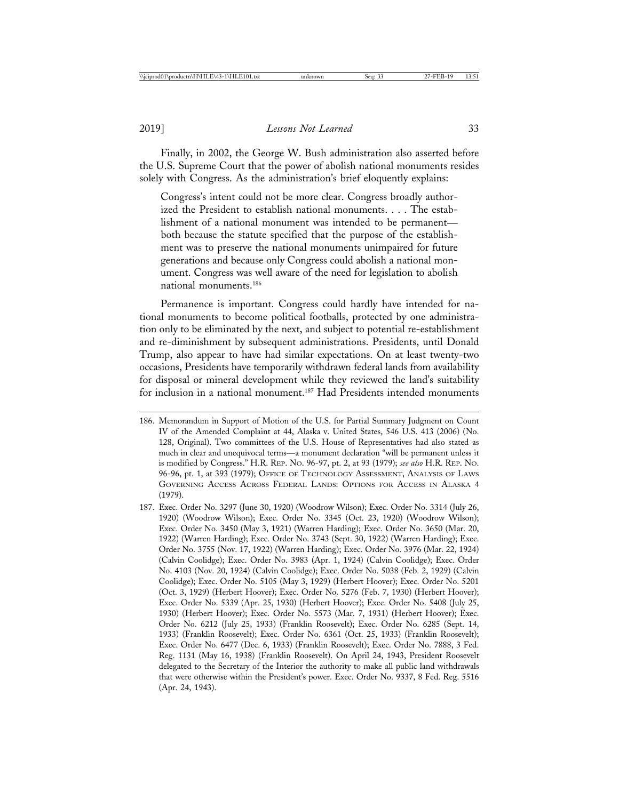Finally, in 2002, the George W. Bush administration also asserted before the U.S. Supreme Court that the power of abolish national monuments resides solely with Congress. As the administration's brief eloquently explains:

Congress's intent could not be more clear. Congress broadly authorized the President to establish national monuments. . . . The establishment of a national monument was intended to be permanent both because the statute specified that the purpose of the establishment was to preserve the national monuments unimpaired for future generations and because only Congress could abolish a national monument. Congress was well aware of the need for legislation to abolish national monuments.186

Permanence is important. Congress could hardly have intended for national monuments to become political footballs, protected by one administration only to be eliminated by the next, and subject to potential re-establishment and re-diminishment by subsequent administrations. Presidents, until Donald Trump, also appear to have had similar expectations. On at least twenty-two occasions, Presidents have temporarily withdrawn federal lands from availability for disposal or mineral development while they reviewed the land's suitability for inclusion in a national monument.<sup>187</sup> Had Presidents intended monuments

<sup>186.</sup> Memorandum in Support of Motion of the U.S. for Partial Summary Judgment on Count IV of the Amended Complaint at 44, Alaska v. United States, 546 U.S. 413 (2006) (No. 128, Original). Two committees of the U.S. House of Representatives had also stated as much in clear and unequivocal terms—a monument declaration "will be permanent unless it is modified by Congress." H.R. REP. NO. 96-97, pt. 2, at 93 (1979); *see also* H.R. REP. NO. 96-96, pt. 1, at 393 (1979); OFFICE OF TECHNOLOGY ASSESSMENT, ANALYSIS OF LAWS GOVERNING ACCESS ACROSS FEDERAL LANDS: OPTIONS FOR ACCESS IN ALASKA 4 (1979).

<sup>187.</sup> Exec. Order No. 3297 (June 30, 1920) (Woodrow Wilson); Exec. Order No. 3314 (July 26, 1920) (Woodrow Wilson); Exec. Order No. 3345 (Oct. 23, 1920) (Woodrow Wilson); Exec. Order No. 3450 (May 3, 1921) (Warren Harding); Exec. Order No. 3650 (Mar. 20, 1922) (Warren Harding); Exec. Order No. 3743 (Sept. 30, 1922) (Warren Harding); Exec. Order No. 3755 (Nov. 17, 1922) (Warren Harding); Exec. Order No. 3976 (Mar. 22, 1924) (Calvin Coolidge); Exec. Order No. 3983 (Apr. 1, 1924) (Calvin Coolidge); Exec. Order No. 4103 (Nov. 20, 1924) (Calvin Coolidge); Exec. Order No. 5038 (Feb. 2, 1929) (Calvin Coolidge); Exec. Order No. 5105 (May 3, 1929) (Herbert Hoover); Exec. Order No. 5201 (Oct. 3, 1929) (Herbert Hoover); Exec. Order No. 5276 (Feb. 7, 1930) (Herbert Hoover); Exec. Order No. 5339 (Apr. 25, 1930) (Herbert Hoover); Exec. Order No. 5408 (July 25, 1930) (Herbert Hoover); Exec. Order No. 5573 (Mar. 7, 1931) (Herbert Hoover); Exec. Order No. 6212 (July 25, 1933) (Franklin Roosevelt); Exec. Order No. 6285 (Sept. 14, 1933) (Franklin Roosevelt); Exec. Order No. 6361 (Oct. 25, 1933) (Franklin Roosevelt); Exec. Order No. 6477 (Dec. 6, 1933) (Franklin Roosevelt); Exec. Order No. 7888, 3 Fed. Reg. 1131 (May 16, 1938) (Franklin Roosevelt). On April 24, 1943, President Roosevelt delegated to the Secretary of the Interior the authority to make all public land withdrawals that were otherwise within the President's power. Exec. Order No. 9337, 8 Fed. Reg. 5516 (Apr. 24, 1943).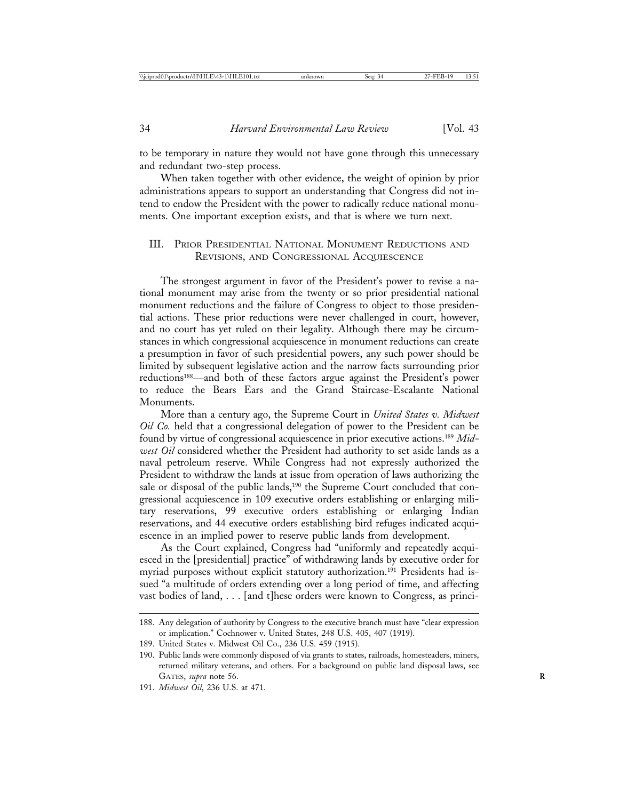to be temporary in nature they would not have gone through this unnecessary and redundant two-step process.

When taken together with other evidence, the weight of opinion by prior administrations appears to support an understanding that Congress did not intend to endow the President with the power to radically reduce national monuments. One important exception exists, and that is where we turn next.

#### III. PRIOR PRESIDENTIAL NATIONAL MONUMENT REDUCTIONS AND REVISIONS, AND CONGRESSIONAL ACQUIESCENCE

The strongest argument in favor of the President's power to revise a national monument may arise from the twenty or so prior presidential national monument reductions and the failure of Congress to object to those presidential actions. These prior reductions were never challenged in court, however, and no court has yet ruled on their legality. Although there may be circumstances in which congressional acquiescence in monument reductions can create a presumption in favor of such presidential powers, any such power should be limited by subsequent legislative action and the narrow facts surrounding prior reductions188—and both of these factors argue against the President's power to reduce the Bears Ears and the Grand Staircase-Escalante National Monuments.

More than a century ago, the Supreme Court in *United States v. Midwest Oil Co.* held that a congressional delegation of power to the President can be found by virtue of congressional acquiescence in prior executive actions.189 *Midwest Oil* considered whether the President had authority to set aside lands as a naval petroleum reserve. While Congress had not expressly authorized the President to withdraw the lands at issue from operation of laws authorizing the sale or disposal of the public lands,<sup>190</sup> the Supreme Court concluded that congressional acquiescence in 109 executive orders establishing or enlarging military reservations, 99 executive orders establishing or enlarging Indian reservations, and 44 executive orders establishing bird refuges indicated acquiescence in an implied power to reserve public lands from development.

As the Court explained, Congress had "uniformly and repeatedly acquiesced in the [presidential] practice" of withdrawing lands by executive order for myriad purposes without explicit statutory authorization.191 Presidents had issued "a multitude of orders extending over a long period of time, and affecting vast bodies of land, . . . [and t]hese orders were known to Congress, as princi-

191. *Midwest Oil*, 236 U.S. at 471.

<sup>188.</sup> Any delegation of authority by Congress to the executive branch must have "clear expression or implication." Cochnower v. United States, 248 U.S. 405, 407 (1919).

<sup>189.</sup> United States v. Midwest Oil Co., 236 U.S. 459 (1915).

<sup>190.</sup> Public lands were commonly disposed of via grants to states, railroads, homesteaders, miners, returned military veterans, and others. For a background on public land disposal laws, see GATES, *supra* note 56. **R**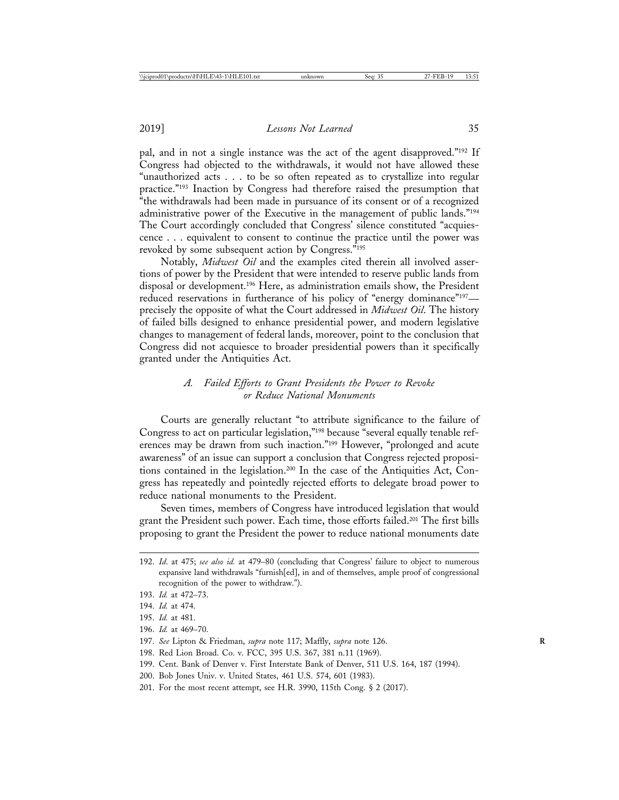pal, and in not a single instance was the act of the agent disapproved."192 If Congress had objected to the withdrawals, it would not have allowed these "unauthorized acts . . . to be so often repeated as to crystallize into regular practice."193 Inaction by Congress had therefore raised the presumption that "the withdrawals had been made in pursuance of its consent or of a recognized administrative power of the Executive in the management of public lands."194 The Court accordingly concluded that Congress' silence constituted "acquiescence . . . equivalent to consent to continue the practice until the power was revoked by some subsequent action by Congress."195

Notably, *Midwest Oil* and the examples cited therein all involved assertions of power by the President that were intended to reserve public lands from disposal or development.196 Here, as administration emails show, the President reduced reservations in furtherance of his policy of "energy dominance"<sup>197</sup> precisely the opposite of what the Court addressed in *Midwest Oil*. The history of failed bills designed to enhance presidential power, and modern legislative changes to management of federal lands, moreover, point to the conclusion that Congress did not acquiesce to broader presidential powers than it specifically granted under the Antiquities Act.

### *A. Failed Efforts to Grant Presidents the Power to Revoke or Reduce National Monuments*

Courts are generally reluctant "to attribute significance to the failure of Congress to act on particular legislation,"198 because "several equally tenable references may be drawn from such inaction."199 However, "prolonged and acute awareness" of an issue can support a conclusion that Congress rejected propositions contained in the legislation.200 In the case of the Antiquities Act, Congress has repeatedly and pointedly rejected efforts to delegate broad power to reduce national monuments to the President.

Seven times, members of Congress have introduced legislation that would grant the President such power. Each time, those efforts failed.201 The first bills proposing to grant the President the power to reduce national monuments date

195. *Id.* at 481.

<sup>192.</sup> *Id*. at 475; *see also id.* at 479–80 (concluding that Congress' failure to object to numerous expansive land withdrawals "furnish[ed], in and of themselves, ample proof of congressional recognition of the power to withdraw.").

<sup>193.</sup> *Id.* at 472–73.

<sup>194.</sup> *Id.* at 474.

<sup>196.</sup> *Id.* at 469–70.

<sup>197.</sup> *See* Lipton & Friedman, *supra* note 117; Maffly, *supra* note 126. **R**

<sup>198.</sup> Red Lion Broad. Co. v. FCC, 395 U.S. 367, 381 n.11 (1969).

<sup>199.</sup> Cent. Bank of Denver v. First Interstate Bank of Denver, 511 U.S. 164, 187 (1994).

<sup>200.</sup> Bob Jones Univ. v. United States, 461 U.S. 574, 601 (1983).

<sup>201.</sup> For the most recent attempt, see H.R. 3990, 115th Cong. § 2 (2017).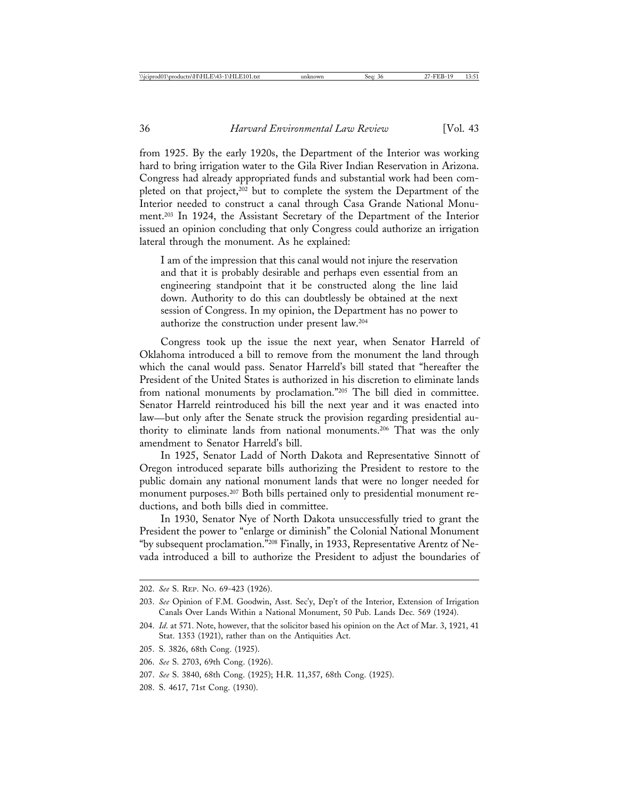from 1925. By the early 1920s, the Department of the Interior was working hard to bring irrigation water to the Gila River Indian Reservation in Arizona. Congress had already appropriated funds and substantial work had been completed on that project,<sup>202</sup> but to complete the system the Department of the Interior needed to construct a canal through Casa Grande National Monument.203 In 1924, the Assistant Secretary of the Department of the Interior issued an opinion concluding that only Congress could authorize an irrigation lateral through the monument. As he explained:

I am of the impression that this canal would not injure the reservation and that it is probably desirable and perhaps even essential from an engineering standpoint that it be constructed along the line laid down. Authority to do this can doubtlessly be obtained at the next session of Congress. In my opinion, the Department has no power to authorize the construction under present law.204

Congress took up the issue the next year, when Senator Harreld of Oklahoma introduced a bill to remove from the monument the land through which the canal would pass. Senator Harreld's bill stated that "hereafter the President of the United States is authorized in his discretion to eliminate lands from national monuments by proclamation."205 The bill died in committee. Senator Harreld reintroduced his bill the next year and it was enacted into law—but only after the Senate struck the provision regarding presidential authority to eliminate lands from national monuments.206 That was the only amendment to Senator Harreld's bill.

In 1925, Senator Ladd of North Dakota and Representative Sinnott of Oregon introduced separate bills authorizing the President to restore to the public domain any national monument lands that were no longer needed for monument purposes.207 Both bills pertained only to presidential monument reductions, and both bills died in committee.

In 1930, Senator Nye of North Dakota unsuccessfully tried to grant the President the power to "enlarge or diminish" the Colonial National Monument "by subsequent proclamation."208 Finally, in 1933, Representative Arentz of Nevada introduced a bill to authorize the President to adjust the boundaries of

<sup>202.</sup> *See* S. REP. NO. 69-423 (1926).

<sup>203.</sup> *See* Opinion of F.M. Goodwin, Asst. Sec'y, Dep't of the Interior, Extension of Irrigation Canals Over Lands Within a National Monument, 50 Pub. Lands Dec. 569 (1924).

<sup>204.</sup> *Id*. at 571. Note, however, that the solicitor based his opinion on the Act of Mar. 3, 1921, 41 Stat. 1353 (1921), rather than on the Antiquities Act.

<sup>205.</sup> S. 3826, 68th Cong. (1925).

<sup>206.</sup> *See* S. 2703, 69th Cong. (1926).

<sup>207.</sup> *See* S. 3840, 68th Cong. (1925); H.R. 11,357, 68th Cong. (1925).

<sup>208.</sup> S. 4617, 71st Cong. (1930).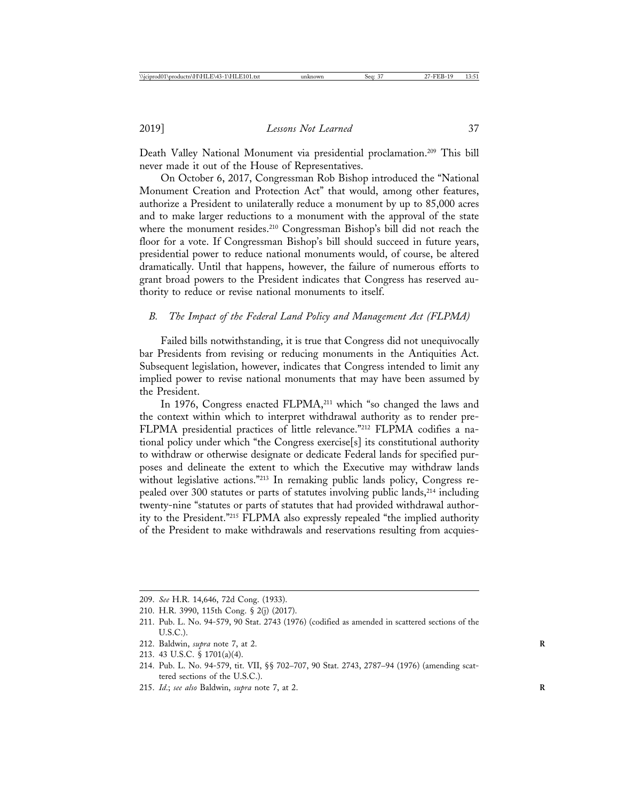Death Valley National Monument via presidential proclamation.<sup>209</sup> This bill never made it out of the House of Representatives.

On October 6, 2017, Congressman Rob Bishop introduced the "National Monument Creation and Protection Act" that would, among other features, authorize a President to unilaterally reduce a monument by up to 85,000 acres and to make larger reductions to a monument with the approval of the state where the monument resides.<sup>210</sup> Congressman Bishop's bill did not reach the floor for a vote. If Congressman Bishop's bill should succeed in future years, presidential power to reduce national monuments would, of course, be altered dramatically. Until that happens, however, the failure of numerous efforts to grant broad powers to the President indicates that Congress has reserved authority to reduce or revise national monuments to itself.

## *B. The Impact of the Federal Land Policy and Management Act (FLPMA)*

Failed bills notwithstanding, it is true that Congress did not unequivocally bar Presidents from revising or reducing monuments in the Antiquities Act. Subsequent legislation, however, indicates that Congress intended to limit any implied power to revise national monuments that may have been assumed by the President.

In 1976, Congress enacted FLPMA,<sup>211</sup> which "so changed the laws and the context within which to interpret withdrawal authority as to render pre-FLPMA presidential practices of little relevance."212 FLPMA codifies a national policy under which "the Congress exercise[s] its constitutional authority to withdraw or otherwise designate or dedicate Federal lands for specified purposes and delineate the extent to which the Executive may withdraw lands without legislative actions."<sup>213</sup> In remaking public lands policy, Congress repealed over 300 statutes or parts of statutes involving public lands,<sup>214</sup> including twenty-nine "statutes or parts of statutes that had provided withdrawal authority to the President."215 FLPMA also expressly repealed "the implied authority of the President to make withdrawals and reservations resulting from acquies-

- 212. Baldwin, *supra* note 7, at 2. **R**
- 213. 43 U.S.C. § 1701(a)(4).
- 214. Pub. L. No. 94-579, tit. VII, §§ 702–707, 90 Stat. 2743, 2787–94 (1976) (amending scattered sections of the U.S.C.).
- 215. *Id*.; *see also* Baldwin, *supra* note 7, at 2. **R**

<sup>209.</sup> *See* H.R. 14,646, 72d Cong. (1933).

<sup>210.</sup> H.R. 3990, 115th Cong. § 2(j) (2017).

<sup>211.</sup> Pub. L. No. 94-579, 90 Stat. 2743 (1976) (codified as amended in scattered sections of the U.S.C.).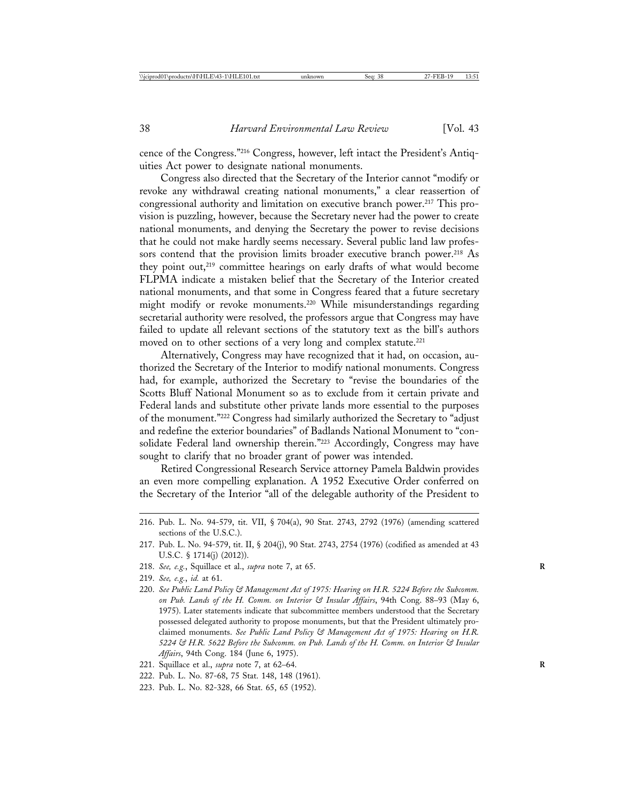cence of the Congress."216 Congress, however, left intact the President's Antiquities Act power to designate national monuments.

Congress also directed that the Secretary of the Interior cannot "modify or revoke any withdrawal creating national monuments," a clear reassertion of congressional authority and limitation on executive branch power.<sup>217</sup> This provision is puzzling, however, because the Secretary never had the power to create national monuments, and denying the Secretary the power to revise decisions that he could not make hardly seems necessary. Several public land law professors contend that the provision limits broader executive branch power.<sup>218</sup> As they point out,219 committee hearings on early drafts of what would become FLPMA indicate a mistaken belief that the Secretary of the Interior created national monuments, and that some in Congress feared that a future secretary might modify or revoke monuments.220 While misunderstandings regarding secretarial authority were resolved, the professors argue that Congress may have failed to update all relevant sections of the statutory text as the bill's authors moved on to other sections of a very long and complex statute.<sup>221</sup>

Alternatively, Congress may have recognized that it had, on occasion, authorized the Secretary of the Interior to modify national monuments. Congress had, for example, authorized the Secretary to "revise the boundaries of the Scotts Bluff National Monument so as to exclude from it certain private and Federal lands and substitute other private lands more essential to the purposes of the monument."222 Congress had similarly authorized the Secretary to "adjust and redefine the exterior boundaries" of Badlands National Monument to "consolidate Federal land ownership therein."223 Accordingly, Congress may have sought to clarify that no broader grant of power was intended.

Retired Congressional Research Service attorney Pamela Baldwin provides an even more compelling explanation. A 1952 Executive Order conferred on the Secretary of the Interior "all of the delegable authority of the President to

- 218. *See, e.g.*, Squillace et al., *supra* note 7, at 65. **R**
- 219. *See, e.g.*, *id.* at 61.
- 220. *See Public Land Policy & Management Act of 1975: Hearing on H.R. 5224 Before the Subcomm. on Pub. Lands of the H. Comm. on Interior & Insular Affairs*, 94th Cong. 88–93 (May 6, 1975). Later statements indicate that subcommittee members understood that the Secretary possessed delegated authority to propose monuments, but that the President ultimately proclaimed monuments. *See Public Land Policy & Management Act of 1975: Hearing on H.R. 5224 & H.R. 5622 Before the Subcomm. on Pub. Lands of the H. Comm. on Interior & Insular Affairs*, 94th Cong. 184 (June 6, 1975).
- 221. Squillace et al., *supra* note 7, at 62–64. **R**
- 222. Pub. L. No. 87-68, 75 Stat. 148, 148 (1961).
- 223. Pub. L. No. 82-328, 66 Stat. 65, 65 (1952).

<sup>216.</sup> Pub. L. No. 94-579, tit. VII, § 704(a), 90 Stat. 2743, 2792 (1976) (amending scattered sections of the U.S.C.).

<sup>217.</sup> Pub. L. No. 94-579, tit. II, § 204(j), 90 Stat. 2743, 2754 (1976) (codified as amended at 43 U.S.C. § 1714(j) (2012)).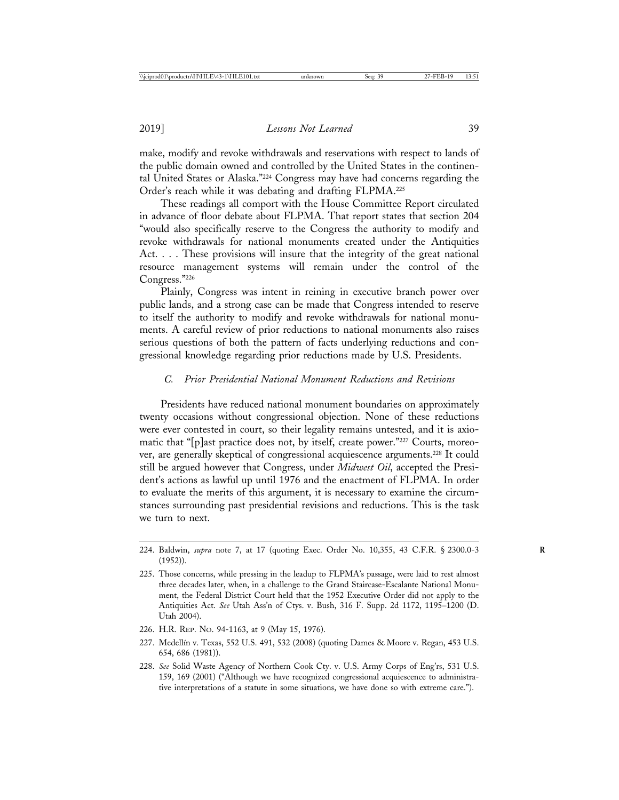make, modify and revoke withdrawals and reservations with respect to lands of the public domain owned and controlled by the United States in the continental United States or Alaska."224 Congress may have had concerns regarding the Order's reach while it was debating and drafting FLPMA.225

These readings all comport with the House Committee Report circulated in advance of floor debate about FLPMA. That report states that section 204 "would also specifically reserve to the Congress the authority to modify and revoke withdrawals for national monuments created under the Antiquities Act. . . . These provisions will insure that the integrity of the great national resource management systems will remain under the control of the Congress."226

Plainly, Congress was intent in reining in executive branch power over public lands, and a strong case can be made that Congress intended to reserve to itself the authority to modify and revoke withdrawals for national monuments. A careful review of prior reductions to national monuments also raises serious questions of both the pattern of facts underlying reductions and congressional knowledge regarding prior reductions made by U.S. Presidents.

# *C. Prior Presidential National Monument Reductions and Revisions*

Presidents have reduced national monument boundaries on approximately twenty occasions without congressional objection. None of these reductions were ever contested in court, so their legality remains untested, and it is axiomatic that "[p]ast practice does not, by itself, create power."227 Courts, moreover, are generally skeptical of congressional acquiescence arguments.228 It could still be argued however that Congress, under *Midwest Oil*, accepted the President's actions as lawful up until 1976 and the enactment of FLPMA. In order to evaluate the merits of this argument, it is necessary to examine the circumstances surrounding past presidential revisions and reductions. This is the task we turn to next.

- 226. H.R. REP. NO. 94-1163, at 9 (May 15, 1976).
- 227. Medellín v. Texas, 552 U.S. 491, 532 (2008) (quoting Dames & Moore v. Regan, 453 U.S. 654, 686 (1981)).
- 228. *See* Solid Waste Agency of Northern Cook Cty. v. U.S. Army Corps of Eng'rs, 531 U.S. 159, 169 (2001) ("Although we have recognized congressional acquiescence to administrative interpretations of a statute in some situations, we have done so with extreme care.").

<sup>224.</sup> Baldwin, *supra* note 7, at 17 (quoting Exec. Order No. 10,355, 43 C.F.R. § 2300.0-3 **R** (1952)).

<sup>225.</sup> Those concerns, while pressing in the leadup to FLPMA's passage, were laid to rest almost three decades later, when, in a challenge to the Grand Staircase-Escalante National Monument, the Federal District Court held that the 1952 Executive Order did not apply to the Antiquities Act. *See* Utah Ass'n of Ctys. v. Bush, 316 F. Supp. 2d 1172, 1195–1200 (D. Utah 2004).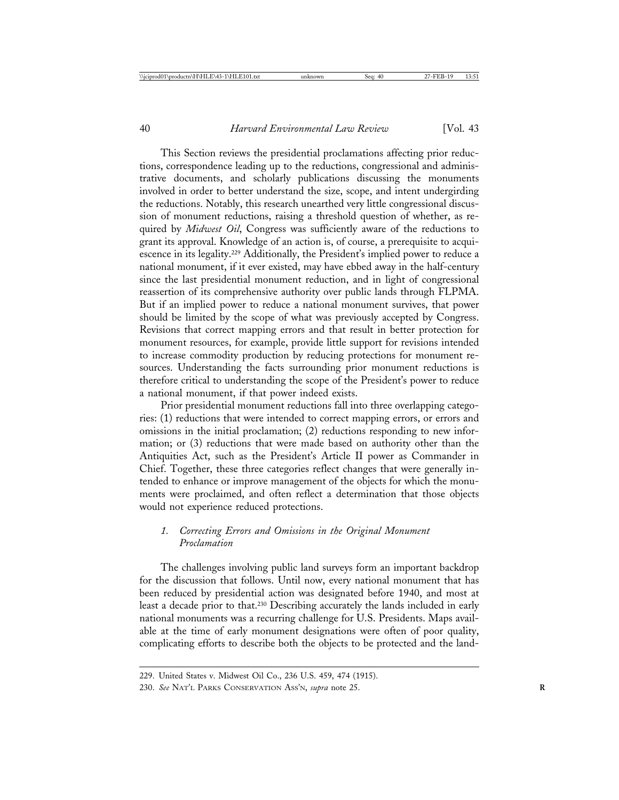This Section reviews the presidential proclamations affecting prior reductions, correspondence leading up to the reductions, congressional and administrative documents, and scholarly publications discussing the monuments involved in order to better understand the size, scope, and intent undergirding the reductions. Notably, this research unearthed very little congressional discussion of monument reductions, raising a threshold question of whether, as required by *Midwest Oil*, Congress was sufficiently aware of the reductions to grant its approval. Knowledge of an action is, of course, a prerequisite to acquiescence in its legality.229 Additionally, the President's implied power to reduce a national monument, if it ever existed, may have ebbed away in the half-century since the last presidential monument reduction, and in light of congressional reassertion of its comprehensive authority over public lands through FLPMA. But if an implied power to reduce a national monument survives, that power should be limited by the scope of what was previously accepted by Congress. Revisions that correct mapping errors and that result in better protection for monument resources, for example, provide little support for revisions intended to increase commodity production by reducing protections for monument resources. Understanding the facts surrounding prior monument reductions is therefore critical to understanding the scope of the President's power to reduce a national monument, if that power indeed exists.

Prior presidential monument reductions fall into three overlapping categories: (1) reductions that were intended to correct mapping errors, or errors and omissions in the initial proclamation; (2) reductions responding to new information; or (3) reductions that were made based on authority other than the Antiquities Act, such as the President's Article II power as Commander in Chief. Together, these three categories reflect changes that were generally intended to enhance or improve management of the objects for which the monuments were proclaimed, and often reflect a determination that those objects would not experience reduced protections.

# *1. Correcting Errors and Omissions in the Original Monument Proclamation*

The challenges involving public land surveys form an important backdrop for the discussion that follows. Until now, every national monument that has been reduced by presidential action was designated before 1940, and most at least a decade prior to that.230 Describing accurately the lands included in early national monuments was a recurring challenge for U.S. Presidents. Maps available at the time of early monument designations were often of poor quality, complicating efforts to describe both the objects to be protected and the land-

<sup>229.</sup> United States v. Midwest Oil Co., 236 U.S. 459, 474 (1915).

<sup>230.</sup> *See* NAT'L PARKS CONSERVATION ASS'N, *supra* note 25. **R**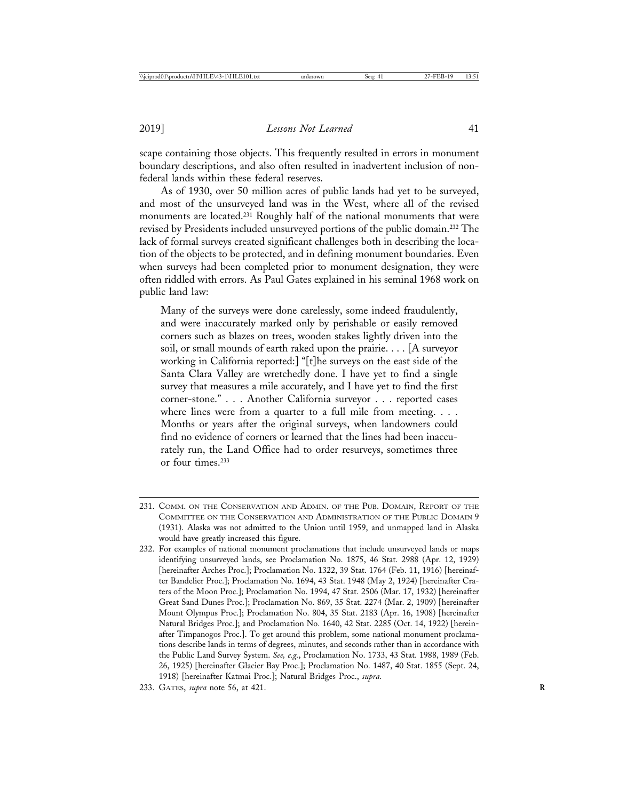scape containing those objects. This frequently resulted in errors in monument boundary descriptions, and also often resulted in inadvertent inclusion of nonfederal lands within these federal reserves.

As of 1930, over 50 million acres of public lands had yet to be surveyed, and most of the unsurveyed land was in the West, where all of the revised monuments are located.231 Roughly half of the national monuments that were revised by Presidents included unsurveyed portions of the public domain.232 The lack of formal surveys created significant challenges both in describing the location of the objects to be protected, and in defining monument boundaries. Even when surveys had been completed prior to monument designation, they were often riddled with errors. As Paul Gates explained in his seminal 1968 work on public land law:

Many of the surveys were done carelessly, some indeed fraudulently, and were inaccurately marked only by perishable or easily removed corners such as blazes on trees, wooden stakes lightly driven into the soil, or small mounds of earth raked upon the prairie. . . . [A surveyor working in California reported:] "[t]he surveys on the east side of the Santa Clara Valley are wretchedly done. I have yet to find a single survey that measures a mile accurately, and I have yet to find the first corner-stone." . . . Another California surveyor . . . reported cases where lines were from a quarter to a full mile from meeting. . . . Months or years after the original surveys, when landowners could find no evidence of corners or learned that the lines had been inaccurately run, the Land Office had to order resurveys, sometimes three or four times.233

<sup>231.</sup> COMM. ON THE CONSERVATION AND ADMIN. OF THE PUB. DOMAIN, REPORT OF THE COMMITTEE ON THE CONSERVATION AND ADMINISTRATION OF THE PUBLIC DOMAIN 9 (1931). Alaska was not admitted to the Union until 1959, and unmapped land in Alaska would have greatly increased this figure.

<sup>232.</sup> For examples of national monument proclamations that include unsurveyed lands or maps identifying unsurveyed lands, see Proclamation No. 1875, 46 Stat. 2988 (Apr. 12, 1929) [hereinafter Arches Proc.]; Proclamation No. 1322, 39 Stat. 1764 (Feb. 11, 1916) [hereinafter Bandelier Proc.]; Proclamation No. 1694, 43 Stat. 1948 (May 2, 1924) [hereinafter Craters of the Moon Proc.]; Proclamation No. 1994, 47 Stat. 2506 (Mar. 17, 1932) [hereinafter Great Sand Dunes Proc.]; Proclamation No. 869, 35 Stat. 2274 (Mar. 2, 1909) [hereinafter Mount Olympus Proc.]; Proclamation No. 804, 35 Stat. 2183 (Apr. 16, 1908) [hereinafter Natural Bridges Proc.]; and Proclamation No. 1640, 42 Stat. 2285 (Oct. 14, 1922) [hereinafter Timpanogos Proc.]. To get around this problem, some national monument proclamations describe lands in terms of degrees, minutes, and seconds rather than in accordance with the Public Land Survey System. *See, e.g.*, Proclamation No. 1733, 43 Stat. 1988, 1989 (Feb. 26, 1925) [hereinafter Glacier Bay Proc.]; Proclamation No. 1487, 40 Stat. 1855 (Sept. 24, 1918) [hereinafter Katmai Proc.]; Natural Bridges Proc., *supra*.

<sup>233.</sup> GATES, *supra* note 56, at 421. **R**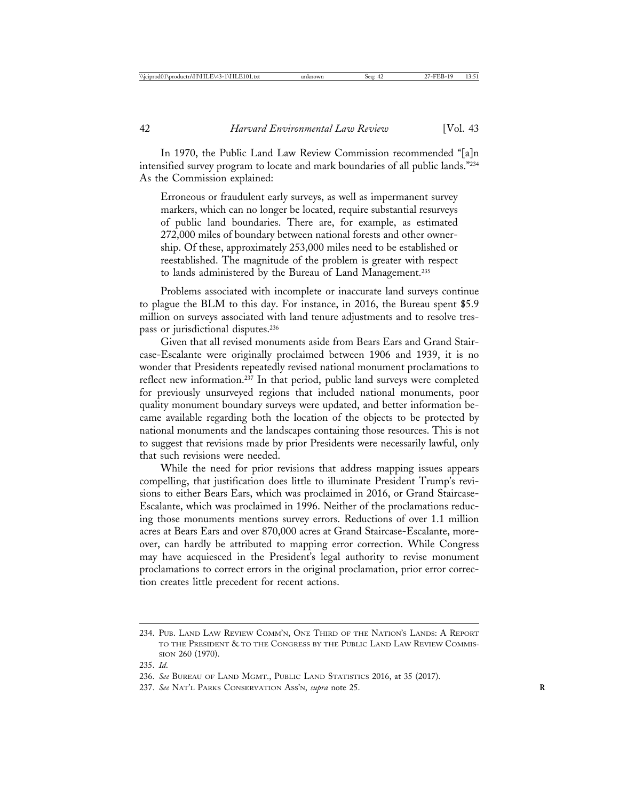In 1970, the Public Land Law Review Commission recommended "[a]n intensified survey program to locate and mark boundaries of all public lands."234 As the Commission explained:

Erroneous or fraudulent early surveys, as well as impermanent survey markers, which can no longer be located, require substantial resurveys of public land boundaries. There are, for example, as estimated 272,000 miles of boundary between national forests and other ownership. Of these, approximately 253,000 miles need to be established or reestablished. The magnitude of the problem is greater with respect to lands administered by the Bureau of Land Management.235

Problems associated with incomplete or inaccurate land surveys continue to plague the BLM to this day. For instance, in 2016, the Bureau spent \$5.9 million on surveys associated with land tenure adjustments and to resolve trespass or jurisdictional disputes.<sup>236</sup>

Given that all revised monuments aside from Bears Ears and Grand Staircase-Escalante were originally proclaimed between 1906 and 1939, it is no wonder that Presidents repeatedly revised national monument proclamations to reflect new information.237 In that period, public land surveys were completed for previously unsurveyed regions that included national monuments, poor quality monument boundary surveys were updated, and better information became available regarding both the location of the objects to be protected by national monuments and the landscapes containing those resources. This is not to suggest that revisions made by prior Presidents were necessarily lawful, only that such revisions were needed.

While the need for prior revisions that address mapping issues appears compelling, that justification does little to illuminate President Trump's revisions to either Bears Ears, which was proclaimed in 2016, or Grand Staircase-Escalante, which was proclaimed in 1996. Neither of the proclamations reducing those monuments mentions survey errors. Reductions of over 1.1 million acres at Bears Ears and over 870,000 acres at Grand Staircase-Escalante, moreover, can hardly be attributed to mapping error correction. While Congress may have acquiesced in the President's legal authority to revise monument proclamations to correct errors in the original proclamation, prior error correction creates little precedent for recent actions.

<sup>234.</sup> PUB. LAND LAW REVIEW COMM'N, ONE THIRD OF THE NATION'S LANDS: A REPORT TO THE PRESIDENT & TO THE CONGRESS BY THE PUBLIC LAND LAW REVIEW COMMIS-SION 260 (1970).

<sup>235.</sup> *Id*.

<sup>236.</sup> *See* BUREAU OF LAND MGMT., PUBLIC LAND STATISTICS 2016, at 35 (2017).

<sup>237.</sup> See NAT'L PARKS CONSERVATION Ass'N, *supra* note 25.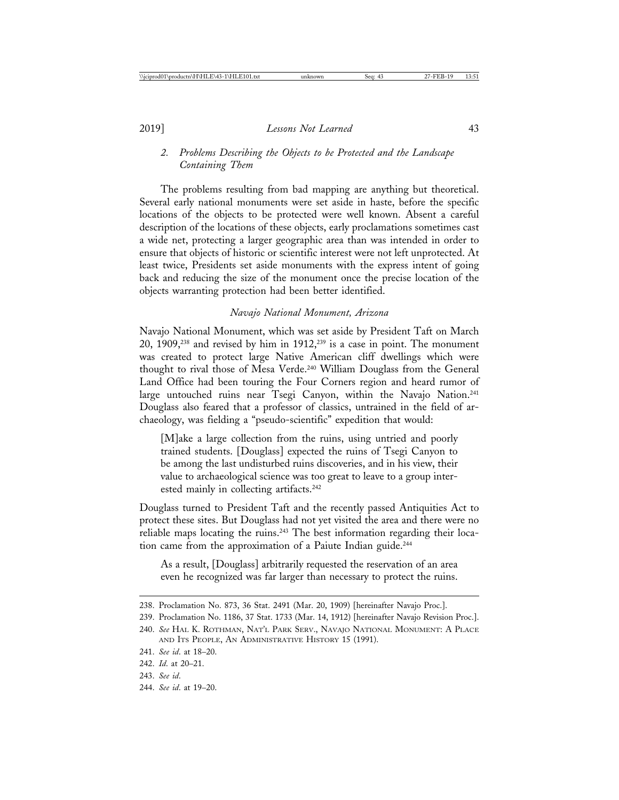*2. Problems Describing the Objects to be Protected and the Landscape Containing Them*

The problems resulting from bad mapping are anything but theoretical. Several early national monuments were set aside in haste, before the specific locations of the objects to be protected were well known. Absent a careful description of the locations of these objects, early proclamations sometimes cast a wide net, protecting a larger geographic area than was intended in order to ensure that objects of historic or scientific interest were not left unprotected. At least twice, Presidents set aside monuments with the express intent of going back and reducing the size of the monument once the precise location of the objects warranting protection had been better identified.

#### *Navajo National Monument, Arizona*

Navajo National Monument, which was set aside by President Taft on March 20, 1909,238 and revised by him in 1912,239 is a case in point. The monument was created to protect large Native American cliff dwellings which were thought to rival those of Mesa Verde.240 William Douglass from the General Land Office had been touring the Four Corners region and heard rumor of large untouched ruins near Tsegi Canyon, within the Navajo Nation.<sup>241</sup> Douglass also feared that a professor of classics, untrained in the field of archaeology, was fielding a "pseudo-scientific" expedition that would:

[M]ake a large collection from the ruins, using untried and poorly trained students. [Douglass] expected the ruins of Tsegi Canyon to be among the last undisturbed ruins discoveries, and in his view, their value to archaeological science was too great to leave to a group interested mainly in collecting artifacts.<sup>242</sup>

Douglass turned to President Taft and the recently passed Antiquities Act to protect these sites. But Douglass had not yet visited the area and there were no reliable maps locating the ruins.<sup>243</sup> The best information regarding their location came from the approximation of a Paiute Indian guide.<sup>244</sup>

As a result, [Douglass] arbitrarily requested the reservation of an area even he recognized was far larger than necessary to protect the ruins.

- 243. *See id*.
- 244. *See id*. at 19–20.

<sup>238.</sup> Proclamation No. 873, 36 Stat. 2491 (Mar. 20, 1909) [hereinafter Navajo Proc.].

<sup>239.</sup> Proclamation No. 1186, 37 Stat. 1733 (Mar. 14, 1912) [hereinafter Navajo Revision Proc.].

<sup>240.</sup> *See* HAL K. ROTHMAN, NAT'L PARK SERV., NAVAJO NATIONAL MONUMENT: A PLACE AND ITS PEOPLE, AN ADMINISTRATIVE HISTORY 15 (1991).

<sup>241.</sup> *See id*. at 18–20.

<sup>242.</sup> *Id*. at 20–21.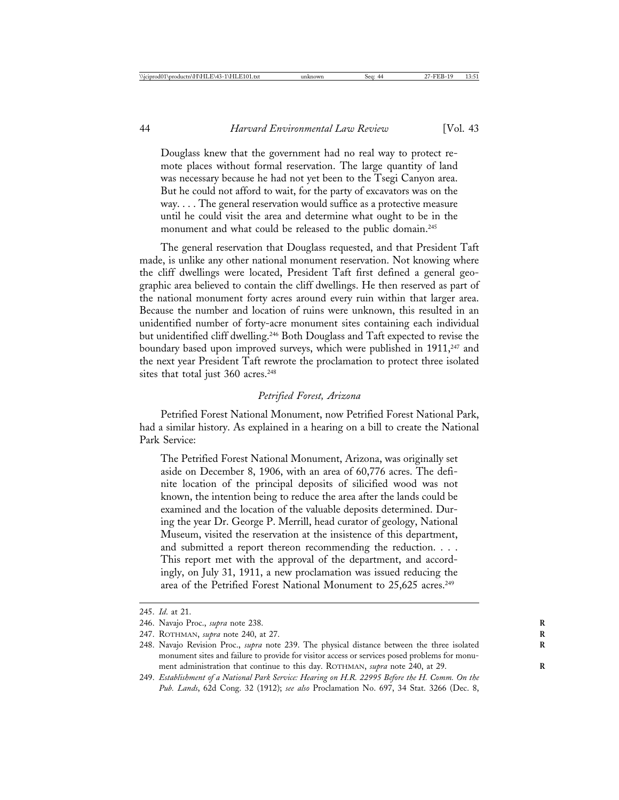Douglass knew that the government had no real way to protect remote places without formal reservation. The large quantity of land was necessary because he had not yet been to the Tsegi Canyon area. But he could not afford to wait, for the party of excavators was on the way. . . . The general reservation would suffice as a protective measure until he could visit the area and determine what ought to be in the monument and what could be released to the public domain.<sup>245</sup>

The general reservation that Douglass requested, and that President Taft made, is unlike any other national monument reservation. Not knowing where the cliff dwellings were located, President Taft first defined a general geographic area believed to contain the cliff dwellings. He then reserved as part of the national monument forty acres around every ruin within that larger area. Because the number and location of ruins were unknown, this resulted in an unidentified number of forty-acre monument sites containing each individual but unidentified cliff dwelling.246 Both Douglass and Taft expected to revise the boundary based upon improved surveys, which were published in 1911,<sup>247</sup> and the next year President Taft rewrote the proclamation to protect three isolated sites that total just 360 acres.<sup>248</sup>

## *Petrified Forest, Arizona*

Petrified Forest National Monument, now Petrified Forest National Park, had a similar history. As explained in a hearing on a bill to create the National Park Service:

The Petrified Forest National Monument, Arizona, was originally set aside on December 8, 1906, with an area of 60,776 acres. The definite location of the principal deposits of silicified wood was not known, the intention being to reduce the area after the lands could be examined and the location of the valuable deposits determined. During the year Dr. George P. Merrill, head curator of geology, National Museum, visited the reservation at the insistence of this department, and submitted a report thereon recommending the reduction. . . . This report met with the approval of the department, and accordingly, on July 31, 1911, a new proclamation was issued reducing the area of the Petrified Forest National Monument to 25,625 acres.<sup>249</sup>

<sup>245.</sup> *Id*. at 21.

<sup>246.</sup> Navajo Proc., *supra* note 238. **R**

<sup>247.</sup> ROTHMAN, *supra* note 240, at 27. **R**

<sup>248.</sup> Navajo Revision Proc., *supra* note 239. The physical distance between the three isolated **R** monument sites and failure to provide for visitor access or services posed problems for monument administration that continue to this day. ROTHMAN, *supra* note 240, at 29.

<sup>249.</sup> *Establishment of a National Park Service: Hearing on H.R. 22995 Before the H. Comm. On the Pub. Lands*, 62d Cong. 32 (1912); *see also* Proclamation No. 697, 34 Stat. 3266 (Dec. 8,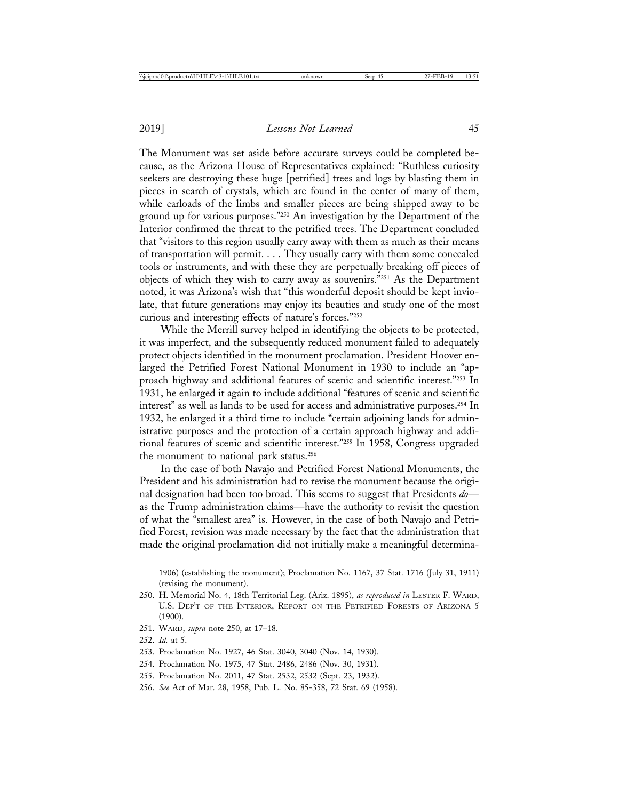The Monument was set aside before accurate surveys could be completed because, as the Arizona House of Representatives explained: "Ruthless curiosity seekers are destroying these huge [petrified] trees and logs by blasting them in pieces in search of crystals, which are found in the center of many of them, while carloads of the limbs and smaller pieces are being shipped away to be ground up for various purposes."250 An investigation by the Department of the Interior confirmed the threat to the petrified trees. The Department concluded that "visitors to this region usually carry away with them as much as their means of transportation will permit. . . . They usually carry with them some concealed tools or instruments, and with these they are perpetually breaking off pieces of objects of which they wish to carry away as souvenirs."251 As the Department noted, it was Arizona's wish that "this wonderful deposit should be kept inviolate, that future generations may enjoy its beauties and study one of the most curious and interesting effects of nature's forces."252

While the Merrill survey helped in identifying the objects to be protected, it was imperfect, and the subsequently reduced monument failed to adequately protect objects identified in the monument proclamation. President Hoover enlarged the Petrified Forest National Monument in 1930 to include an "approach highway and additional features of scenic and scientific interest."253 In 1931, he enlarged it again to include additional "features of scenic and scientific interest" as well as lands to be used for access and administrative purposes.254 In 1932, he enlarged it a third time to include "certain adjoining lands for administrative purposes and the protection of a certain approach highway and additional features of scenic and scientific interest."255 In 1958, Congress upgraded the monument to national park status.<sup>256</sup>

In the case of both Navajo and Petrified Forest National Monuments, the President and his administration had to revise the monument because the original designation had been too broad. This seems to suggest that Presidents *do* as the Trump administration claims—have the authority to revisit the question of what the "smallest area" is. However, in the case of both Navajo and Petrified Forest, revision was made necessary by the fact that the administration that made the original proclamation did not initially make a meaningful determina-

1906) (establishing the monument); Proclamation No. 1167, 37 Stat. 1716 (July 31, 1911) (revising the monument).

- 251. WARD, *supra* note 250, at 17–18.
- 252. *Id.* at 5.
- 253. Proclamation No. 1927, 46 Stat. 3040, 3040 (Nov. 14, 1930).
- 254. Proclamation No. 1975, 47 Stat. 2486, 2486 (Nov. 30, 1931).
- 255. Proclamation No. 2011, 47 Stat. 2532, 2532 (Sept. 23, 1932).
- 256. *See* Act of Mar. 28, 1958, Pub. L. No. 85-358, 72 Stat. 69 (1958).

<sup>250.</sup> H. Memorial No. 4, 18th Territorial Leg. (Ariz. 1895), *as reproduced in* LESTER F. WARD, U.S. DEP'T OF THE INTERIOR, REPORT ON THE PETRIFIED FORESTS OF ARIZONA 5 (1900).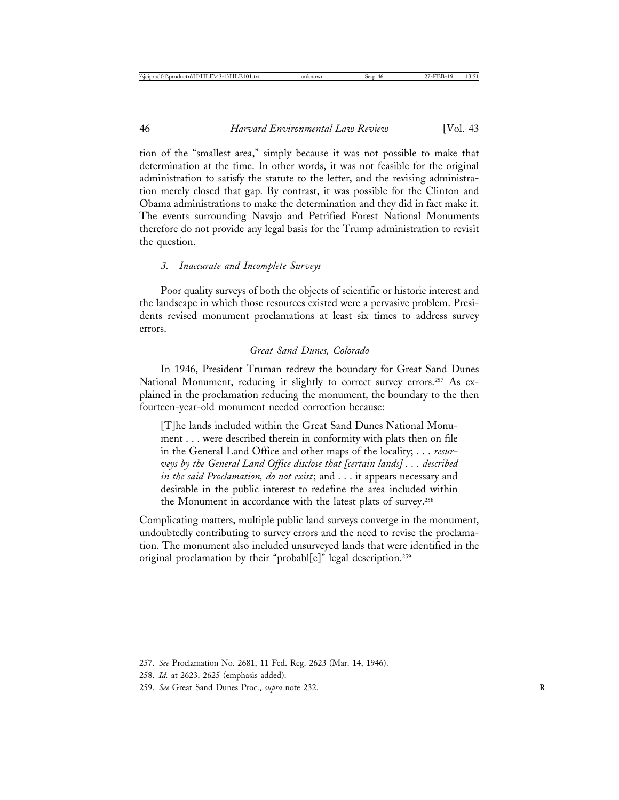tion of the "smallest area," simply because it was not possible to make that determination at the time. In other words, it was not feasible for the original administration to satisfy the statute to the letter, and the revising administration merely closed that gap. By contrast, it was possible for the Clinton and Obama administrations to make the determination and they did in fact make it. The events surrounding Navajo and Petrified Forest National Monuments therefore do not provide any legal basis for the Trump administration to revisit the question.

#### *3. Inaccurate and Incomplete Surveys*

Poor quality surveys of both the objects of scientific or historic interest and the landscape in which those resources existed were a pervasive problem. Presidents revised monument proclamations at least six times to address survey errors.

# *Great Sand Dunes, Colorado*

In 1946, President Truman redrew the boundary for Great Sand Dunes National Monument, reducing it slightly to correct survey errors.257 As explained in the proclamation reducing the monument, the boundary to the then fourteen-year-old monument needed correction because:

[T]he lands included within the Great Sand Dunes National Monument . . . were described therein in conformity with plats then on file in the General Land Office and other maps of the locality; . . . *resurveys by the General Land Office disclose that [certain lands] . . . described in the said Proclamation, do not exist*; and . . . it appears necessary and desirable in the public interest to redefine the area included within the Monument in accordance with the latest plats of survey.258

Complicating matters, multiple public land surveys converge in the monument, undoubtedly contributing to survey errors and the need to revise the proclamation. The monument also included unsurveyed lands that were identified in the original proclamation by their "probabl[e]" legal description.259

<sup>257.</sup> *See* Proclamation No. 2681, 11 Fed. Reg. 2623 (Mar. 14, 1946).

<sup>258.</sup> *Id.* at 2623, 2625 (emphasis added).

<sup>259.</sup> *See* Great Sand Dunes Proc., *supra* note 232. **R**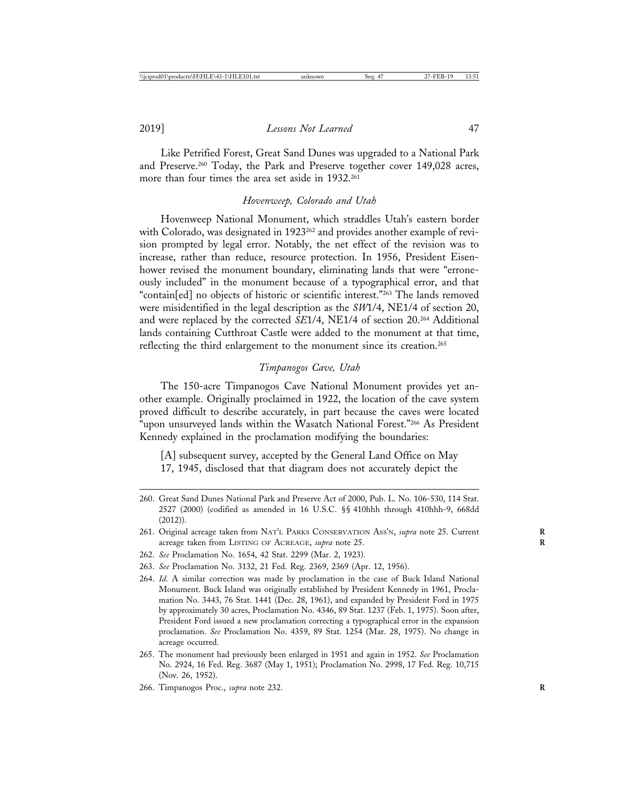Like Petrified Forest, Great Sand Dunes was upgraded to a National Park and Preserve.260 Today, the Park and Preserve together cover 149,028 acres, more than four times the area set aside in 1932.<sup>261</sup>

# *Hovenweep, Colorado and Utah*

Hovenweep National Monument, which straddles Utah's eastern border with Colorado, was designated in 1923<sup>262</sup> and provides another example of revision prompted by legal error. Notably, the net effect of the revision was to increase, rather than reduce, resource protection. In 1956, President Eisenhower revised the monument boundary, eliminating lands that were "erroneously included" in the monument because of a typographical error, and that "contain[ed] no objects of historic or scientific interest."263 The lands removed were misidentified in the legal description as the *SW*1/4, NE1/4 of section 20, and were replaced by the corrected *SE*1/4, NE1/4 of section 20.264 Additional lands containing Cutthroat Castle were added to the monument at that time, reflecting the third enlargement to the monument since its creation.<sup>265</sup>

## *Timpanogos Cave, Utah*

The 150-acre Timpanogos Cave National Monument provides yet another example. Originally proclaimed in 1922, the location of the cave system proved difficult to describe accurately, in part because the caves were located "upon unsurveyed lands within the Wasatch National Forest."266 As President Kennedy explained in the proclamation modifying the boundaries:

[A] subsequent survey, accepted by the General Land Office on May 17, 1945, disclosed that that diagram does not accurately depict the

- 260. Great Sand Dunes National Park and Preserve Act of 2000, Pub. L. No. 106-530, 114 Stat. 2527 (2000) (codified as amended in 16 U.S.C. §§ 410hhh through 410hhh-9, 668dd (2012)).
- 261. Original acreage taken from NAT'L PARKS CONSERVATION ASS'N, *supra* note 25. Current **R** acreage taken from LISTING OF ACREAGE, *supra* note 25.
- 262. *See* Proclamation No. 1654, 42 Stat. 2299 (Mar. 2, 1923).
- 263. *See* Proclamation No. 3132, 21 Fed. Reg. 2369, 2369 (Apr. 12, 1956).
- 264. *Id*. A similar correction was made by proclamation in the case of Buck Island National Monument. Buck Island was originally established by President Kennedy in 1961, Proclamation No. 3443, 76 Stat. 1441 (Dec. 28, 1961), and expanded by President Ford in 1975 by approximately 30 acres, Proclamation No. 4346, 89 Stat. 1237 (Feb. 1, 1975). Soon after, President Ford issued a new proclamation correcting a typographical error in the expansion proclamation. *See* Proclamation No. 4359, 89 Stat. 1254 (Mar. 28, 1975). No change in acreage occurred.
- 265. The monument had previously been enlarged in 1951 and again in 1952. *See* Proclamation No. 2924, 16 Fed. Reg. 3687 (May 1, 1951); Proclamation No. 2998, 17 Fed. Reg. 10,715 (Nov. 26, 1952).
- 266. Timpanogos Proc., *supra* note 232. **R**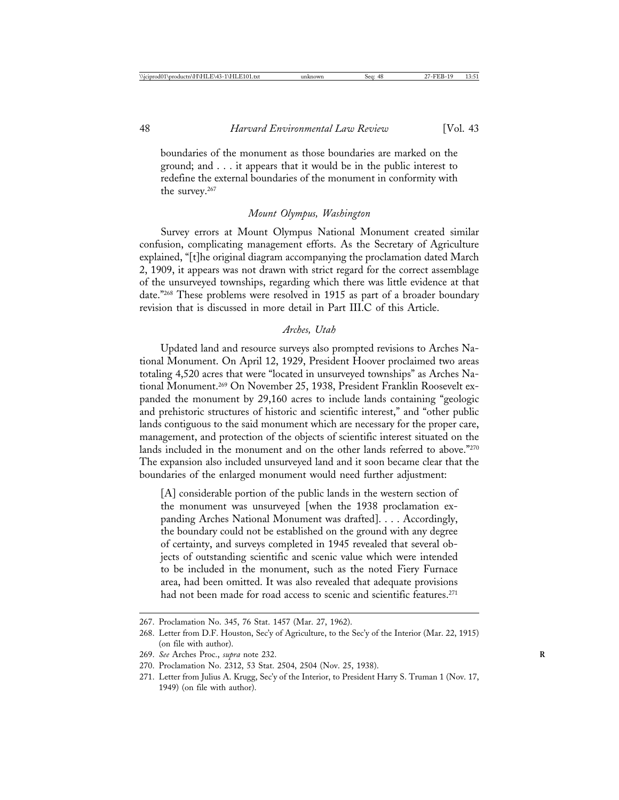boundaries of the monument as those boundaries are marked on the ground; and . . . it appears that it would be in the public interest to redefine the external boundaries of the monument in conformity with the survey.267

#### *Mount Olympus, Washington*

Survey errors at Mount Olympus National Monument created similar confusion, complicating management efforts. As the Secretary of Agriculture explained, "[t]he original diagram accompanying the proclamation dated March 2, 1909, it appears was not drawn with strict regard for the correct assemblage of the unsurveyed townships, regarding which there was little evidence at that date."268 These problems were resolved in 1915 as part of a broader boundary revision that is discussed in more detail in Part III.C of this Article.

#### *Arches, Utah*

Updated land and resource surveys also prompted revisions to Arches National Monument. On April 12, 1929, President Hoover proclaimed two areas totaling 4,520 acres that were "located in unsurveyed townships" as Arches National Monument.269 On November 25, 1938, President Franklin Roosevelt expanded the monument by 29,160 acres to include lands containing "geologic and prehistoric structures of historic and scientific interest," and "other public lands contiguous to the said monument which are necessary for the proper care, management, and protection of the objects of scientific interest situated on the lands included in the monument and on the other lands referred to above."<sup>270</sup> The expansion also included unsurveyed land and it soon became clear that the boundaries of the enlarged monument would need further adjustment:

[A] considerable portion of the public lands in the western section of the monument was unsurveyed [when the 1938 proclamation expanding Arches National Monument was drafted]. . . . Accordingly, the boundary could not be established on the ground with any degree of certainty, and surveys completed in 1945 revealed that several objects of outstanding scientific and scenic value which were intended to be included in the monument, such as the noted Fiery Furnace area, had been omitted. It was also revealed that adequate provisions had not been made for road access to scenic and scientific features.<sup>271</sup>

<sup>267.</sup> Proclamation No. 345, 76 Stat. 1457 (Mar. 27, 1962).

<sup>268.</sup> Letter from D.F. Houston, Sec'y of Agriculture, to the Sec'y of the Interior (Mar. 22, 1915) (on file with author).

<sup>269.</sup> *See* Arches Proc., *supra* note 232. **R**

<sup>270.</sup> Proclamation No. 2312, 53 Stat. 2504, 2504 (Nov. 25, 1938).

<sup>271.</sup> Letter from Julius A. Krugg, Sec'y of the Interior, to President Harry S. Truman 1 (Nov. 17, 1949) (on file with author).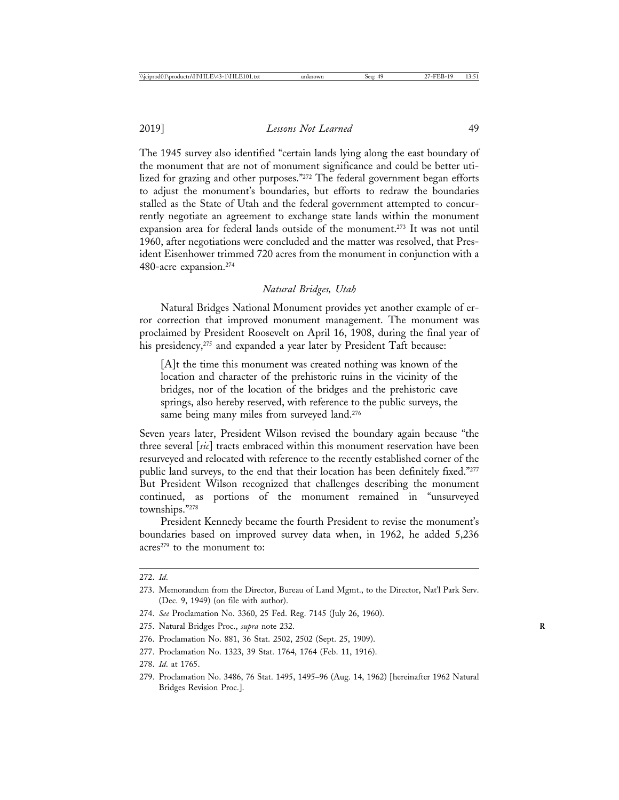2019] *Lessons Not Learned* 49

The 1945 survey also identified "certain lands lying along the east boundary of the monument that are not of monument significance and could be better utilized for grazing and other purposes."272 The federal government began efforts to adjust the monument's boundaries, but efforts to redraw the boundaries stalled as the State of Utah and the federal government attempted to concurrently negotiate an agreement to exchange state lands within the monument expansion area for federal lands outside of the monument.273 It was not until 1960, after negotiations were concluded and the matter was resolved, that President Eisenhower trimmed 720 acres from the monument in conjunction with a 480-acre expansion.274

# *Natural Bridges, Utah*

Natural Bridges National Monument provides yet another example of error correction that improved monument management. The monument was proclaimed by President Roosevelt on April 16, 1908, during the final year of his presidency,<sup>275</sup> and expanded a year later by President Taft because:

[A]t the time this monument was created nothing was known of the location and character of the prehistoric ruins in the vicinity of the bridges, nor of the location of the bridges and the prehistoric cave springs, also hereby reserved, with reference to the public surveys, the same being many miles from surveyed land.<sup>276</sup>

Seven years later, President Wilson revised the boundary again because "the three several [*sic*] tracts embraced within this monument reservation have been resurveyed and relocated with reference to the recently established corner of the public land surveys, to the end that their location has been definitely fixed."277 But President Wilson recognized that challenges describing the monument continued, as portions of the monument remained in "unsurveyed townships."278

President Kennedy became the fourth President to revise the monument's boundaries based on improved survey data when, in 1962, he added 5,236 acres<sup>279</sup> to the monument to:

- 277. Proclamation No. 1323, 39 Stat. 1764, 1764 (Feb. 11, 1916).
- 278. *Id*. at 1765.
- 279. Proclamation No. 3486, 76 Stat. 1495, 1495–96 (Aug. 14, 1962) [hereinafter 1962 Natural Bridges Revision Proc.].

<sup>272.</sup> *Id*.

<sup>273.</sup> Memorandum from the Director, Bureau of Land Mgmt., to the Director, Nat'l Park Serv. (Dec. 9, 1949) (on file with author).

<sup>274.</sup> *See* Proclamation No. 3360, 25 Fed. Reg. 7145 (July 26, 1960).

<sup>275.</sup> Natural Bridges Proc., *supra* note 232. **R**

<sup>276.</sup> Proclamation No. 881, 36 Stat. 2502, 2502 (Sept. 25, 1909).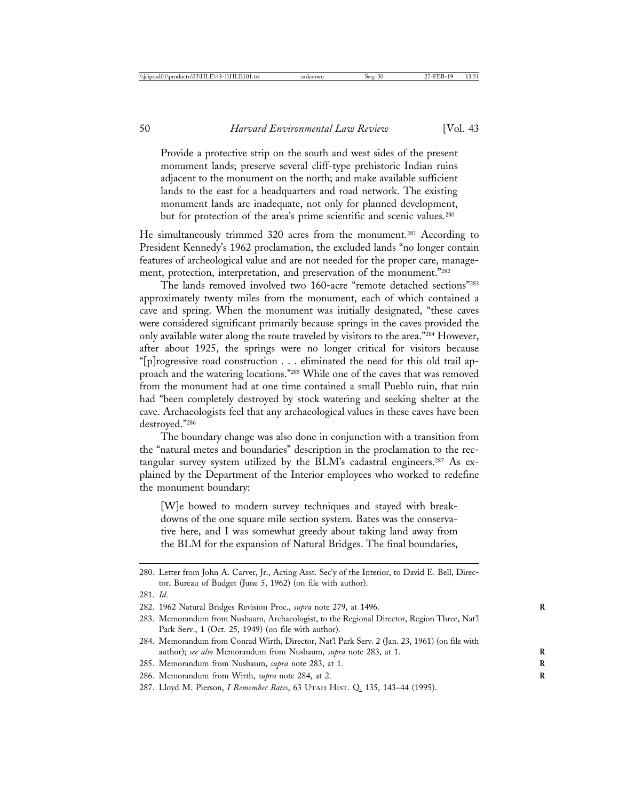Provide a protective strip on the south and west sides of the present monument lands; preserve several cliff-type prehistoric Indian ruins adjacent to the monument on the north; and make available sufficient lands to the east for a headquarters and road network. The existing monument lands are inadequate, not only for planned development, but for protection of the area's prime scientific and scenic values.<sup>280</sup>

He simultaneously trimmed 320 acres from the monument.281 According to President Kennedy's 1962 proclamation, the excluded lands "no longer contain features of archeological value and are not needed for the proper care, management, protection, interpretation, and preservation of the monument."282

The lands removed involved two 160-acre "remote detached sections"283 approximately twenty miles from the monument, each of which contained a cave and spring. When the monument was initially designated, "these caves were considered significant primarily because springs in the caves provided the only available water along the route traveled by visitors to the area."284 However, after about 1925, the springs were no longer critical for visitors because "[p]rogressive road construction . . . eliminated the need for this old trail approach and the watering locations."285 While one of the caves that was removed from the monument had at one time contained a small Pueblo ruin, that ruin had "been completely destroyed by stock watering and seeking shelter at the cave. Archaeologists feel that any archaeological values in these caves have been destroyed."286

The boundary change was also done in conjunction with a transition from the "natural metes and boundaries" description in the proclamation to the rectangular survey system utilized by the BLM's cadastral engineers.<sup>287</sup> As explained by the Department of the Interior employees who worked to redefine the monument boundary:

[W]e bowed to modern survey techniques and stayed with breakdowns of the one square mile section system. Bates was the conservative here, and I was somewhat greedy about taking land away from the BLM for the expansion of Natural Bridges. The final boundaries,

<sup>280.</sup> Letter from John A. Carver, Jr., Acting Asst. Sec'y of the Interior, to David E. Bell, Director, Bureau of Budget (June 5, 1962) (on file with author).

<sup>281.</sup> *Id*.

<sup>282. 1962</sup> Natural Bridges Revision Proc., *supra* note 279, at 1496. **R**

<sup>283.</sup> Memorandum from Nusbaum, Archaeologist, to the Regional Director, Region Three, Nat'l Park Serv., 1 (Oct. 25, 1949) (on file with author).

<sup>284.</sup> Memorandum from Conrad Wirth, Director, Nat'l Park Serv. 2 (Jan. 23, 1961) (on file with author); see also Memorandum from Nusbaum, supra note 283, at 1.

<sup>285.</sup> Memorandum from Nusbaum, *supra* note 283, at 1. **R**

<sup>286.</sup> Memorandum from Wirth, *supra* note 284, at 2. **R**

<sup>287.</sup> Lloyd M. Pierson, *I Remember Bates*, 63 UTAH HIST. Q. 135, 143–44 (1995).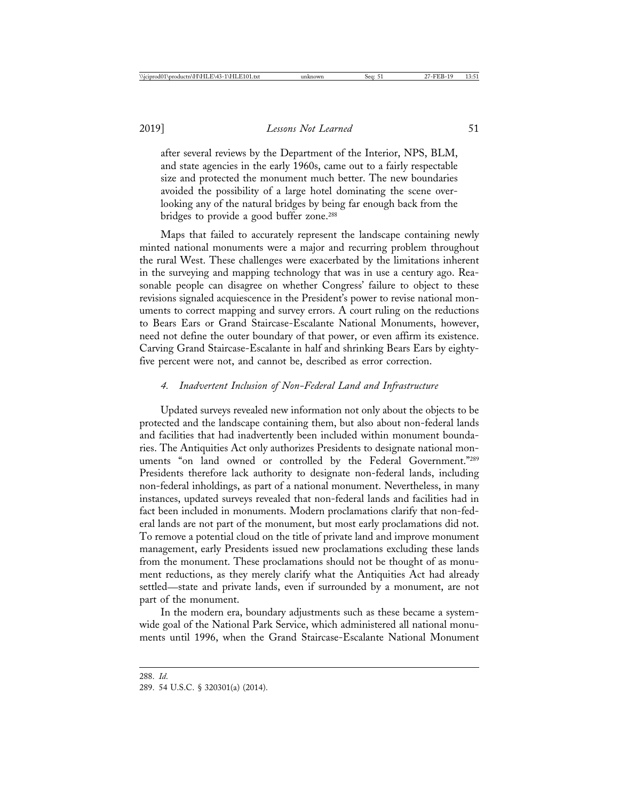after several reviews by the Department of the Interior, NPS, BLM, and state agencies in the early 1960s, came out to a fairly respectable size and protected the monument much better. The new boundaries avoided the possibility of a large hotel dominating the scene overlooking any of the natural bridges by being far enough back from the bridges to provide a good buffer zone.<sup>288</sup>

Maps that failed to accurately represent the landscape containing newly minted national monuments were a major and recurring problem throughout the rural West. These challenges were exacerbated by the limitations inherent in the surveying and mapping technology that was in use a century ago. Reasonable people can disagree on whether Congress' failure to object to these revisions signaled acquiescence in the President's power to revise national monuments to correct mapping and survey errors. A court ruling on the reductions to Bears Ears or Grand Staircase-Escalante National Monuments, however, need not define the outer boundary of that power, or even affirm its existence. Carving Grand Staircase-Escalante in half and shrinking Bears Ears by eightyfive percent were not, and cannot be, described as error correction.

## *4. Inadvertent Inclusion of Non-Federal Land and Infrastructure*

Updated surveys revealed new information not only about the objects to be protected and the landscape containing them, but also about non-federal lands and facilities that had inadvertently been included within monument boundaries. The Antiquities Act only authorizes Presidents to designate national monuments "on land owned or controlled by the Federal Government."289 Presidents therefore lack authority to designate non-federal lands, including non-federal inholdings, as part of a national monument. Nevertheless, in many instances, updated surveys revealed that non-federal lands and facilities had in fact been included in monuments. Modern proclamations clarify that non-federal lands are not part of the monument, but most early proclamations did not. To remove a potential cloud on the title of private land and improve monument management, early Presidents issued new proclamations excluding these lands from the monument. These proclamations should not be thought of as monument reductions, as they merely clarify what the Antiquities Act had already settled—state and private lands, even if surrounded by a monument, are not part of the monument.

In the modern era, boundary adjustments such as these became a systemwide goal of the National Park Service, which administered all national monuments until 1996, when the Grand Staircase-Escalante National Monument

<sup>288.</sup> *Id*.

<sup>289. 54</sup> U.S.C. § 320301(a) (2014).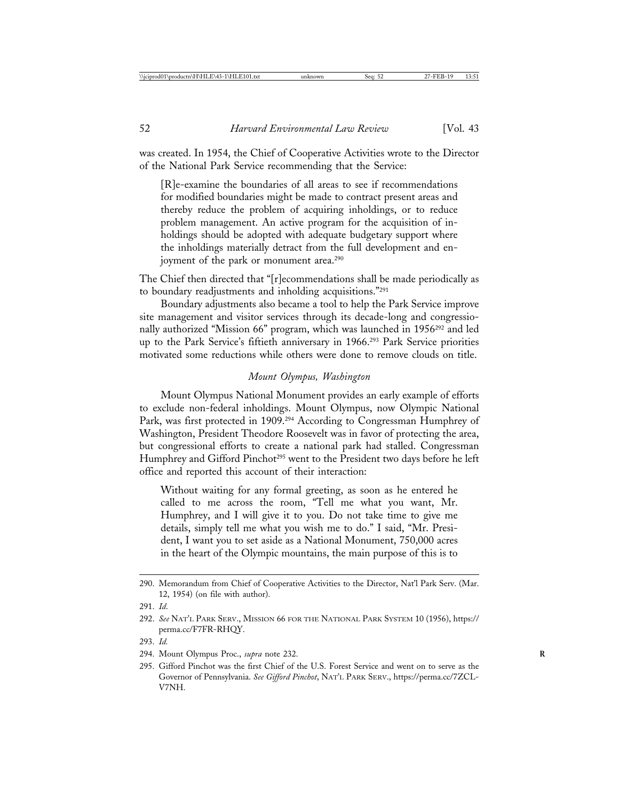was created. In 1954, the Chief of Cooperative Activities wrote to the Director of the National Park Service recommending that the Service:

[R]e-examine the boundaries of all areas to see if recommendations for modified boundaries might be made to contract present areas and thereby reduce the problem of acquiring inholdings, or to reduce problem management. An active program for the acquisition of inholdings should be adopted with adequate budgetary support where the inholdings materially detract from the full development and enjoyment of the park or monument area.<sup>290</sup>

The Chief then directed that "[r]ecommendations shall be made periodically as to boundary readjustments and inholding acquisitions."291

Boundary adjustments also became a tool to help the Park Service improve site management and visitor services through its decade-long and congressionally authorized "Mission 66" program, which was launched in 1956<sup>292</sup> and led up to the Park Service's fiftieth anniversary in 1966.293 Park Service priorities motivated some reductions while others were done to remove clouds on title.

## *Mount Olympus, Washington*

Mount Olympus National Monument provides an early example of efforts to exclude non-federal inholdings. Mount Olympus, now Olympic National Park, was first protected in 1909.294 According to Congressman Humphrey of Washington, President Theodore Roosevelt was in favor of protecting the area, but congressional efforts to create a national park had stalled. Congressman Humphrey and Gifford Pinchot<sup>295</sup> went to the President two days before he left office and reported this account of their interaction:

Without waiting for any formal greeting, as soon as he entered he called to me across the room, "Tell me what you want, Mr. Humphrey, and I will give it to you. Do not take time to give me details, simply tell me what you wish me to do." I said, "Mr. President, I want you to set aside as a National Monument, 750,000 acres in the heart of the Olympic mountains, the main purpose of this is to

<sup>290.</sup> Memorandum from Chief of Cooperative Activities to the Director, Nat'l Park Serv. (Mar. 12, 1954) (on file with author).

<sup>291.</sup> *Id*.

<sup>292.</sup> *See* NAT'L PARK SERV., MISSION 66 FOR THE NATIONAL PARK SYSTEM 10 (1956), https:// perma.cc/F7FR-RHQY.

<sup>293.</sup> *Id.*

<sup>294.</sup> Mount Olympus Proc., *supra* note 232. **R**

<sup>295.</sup> Gifford Pinchot was the first Chief of the U.S. Forest Service and went on to serve as the Governor of Pennsylvania. *See Gifford Pinchot*, NAT'L PARK SERV., https://perma.cc/7ZCL-V7NH.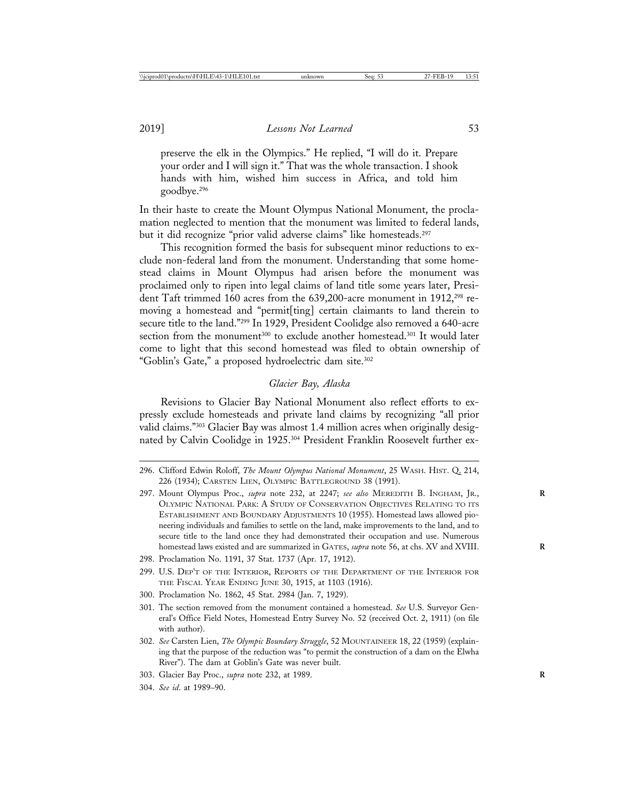preserve the elk in the Olympics." He replied, "I will do it. Prepare your order and I will sign it." That was the whole transaction. I shook hands with him, wished him success in Africa, and told him goodbye.296

In their haste to create the Mount Olympus National Monument, the proclamation neglected to mention that the monument was limited to federal lands, but it did recognize "prior valid adverse claims" like homesteads.297

This recognition formed the basis for subsequent minor reductions to exclude non-federal land from the monument. Understanding that some homestead claims in Mount Olympus had arisen before the monument was proclaimed only to ripen into legal claims of land title some years later, President Taft trimmed 160 acres from the 639,200-acre monument in 1912,<sup>298</sup> removing a homestead and "permit[ting] certain claimants to land therein to secure title to the land."299 In 1929, President Coolidge also removed a 640-acre section from the monument<sup>300</sup> to exclude another homestead.<sup>301</sup> It would later come to light that this second homestead was filed to obtain ownership of "Goblin's Gate," a proposed hydroelectric dam site.302

### *Glacier Bay, Alaska*

Revisions to Glacier Bay National Monument also reflect efforts to expressly exclude homesteads and private land claims by recognizing "all prior valid claims."303 Glacier Bay was almost 1.4 million acres when originally designated by Calvin Coolidge in 1925.304 President Franklin Roosevelt further ex-

- 297. Mount Olympus Proc., *supra* note 232, at 2247; *see also* MEREDITH B. INGHAM, JR., **R** OLYMPIC NATIONAL PARK: A STUDY OF CONSERVATION OBJECTIVES RELATING TO ITS ESTABLISHMENT AND BOUNDARY ADJUSTMENTS 10 (1955). Homestead laws allowed pioneering individuals and families to settle on the land, make improvements to the land, and to secure title to the land once they had demonstrated their occupation and use. Numerous homestead laws existed and are summarized in GATES, *supra* note 56, at chs. XV and XVIII.
- 298. Proclamation No. 1191, 37 Stat. 1737 (Apr. 17, 1912).
- 299. U.S. DEP'T OF THE INTERIOR, REPORTS OF THE DEPARTMENT OF THE INTERIOR FOR THE FISCAL YEAR ENDING JUNE 30, 1915, at 1103 (1916).
- 300. Proclamation No. 1862, 45 Stat. 2984 (Jan. 7, 1929).
- 301. The section removed from the monument contained a homestead. *See* U.S. Surveyor General's Office Field Notes, Homestead Entry Survey No. 52 (received Oct. 2, 1911) (on file with author).
- 302. *See* Carsten Lien, *The Olympic Boundary Struggle*, 52 MOUNTAINEER 18, 22 (1959) (explaining that the purpose of the reduction was "to permit the construction of a dam on the Elwha River"). The dam at Goblin's Gate was never built.
- 303. Glacier Bay Proc., *supra* note 232, at 1989. **R**
- 304. *See id*. at 1989–90.

<sup>296.</sup> Clifford Edwin Roloff, *The Mount Olympus National Monument*, 25 WASH. HIST. Q. 214, 226 (1934); CARSTEN LIEN, OLYMPIC BATTLEGROUND 38 (1991).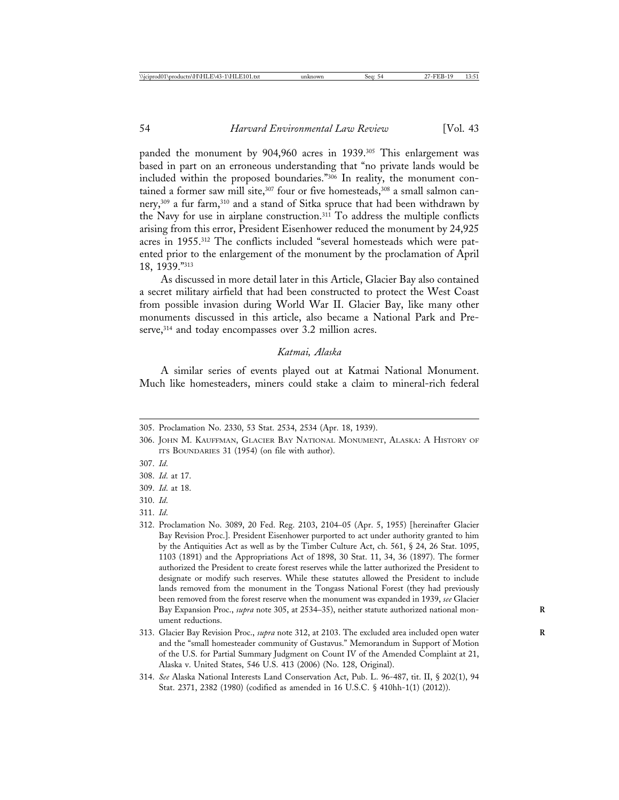panded the monument by 904,960 acres in 1939.<sup>305</sup> This enlargement was based in part on an erroneous understanding that "no private lands would be included within the proposed boundaries."306 In reality, the monument contained a former saw mill site,<sup>307</sup> four or five homesteads,<sup>308</sup> a small salmon cannery,309 a fur farm,310 and a stand of Sitka spruce that had been withdrawn by the Navy for use in airplane construction.311 To address the multiple conflicts arising from this error, President Eisenhower reduced the monument by 24,925 acres in 1955.312 The conflicts included "several homesteads which were patented prior to the enlargement of the monument by the proclamation of April 18, 1939."313

As discussed in more detail later in this Article, Glacier Bay also contained a secret military airfield that had been constructed to protect the West Coast from possible invasion during World War II. Glacier Bay, like many other monuments discussed in this article, also became a National Park and Preserve,<sup>314</sup> and today encompasses over 3.2 million acres.

## *Katmai, Alaska*

A similar series of events played out at Katmai National Monument. Much like homesteaders, miners could stake a claim to mineral-rich federal

- 307. *Id*.
- 308. *Id*. at 17.
- 309. *Id*. at 18.
- 310. *Id*.
- 311. *Id*.
- 312. Proclamation No. 3089, 20 Fed. Reg. 2103, 2104–05 (Apr. 5, 1955) [hereinafter Glacier Bay Revision Proc.]. President Eisenhower purported to act under authority granted to him by the Antiquities Act as well as by the Timber Culture Act, ch. 561, § 24, 26 Stat. 1095, 1103 (1891) and the Appropriations Act of 1898, 30 Stat. 11, 34, 36 (1897). The former authorized the President to create forest reserves while the latter authorized the President to designate or modify such reserves. While these statutes allowed the President to include lands removed from the monument in the Tongass National Forest (they had previously been removed from the forest reserve when the monument was expanded in 1939, *see* Glacier Bay Expansion Proc., *supra* note 305, at 2534–35), neither statute authorized national mon- **R** ument reductions.
- 313. Glacier Bay Revision Proc., *supra* note 312, at 2103. The excluded area included open water **R** and the "small homesteader community of Gustavus." Memorandum in Support of Motion of the U.S. for Partial Summary Judgment on Count IV of the Amended Complaint at 21, Alaska v. United States, 546 U.S. 413 (2006) (No. 128, Original).
- 314. *See* Alaska National Interests Land Conservation Act, Pub. L. 96-487, tit. II, § 202(1), 94 Stat. 2371, 2382 (1980) (codified as amended in 16 U.S.C. § 410hh-1(1) (2012)).

<sup>305.</sup> Proclamation No. 2330, 53 Stat. 2534, 2534 (Apr. 18, 1939).

<sup>306.</sup> JOHN M. KAUFFMAN, GLACIER BAY NATIONAL MONUMENT, ALASKA: A HISTORY OF ITS BOUNDARIES 31 (1954) (on file with author).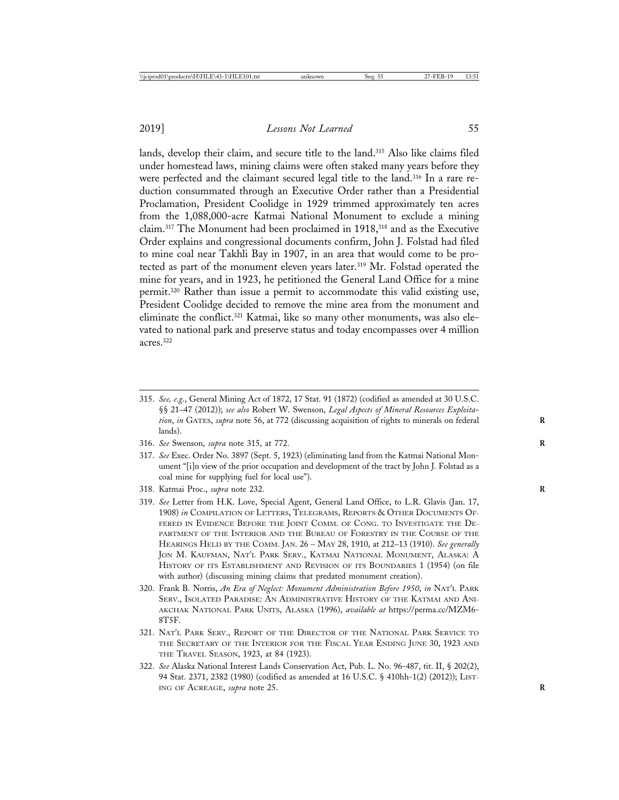lands, develop their claim, and secure title to the land.<sup>315</sup> Also like claims filed under homestead laws, mining claims were often staked many years before they were perfected and the claimant secured legal title to the land.316 In a rare reduction consummated through an Executive Order rather than a Presidential Proclamation, President Coolidge in 1929 trimmed approximately ten acres from the 1,088,000-acre Katmai National Monument to exclude a mining claim.<sup>317</sup> The Monument had been proclaimed in 1918,<sup>318</sup> and as the Executive Order explains and congressional documents confirm, John J. Folstad had filed to mine coal near Takhli Bay in 1907, in an area that would come to be protected as part of the monument eleven years later.<sup>319</sup> Mr. Folstad operated the mine for years, and in 1923, he petitioned the General Land Office for a mine permit.320 Rather than issue a permit to accommodate this valid existing use, President Coolidge decided to remove the mine area from the monument and eliminate the conflict.321 Katmai, like so many other monuments, was also elevated to national park and preserve status and today encompasses over 4 million acres.322

- 315. *See, e.g*., General Mining Act of 1872, 17 Stat. 91 (1872) (codified as amended at 30 U.S.C. §§ 21–47 (2012)); *see also* Robert W. Swenson, *Legal Aspects of Mineral Resources Exploitation*, *in* GATES, *supra* note 56, at 772 (discussing acquisition of rights to minerals on federal **R** lands).
- 316. *See* Swenson, *supra* note 315, at 772. **R**
- 317. *See* Exec. Order No. 3897 (Sept. 5, 1923) (eliminating land from the Katmai National Monument "[i]n view of the prior occupation and development of the tract by John J. Folstad as a coal mine for supplying fuel for local use").
- 318. Katmai Proc., *supra* note 232. **R**
- 319. *See* Letter from H.K. Love, Special Agent, General Land Office, to L.R. Glavis (Jan. 17, 1908) *in* COMPILATION OF LETTERS, TELEGRAMS, REPORTS & OTHER DOCUMENTS OF-FERED IN EVIDENCE BEFORE THE JOINT COMM. OF CONG. TO INVESTIGATE THE DE-PARTMENT OF THE INTERIOR AND THE BUREAU OF FORESTRY IN THE COURSE OF THE HEARINGS HELD BY THE COMM. JAN. 26 – MAY 28, 1910, at 212–13 (1910). *See generally* JON M. KAUFMAN, NAT'L PARK SERV., KATMAI NATIONAL MONUMENT, ALASKA: A HISTORY OF ITS ESTABLISHMENT AND REVISION OF ITS BOUNDARIES 1 (1954) (on file with author) (discussing mining claims that predated monument creation).
- 320. Frank B. Norris, *An Era of Neglect: Monument Administration Before 1950*, *in* NAT'L PARK SERV., ISOLATED PARADISE: AN ADMINISTRATIVE HISTORY OF THE KATMAI AND ANI-AKCHAK NATIONAL PARK UNITS, ALASKA (1996), *available at* https://perma.cc/MZM6- 8T5F.
- 321. NAT'L PARK SERV., REPORT OF THE DIRECTOR OF THE NATIONAL PARK SERVICE TO THE SECRETARY OF THE INTERIOR FOR THE FISCAL YEAR ENDING JUNE 30, 1923 AND THE TRAVEL SEASON, 1923, at 84 (1923).
- 322. *See* Alaska National Interest Lands Conservation Act, Pub. L. No. 96-487, tit. II, § 202(2), 94 Stat. 2371, 2382 (1980) (codified as amended at 16 U.S.C. § 410hh-1(2) (2012)); LIST-ING OF ACREAGE, *supra* note 25. **R**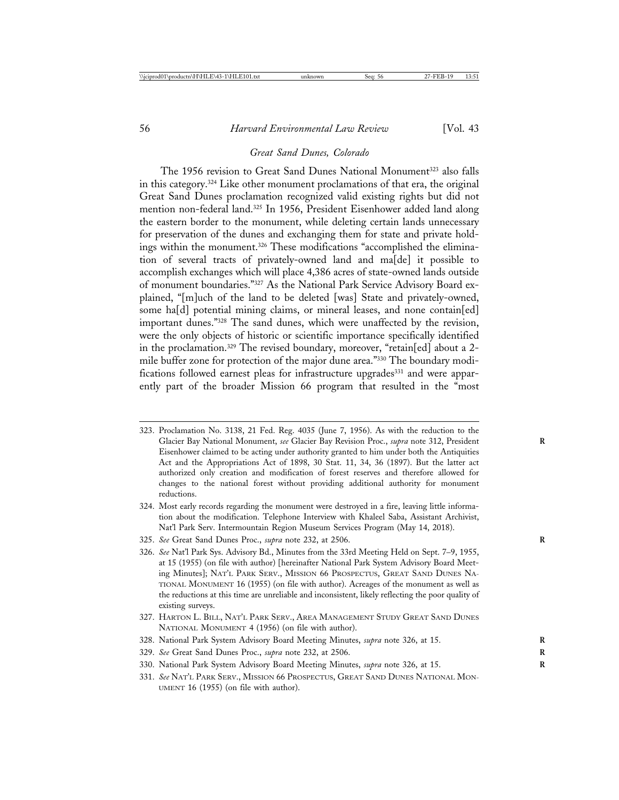#### *Great Sand Dunes, Colorado*

The 1956 revision to Great Sand Dunes National Monument<sup>323</sup> also falls in this category.324 Like other monument proclamations of that era, the original Great Sand Dunes proclamation recognized valid existing rights but did not mention non-federal land.325 In 1956, President Eisenhower added land along the eastern border to the monument, while deleting certain lands unnecessary for preservation of the dunes and exchanging them for state and private holdings within the monument.<sup>326</sup> These modifications "accomplished the elimination of several tracts of privately-owned land and ma[de] it possible to accomplish exchanges which will place 4,386 acres of state-owned lands outside of monument boundaries."327 As the National Park Service Advisory Board explained, "[m]uch of the land to be deleted [was] State and privately-owned, some ha[d] potential mining claims, or mineral leases, and none contain[ed] important dunes."328 The sand dunes, which were unaffected by the revision, were the only objects of historic or scientific importance specifically identified in the proclamation.<sup>329</sup> The revised boundary, moreover, "retain[ed] about a 2mile buffer zone for protection of the major dune area."330 The boundary modifications followed earnest pleas for infrastructure upgrades<sup>331</sup> and were apparently part of the broader Mission 66 program that resulted in the "most

- 323. Proclamation No. 3138, 21 Fed. Reg. 4035 (June 7, 1956). As with the reduction to the Glacier Bay National Monument, *see* Glacier Bay Revision Proc., *supra* note 312, President Eisenhower claimed to be acting under authority granted to him under both the Antiquities Act and the Appropriations Act of 1898, 30 Stat. 11, 34, 36 (1897). But the latter act authorized only creation and modification of forest reserves and therefore allowed for changes to the national forest without providing additional authority for monument reductions.
- 324. Most early records regarding the monument were destroyed in a fire, leaving little information about the modification. Telephone Interview with Khaleel Saba, Assistant Archivist, Nat'l Park Serv. Intermountain Region Museum Services Program (May 14, 2018).
- 325. *See* Great Sand Dunes Proc., *supra* note 232, at 2506. **R**
- 326. *See* Nat'l Park Sys. Advisory Bd., Minutes from the 33rd Meeting Held on Sept. 7–9, 1955, at 15 (1955) (on file with author) [hereinafter National Park System Advisory Board Meeting Minutes]; NAT'L PARK SERV., MISSION 66 PROSPECTUS, GREAT SAND DUNES NA-TIONAL MONUMENT 16 (1955) (on file with author). Acreages of the monument as well as the reductions at this time are unreliable and inconsistent, likely reflecting the poor quality of existing surveys.
- 327. HARTON L. BILL, NAT'L PARK SERV., AREA MANAGEMENT STUDY GREAT SAND DUNES NATIONAL MONUMENT 4 (1956) (on file with author).
- 328. National Park System Advisory Board Meeting Minutes, *supra* note 326, at 15. **R**
- 329. *See* Great Sand Dunes Proc., *supra* note 232, at 2506. **R**
- 330. National Park System Advisory Board Meeting Minutes, *supra* note 326, at 15. **R**
- 331. *See* NAT'L PARK SERV., MISSION 66 PROSPECTUS, GREAT SAND DUNES NATIONAL MON-UMENT 16 (1955) (on file with author).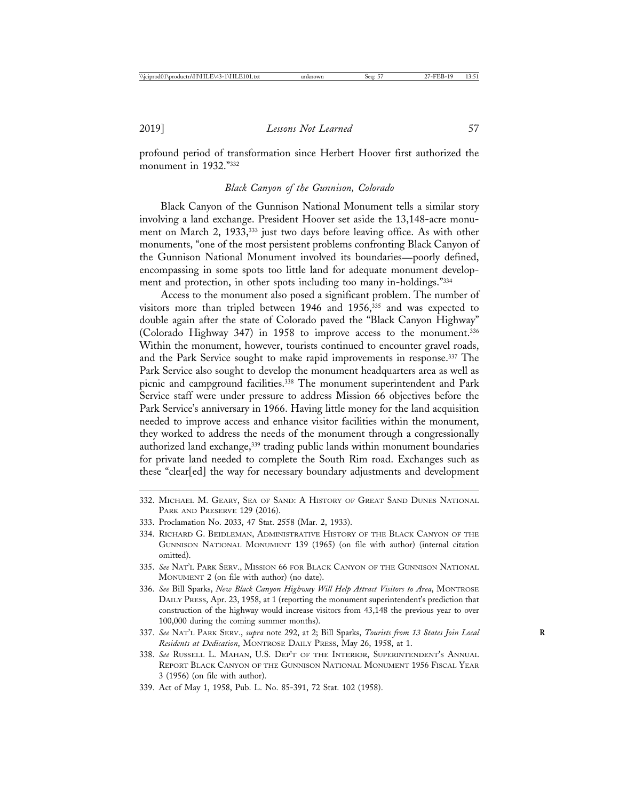profound period of transformation since Herbert Hoover first authorized the monument in 1932<sup>"332</sup>

#### *Black Canyon of the Gunnison, Colorado*

Black Canyon of the Gunnison National Monument tells a similar story involving a land exchange. President Hoover set aside the 13,148-acre monument on March 2, 1933,<sup>333</sup> just two days before leaving office. As with other monuments, "one of the most persistent problems confronting Black Canyon of the Gunnison National Monument involved its boundaries—poorly defined, encompassing in some spots too little land for adequate monument development and protection, in other spots including too many in-holdings."334

Access to the monument also posed a significant problem. The number of visitors more than tripled between 1946 and 1956,<sup>335</sup> and was expected to double again after the state of Colorado paved the "Black Canyon Highway" (Colorado Highway 347) in 1958 to improve access to the monument.336 Within the monument, however, tourists continued to encounter gravel roads, and the Park Service sought to make rapid improvements in response.337 The Park Service also sought to develop the monument headquarters area as well as picnic and campground facilities.<sup>338</sup> The monument superintendent and Park Service staff were under pressure to address Mission 66 objectives before the Park Service's anniversary in 1966. Having little money for the land acquisition needed to improve access and enhance visitor facilities within the monument, they worked to address the needs of the monument through a congressionally authorized land exchange,<sup>339</sup> trading public lands within monument boundaries for private land needed to complete the South Rim road. Exchanges such as these "clear[ed] the way for necessary boundary adjustments and development

- 335. *See* NAT'L PARK SERV., MISSION 66 FOR BLACK CANYON OF THE GUNNISON NATIONAL MONUMENT 2 (on file with author) (no date).
- 336. *See* Bill Sparks, *New Black Canyon Highway Will Help Attract Visitors to Area*, MONTROSE DAILY PRESS, Apr. 23, 1958, at 1 (reporting the monument superintendent's prediction that construction of the highway would increase visitors from 43,148 the previous year to over 100,000 during the coming summer months).
- 337. *See* NAT'L PARK SERV., *supra* note 292, at 2; Bill Sparks, *Tourists from 13 States Join Local* **R** *Residents at Dedication*, MONTROSE DAILY PRESS, May 26, 1958, at 1.
- 338. *See* RUSSELL L. MAHAN, U.S. DEP'T OF THE INTERIOR, SUPERINTENDENT'S ANNUAL REPORT BLACK CANYON OF THE GUNNISON NATIONAL MONUMENT 1956 FISCAL YEAR 3 (1956) (on file with author).
- 339. Act of May 1, 1958, Pub. L. No. 85-391, 72 Stat. 102 (1958).

<sup>332.</sup> MICHAEL M. GEARY, SEA OF SAND: A HISTORY OF GREAT SAND DUNES NATIONAL PARK AND PRESERVE 129 (2016).

<sup>333.</sup> Proclamation No. 2033, 47 Stat. 2558 (Mar. 2, 1933).

<sup>334.</sup> RICHARD G. BEIDLEMAN, ADMINISTRATIVE HISTORY OF THE BLACK CANYON OF THE GUNNISON NATIONAL MONUMENT 139 (1965) (on file with author) (internal citation omitted).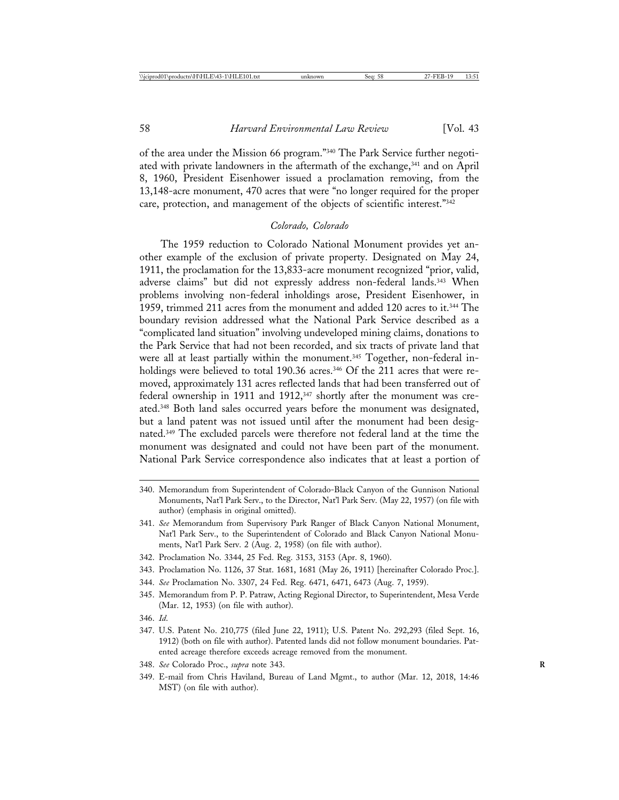of the area under the Mission 66 program."340 The Park Service further negotiated with private landowners in the aftermath of the exchange,<sup>341</sup> and on April 8, 1960, President Eisenhower issued a proclamation removing, from the 13,148-acre monument, 470 acres that were "no longer required for the proper care, protection, and management of the objects of scientific interest."342

## *Colorado, Colorado*

The 1959 reduction to Colorado National Monument provides yet another example of the exclusion of private property. Designated on May 24, 1911, the proclamation for the 13,833-acre monument recognized "prior, valid, adverse claims" but did not expressly address non-federal lands.<sup>343</sup> When problems involving non-federal inholdings arose, President Eisenhower, in 1959, trimmed 211 acres from the monument and added 120 acres to it.344 The boundary revision addressed what the National Park Service described as a "complicated land situation" involving undeveloped mining claims, donations to the Park Service that had not been recorded, and six tracts of private land that were all at least partially within the monument.<sup>345</sup> Together, non-federal inholdings were believed to total 190.36 acres.<sup>346</sup> Of the 211 acres that were removed, approximately 131 acres reflected lands that had been transferred out of federal ownership in 1911 and 1912,<sup>347</sup> shortly after the monument was created.348 Both land sales occurred years before the monument was designated, but a land patent was not issued until after the monument had been designated.349 The excluded parcels were therefore not federal land at the time the monument was designated and could not have been part of the monument. National Park Service correspondence also indicates that at least a portion of

- 340. Memorandum from Superintendent of Colorado-Black Canyon of the Gunnison National Monuments, Nat'l Park Serv., to the Director, Nat'l Park Serv. (May 22, 1957) (on file with author) (emphasis in original omitted).
- 341. *See* Memorandum from Supervisory Park Ranger of Black Canyon National Monument, Nat'l Park Serv., to the Superintendent of Colorado and Black Canyon National Monuments, Nat'l Park Serv. 2 (Aug. 2, 1958) (on file with author).
- 342. Proclamation No. 3344, 25 Fed. Reg. 3153, 3153 (Apr. 8, 1960).
- 343. Proclamation No. 1126, 37 Stat. 1681, 1681 (May 26, 1911) [hereinafter Colorado Proc.].
- 344. *See* Proclamation No. 3307, 24 Fed. Reg. 6471, 6471, 6473 (Aug. 7, 1959).
- 345. Memorandum from P. P. Patraw, Acting Regional Director, to Superintendent, Mesa Verde (Mar. 12, 1953) (on file with author).
- 346. *Id*.
- 347. U.S. Patent No. 210,775 (filed June 22, 1911); U.S. Patent No. 292,293 (filed Sept. 16, 1912) (both on file with author). Patented lands did not follow monument boundaries. Patented acreage therefore exceeds acreage removed from the monument.
- 348. *See* Colorado Proc., *supra* note 343. **R**
- 349. E-mail from Chris Haviland, Bureau of Land Mgmt., to author (Mar. 12, 2018, 14:46 MST) (on file with author).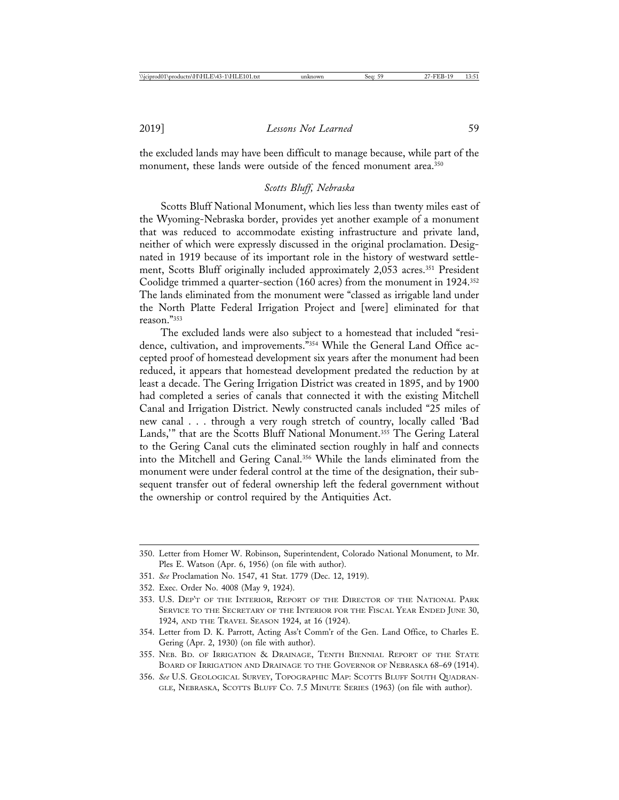the excluded lands may have been difficult to manage because, while part of the monument, these lands were outside of the fenced monument area.<sup>350</sup>

## *Scotts Bluff, Nebraska*

Scotts Bluff National Monument, which lies less than twenty miles east of the Wyoming-Nebraska border, provides yet another example of a monument that was reduced to accommodate existing infrastructure and private land, neither of which were expressly discussed in the original proclamation. Designated in 1919 because of its important role in the history of westward settlement, Scotts Bluff originally included approximately 2,053 acres.<sup>351</sup> President Coolidge trimmed a quarter-section (160 acres) from the monument in 1924.352 The lands eliminated from the monument were "classed as irrigable land under the North Platte Federal Irrigation Project and [were] eliminated for that reason."353

The excluded lands were also subject to a homestead that included "residence, cultivation, and improvements."354 While the General Land Office accepted proof of homestead development six years after the monument had been reduced, it appears that homestead development predated the reduction by at least a decade. The Gering Irrigation District was created in 1895, and by 1900 had completed a series of canals that connected it with the existing Mitchell Canal and Irrigation District. Newly constructed canals included "25 miles of new canal . . . through a very rough stretch of country, locally called 'Bad Lands," that are the Scotts Bluff National Monument.<sup>355</sup> The Gering Lateral to the Gering Canal cuts the eliminated section roughly in half and connects into the Mitchell and Gering Canal.356 While the lands eliminated from the monument were under federal control at the time of the designation, their subsequent transfer out of federal ownership left the federal government without the ownership or control required by the Antiquities Act.

352. Exec. Order No. 4008 (May 9, 1924).

- 355. NEB. BD. OF IRRIGATION & DRAINAGE, TENTH BIENNIAL REPORT OF THE STATE BOARD OF IRRIGATION AND DRAINAGE TO THE GOVERNOR OF NEBRASKA 68–69 (1914).
- 356. *See* U.S. GEOLOGICAL SURVEY, TOPOGRAPHIC MAP: SCOTTS BLUFF SOUTH QUADRAN-GLE, NEBRASKA, SCOTTS BLUFF CO. 7.5 MINUTE SERIES (1963) (on file with author).

<sup>350.</sup> Letter from Homer W. Robinson, Superintendent, Colorado National Monument, to Mr. Ples E. Watson (Apr. 6, 1956) (on file with author).

<sup>351.</sup> *See* Proclamation No. 1547, 41 Stat. 1779 (Dec. 12, 1919).

<sup>353.</sup> U.S. DEP'T OF THE INTERIOR, REPORT OF THE DIRECTOR OF THE NATIONAL PARK SERVICE TO THE SECRETARY OF THE INTERIOR FOR THE FISCAL YEAR ENDED JUNE 30, 1924, AND THE TRAVEL SEASON 1924, at 16 (1924).

<sup>354.</sup> Letter from D. K. Parrott, Acting Ass't Comm'r of the Gen. Land Office, to Charles E. Gering (Apr. 2, 1930) (on file with author).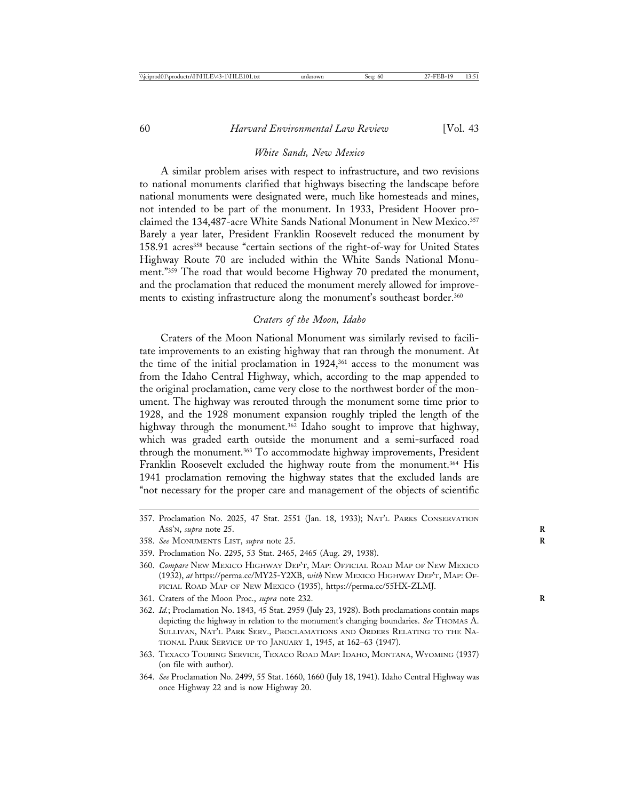#### *White Sands, New Mexico*

A similar problem arises with respect to infrastructure, and two revisions to national monuments clarified that highways bisecting the landscape before national monuments were designated were, much like homesteads and mines, not intended to be part of the monument. In 1933, President Hoover proclaimed the 134,487-acre White Sands National Monument in New Mexico.357 Barely a year later, President Franklin Roosevelt reduced the monument by 158.91 acres<sup>358</sup> because "certain sections of the right-of-way for United States Highway Route 70 are included within the White Sands National Monument."359 The road that would become Highway 70 predated the monument, and the proclamation that reduced the monument merely allowed for improvements to existing infrastructure along the monument's southeast border.<sup>360</sup>

#### *Craters of the Moon, Idaho*

Craters of the Moon National Monument was similarly revised to facilitate improvements to an existing highway that ran through the monument. At the time of the initial proclamation in 1924,<sup>361</sup> access to the monument was from the Idaho Central Highway, which, according to the map appended to the original proclamation, came very close to the northwest border of the monument. The highway was rerouted through the monument some time prior to 1928, and the 1928 monument expansion roughly tripled the length of the highway through the monument.<sup>362</sup> Idaho sought to improve that highway, which was graded earth outside the monument and a semi-surfaced road through the monument.<sup>363</sup> To accommodate highway improvements, President Franklin Roosevelt excluded the highway route from the monument.<sup>364</sup> His 1941 proclamation removing the highway states that the excluded lands are "not necessary for the proper care and management of the objects of scientific

- 357. Proclamation No. 2025, 47 Stat. 2551 (Jan. 18, 1933); NAT'L PARKS CONSERVATION ASS'N, *supra* note 25. **R**
- 358. *See* MONUMENTS LIST, *supra* note 25. **R**
- 359. Proclamation No. 2295, 53 Stat. 2465, 2465 (Aug. 29, 1938).
- 360. *Compare* NEW MEXICO HIGHWAY DEP'T, MAP: OFFICIAL ROAD MAP OF NEW MEXICO (1932), *at* https://perma.cc/MY25-Y2XB, *with* NEW MEXICO HIGHWAY DEP'T, MAP: OF-FICIAL ROAD MAP OF NEW MEXICO (1935), https://perma.cc/55HX-ZLMJ.
- 361. Craters of the Moon Proc., *supra* note 232. **R**
- 362. *Id.*; Proclamation No. 1843, 45 Stat. 2959 (July 23, 1928). Both proclamations contain maps depicting the highway in relation to the monument's changing boundaries. *See* THOMAS A. SULLIVAN, NAT'L PARK SERV., PROCLAMATIONS AND ORDERS RELATING TO THE NA-TIONAL PARK SERVICE UP TO JANUARY 1, 1945, at 162–63 (1947).
- 363. TEXACO TOURING SERVICE, TEXACO ROAD MAP: IDAHO, MONTANA, WYOMING (1937) (on file with author).
- 364. *See* Proclamation No. 2499, 55 Stat. 1660, 1660 (July 18, 1941). Idaho Central Highway was once Highway 22 and is now Highway 20.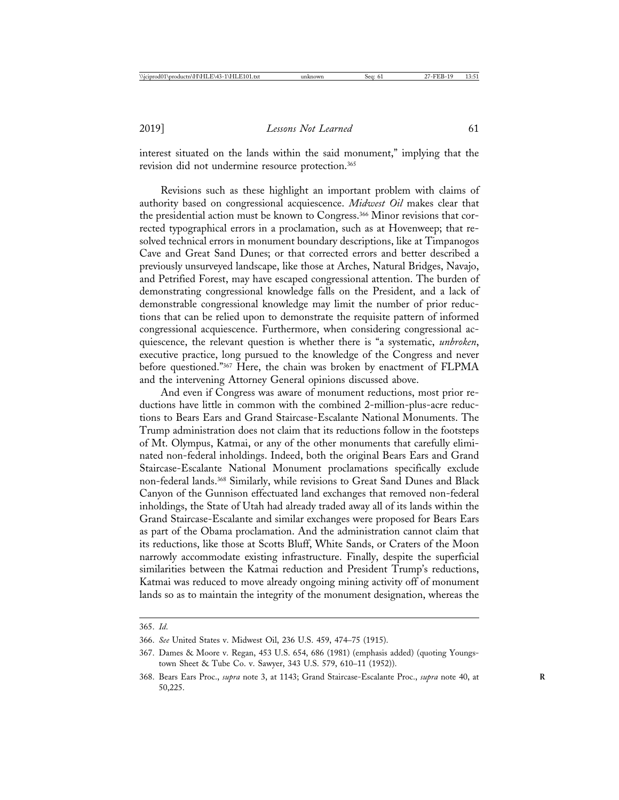interest situated on the lands within the said monument," implying that the revision did not undermine resource protection.365

Revisions such as these highlight an important problem with claims of authority based on congressional acquiescence. *Midwest Oil* makes clear that the presidential action must be known to Congress.<sup>366</sup> Minor revisions that corrected typographical errors in a proclamation, such as at Hovenweep; that resolved technical errors in monument boundary descriptions, like at Timpanogos Cave and Great Sand Dunes; or that corrected errors and better described a previously unsurveyed landscape, like those at Arches, Natural Bridges, Navajo, and Petrified Forest, may have escaped congressional attention. The burden of demonstrating congressional knowledge falls on the President, and a lack of demonstrable congressional knowledge may limit the number of prior reductions that can be relied upon to demonstrate the requisite pattern of informed congressional acquiescence. Furthermore, when considering congressional acquiescence, the relevant question is whether there is "a systematic, *unbroken*, executive practice, long pursued to the knowledge of the Congress and never before questioned."367 Here, the chain was broken by enactment of FLPMA and the intervening Attorney General opinions discussed above.

And even if Congress was aware of monument reductions, most prior reductions have little in common with the combined 2-million-plus-acre reductions to Bears Ears and Grand Staircase-Escalante National Monuments. The Trump administration does not claim that its reductions follow in the footsteps of Mt. Olympus, Katmai, or any of the other monuments that carefully eliminated non-federal inholdings. Indeed, both the original Bears Ears and Grand Staircase-Escalante National Monument proclamations specifically exclude non-federal lands.368 Similarly, while revisions to Great Sand Dunes and Black Canyon of the Gunnison effectuated land exchanges that removed non-federal inholdings, the State of Utah had already traded away all of its lands within the Grand Staircase-Escalante and similar exchanges were proposed for Bears Ears as part of the Obama proclamation. And the administration cannot claim that its reductions, like those at Scotts Bluff, White Sands, or Craters of the Moon narrowly accommodate existing infrastructure. Finally, despite the superficial similarities between the Katmai reduction and President Trump's reductions, Katmai was reduced to move already ongoing mining activity off of monument lands so as to maintain the integrity of the monument designation, whereas the

<sup>365.</sup> *Id*.

<sup>366.</sup> *See* United States v. Midwest Oil, 236 U.S. 459, 474–75 (1915).

<sup>367.</sup> Dames & Moore v. Regan, 453 U.S. 654, 686 (1981) (emphasis added) (quoting Youngstown Sheet & Tube Co. v. Sawyer, 343 U.S. 579, 610–11 (1952)).

<sup>368.</sup> Bears Ears Proc., *supra* note 3, at 1143; Grand Staircase-Escalante Proc., *supra* note 40, at **R** 50,225.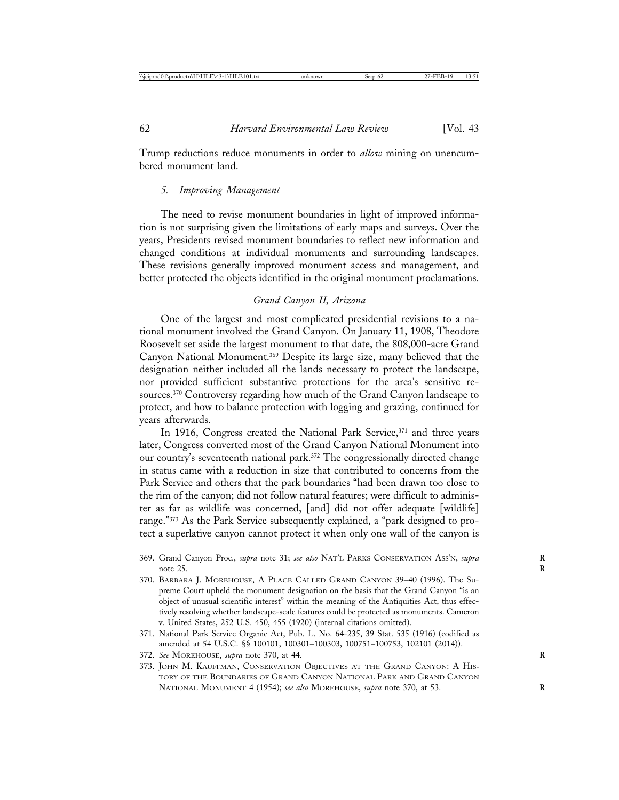Trump reductions reduce monuments in order to *allow* mining on unencumbered monument land.

### *5. Improving Management*

The need to revise monument boundaries in light of improved information is not surprising given the limitations of early maps and surveys. Over the years, Presidents revised monument boundaries to reflect new information and changed conditions at individual monuments and surrounding landscapes. These revisions generally improved monument access and management, and better protected the objects identified in the original monument proclamations.

# *Grand Canyon II, Arizona*

One of the largest and most complicated presidential revisions to a national monument involved the Grand Canyon. On January 11, 1908, Theodore Roosevelt set aside the largest monument to that date, the 808,000-acre Grand Canyon National Monument.369 Despite its large size, many believed that the designation neither included all the lands necessary to protect the landscape, nor provided sufficient substantive protections for the area's sensitive resources.370 Controversy regarding how much of the Grand Canyon landscape to protect, and how to balance protection with logging and grazing, continued for years afterwards.

In 1916, Congress created the National Park Service,<sup>371</sup> and three years later, Congress converted most of the Grand Canyon National Monument into our country's seventeenth national park.<sup>372</sup> The congressionally directed change in status came with a reduction in size that contributed to concerns from the Park Service and others that the park boundaries "had been drawn too close to the rim of the canyon; did not follow natural features; were difficult to administer as far as wildlife was concerned, [and] did not offer adequate [wildlife] range."373 As the Park Service subsequently explained, a "park designed to protect a superlative canyon cannot protect it when only one wall of the canyon is

- 372. *See* MOREHOUSE, *supra* note 370, at 44. **R**
- 373. JOHN M. KAUFFMAN, CONSERVATION OBJECTIVES AT THE GRAND CANYON: A HIS-TORY OF THE BOUNDARIES OF GRAND CANYON NATIONAL PARK AND GRAND CANYON NATIONAL MONUMENT 4 (1954); *see also* MOREHOUSE, *supra* note 370, at 53. **R**

<sup>369.</sup> Grand Canyon Proc., *supra* note 31; *see also* NAT'L PARKS CONSERVATION ASS'N, *supra* **R** note 25.

<sup>370.</sup> BARBARA J. MOREHOUSE, A PLACE CALLED GRAND CANYON 39–40 (1996). The Supreme Court upheld the monument designation on the basis that the Grand Canyon "is an object of unusual scientific interest" within the meaning of the Antiquities Act, thus effectively resolving whether landscape-scale features could be protected as monuments. Cameron v. United States, 252 U.S. 450, 455 (1920) (internal citations omitted).

<sup>371.</sup> National Park Service Organic Act, Pub. L. No. 64-235, 39 Stat. 535 (1916) (codified as amended at 54 U.S.C. §§ 100101, 100301–100303, 100751–100753, 102101 (2014)).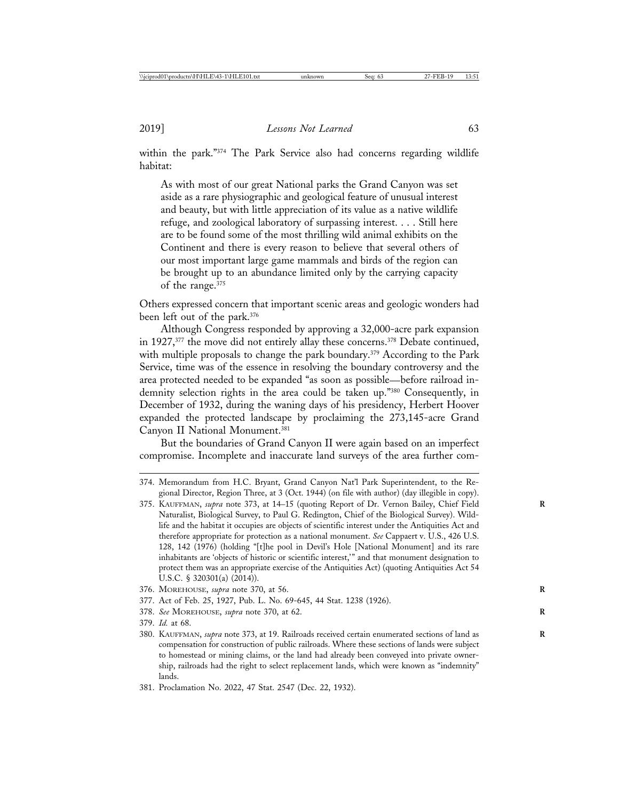within the park."374 The Park Service also had concerns regarding wildlife habitat:

As with most of our great National parks the Grand Canyon was set aside as a rare physiographic and geological feature of unusual interest and beauty, but with little appreciation of its value as a native wildlife refuge, and zoological laboratory of surpassing interest. . . . Still here are to be found some of the most thrilling wild animal exhibits on the Continent and there is every reason to believe that several others of our most important large game mammals and birds of the region can be brought up to an abundance limited only by the carrying capacity of the range.375

Others expressed concern that important scenic areas and geologic wonders had been left out of the park.376

Although Congress responded by approving a 32,000-acre park expansion in 1927,377 the move did not entirely allay these concerns.378 Debate continued, with multiple proposals to change the park boundary.<sup>379</sup> According to the Park Service, time was of the essence in resolving the boundary controversy and the area protected needed to be expanded "as soon as possible—before railroad indemnity selection rights in the area could be taken up."380 Consequently, in December of 1932, during the waning days of his presidency, Herbert Hoover expanded the protected landscape by proclaiming the 273,145-acre Grand Canyon II National Monument.381

But the boundaries of Grand Canyon II were again based on an imperfect compromise. Incomplete and inaccurate land surveys of the area further com-

- 376. MOREHOUSE, *supra* note 370, at 56. **R**
- 377. Act of Feb. 25, 1927, Pub. L. No. 69-645, 44 Stat. 1238 (1926).
- 378. *See* MOREHOUSE, *supra* note 370, at 62. **R**
- 379. *Id.* at 68.
- 380. KAUFFMAN, *supra* note 373, at 19. Railroads received certain enumerated sections of land as **R** compensation for construction of public railroads. Where these sections of lands were subject to homestead or mining claims, or the land had already been conveyed into private ownership, railroads had the right to select replacement lands, which were known as "indemnity" lands.
- 381. Proclamation No. 2022, 47 Stat. 2547 (Dec. 22, 1932).

<sup>374.</sup> Memorandum from H.C. Bryant, Grand Canyon Nat'l Park Superintendent, to the Regional Director, Region Three, at 3 (Oct. 1944) (on file with author) (day illegible in copy).

<sup>375.</sup> KAUFFMAN, *supra* note 373, at 14–15 (quoting Report of Dr. Vernon Bailey, Chief Field **R** Naturalist, Biological Survey, to Paul G. Redington, Chief of the Biological Survey). Wildlife and the habitat it occupies are objects of scientific interest under the Antiquities Act and therefore appropriate for protection as a national monument. *See* Cappaert v. U.S., 426 U.S. 128, 142 (1976) (holding "[t]he pool in Devil's Hole [National Monument] and its rare inhabitants are 'objects of historic or scientific interest,'" and that monument designation to protect them was an appropriate exercise of the Antiquities Act) (quoting Antiquities Act 54 U.S.C. § 320301(a) (2014)).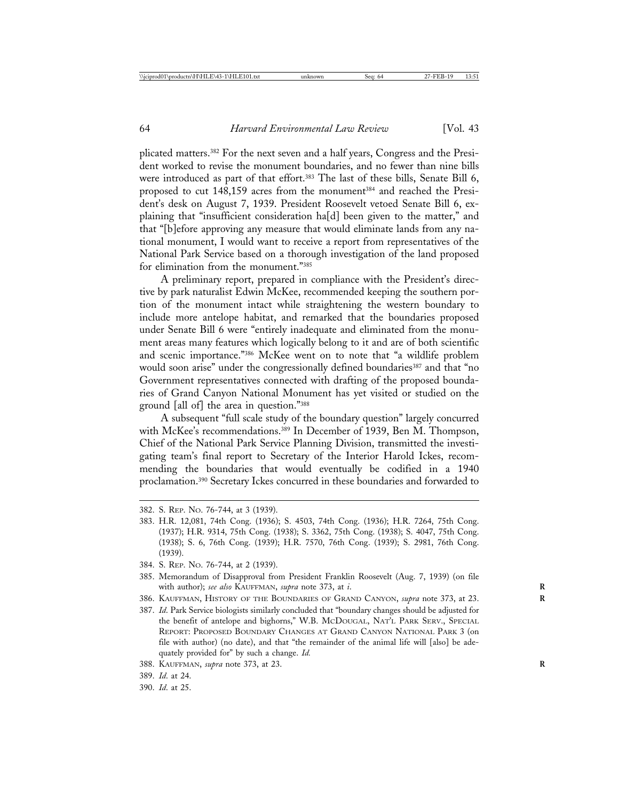plicated matters.382 For the next seven and a half years, Congress and the President worked to revise the monument boundaries, and no fewer than nine bills were introduced as part of that effort.<sup>383</sup> The last of these bills, Senate Bill 6, proposed to cut 148,159 acres from the monument<sup>384</sup> and reached the President's desk on August 7, 1939. President Roosevelt vetoed Senate Bill 6, explaining that "insufficient consideration ha[d] been given to the matter," and that "[b]efore approving any measure that would eliminate lands from any national monument, I would want to receive a report from representatives of the National Park Service based on a thorough investigation of the land proposed for elimination from the monument."385

A preliminary report, prepared in compliance with the President's directive by park naturalist Edwin McKee, recommended keeping the southern portion of the monument intact while straightening the western boundary to include more antelope habitat, and remarked that the boundaries proposed under Senate Bill 6 were "entirely inadequate and eliminated from the monument areas many features which logically belong to it and are of both scientific and scenic importance."386 McKee went on to note that "a wildlife problem would soon arise" under the congressionally defined boundaries<sup>387</sup> and that "no Government representatives connected with drafting of the proposed boundaries of Grand Canyon National Monument has yet visited or studied on the ground [all of] the area in question."388

A subsequent "full scale study of the boundary question" largely concurred with McKee's recommendations.389 In December of 1939, Ben M. Thompson, Chief of the National Park Service Planning Division, transmitted the investigating team's final report to Secretary of the Interior Harold Ickes, recommending the boundaries that would eventually be codified in a 1940 proclamation.390 Secretary Ickes concurred in these boundaries and forwarded to

- 383. H.R. 12,081, 74th Cong. (1936); S. 4503, 74th Cong. (1936); H.R. 7264, 75th Cong. (1937); H.R. 9314, 75th Cong. (1938); S. 3362, 75th Cong. (1938); S. 4047, 75th Cong. (1938); S. 6, 76th Cong. (1939); H.R. 7570, 76th Cong. (1939); S. 2981, 76th Cong. (1939).
- 384. S. REP. NO. 76-744, at 2 (1939).
- 385. Memorandum of Disapproval from President Franklin Roosevelt (Aug. 7, 1939) (on file with author); see also KAUFFMAN, supra note 373, at *i*.
- 386. KAUFFMAN, HISTORY OF THE BOUNDARIES OF GRAND CANYON, *supra* note 373, at 23. **R**
- 387. *Id*. Park Service biologists similarly concluded that "boundary changes should be adjusted for the benefit of antelope and bighorns," W.B. MCDOUGAL, NAT'L PARK SERV., SPECIAL REPORT: PROPOSED BOUNDARY CHANGES AT GRAND CANYON NATIONAL PARK 3 (on file with author) (no date), and that "the remainder of the animal life will [also] be adequately provided for" by such a change. *Id.*
- 388. KAUFFMAN, *supra* note 373, at 23. **R**
- 389. *Id*. at 24.
- 390. *Id*. at 25.

<sup>382.</sup> S. REP. NO. 76-744, at 3 (1939).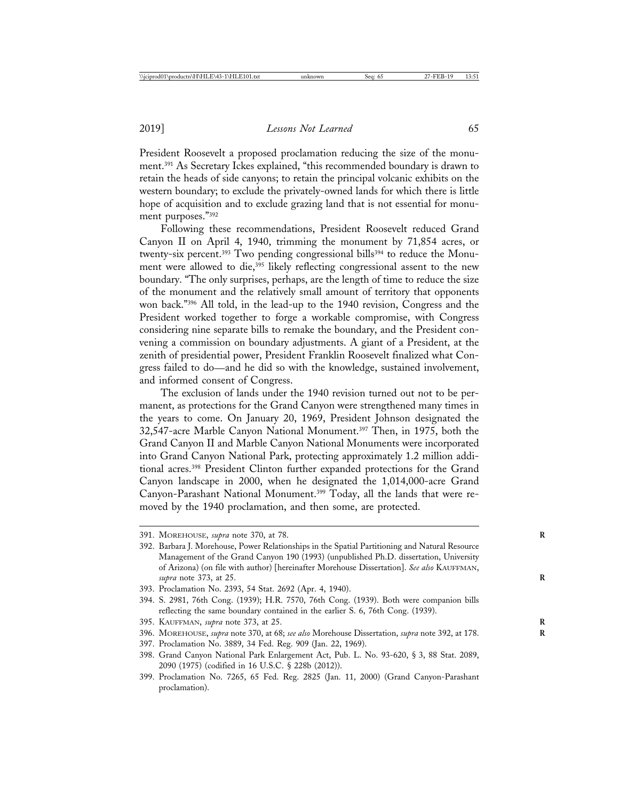President Roosevelt a proposed proclamation reducing the size of the monument.391 As Secretary Ickes explained, "this recommended boundary is drawn to retain the heads of side canyons; to retain the principal volcanic exhibits on the western boundary; to exclude the privately-owned lands for which there is little hope of acquisition and to exclude grazing land that is not essential for monument purposes."392

Following these recommendations, President Roosevelt reduced Grand Canyon II on April 4, 1940, trimming the monument by 71,854 acres, or twenty-six percent.<sup>393</sup> Two pending congressional bills<sup>394</sup> to reduce the Monument were allowed to die,<sup>395</sup> likely reflecting congressional assent to the new boundary. "The only surprises, perhaps, are the length of time to reduce the size of the monument and the relatively small amount of territory that opponents won back."396 All told, in the lead-up to the 1940 revision, Congress and the President worked together to forge a workable compromise, with Congress considering nine separate bills to remake the boundary, and the President convening a commission on boundary adjustments. A giant of a President, at the zenith of presidential power, President Franklin Roosevelt finalized what Congress failed to do—and he did so with the knowledge, sustained involvement, and informed consent of Congress.

The exclusion of lands under the 1940 revision turned out not to be permanent, as protections for the Grand Canyon were strengthened many times in the years to come. On January 20, 1969, President Johnson designated the 32,547-acre Marble Canyon National Monument.397 Then, in 1975, both the Grand Canyon II and Marble Canyon National Monuments were incorporated into Grand Canyon National Park, protecting approximately 1.2 million additional acres.398 President Clinton further expanded protections for the Grand Canyon landscape in 2000, when he designated the 1,014,000-acre Grand Canyon-Parashant National Monument.399 Today, all the lands that were removed by the 1940 proclamation, and then some, are protected.

- 395. KAUFFMAN, *supra* note 373, at 25. **R**
- 396. MOREHOUSE, *supra* note 370, at 68; *see also* Morehouse Dissertation, *supra* note 392, at 178. **R**
- 397. Proclamation No. 3889, 34 Fed. Reg. 909 (Jan. 22, 1969).
- 398. Grand Canyon National Park Enlargement Act, Pub. L. No. 93-620, § 3, 88 Stat. 2089, 2090 (1975) (codified in 16 U.S.C. § 228b (2012)).
- 399. Proclamation No. 7265, 65 Fed. Reg. 2825 (Jan. 11, 2000) (Grand Canyon-Parashant proclamation).

<sup>391.</sup> MOREHOUSE, *supra* note 370, at 78. **R**

<sup>392.</sup> Barbara J. Morehouse, Power Relationships in the Spatial Partitioning and Natural Resource Management of the Grand Canyon 190 (1993) (unpublished Ph.D. dissertation, University of Arizona) (on file with author) [hereinafter Morehouse Dissertation]. *See also* KAUFFMAN, *supra* note 373, at 25. **R**

<sup>393.</sup> Proclamation No. 2393, 54 Stat. 2692 (Apr. 4, 1940).

<sup>394.</sup> S. 2981, 76th Cong. (1939); H.R. 7570, 76th Cong. (1939). Both were companion bills reflecting the same boundary contained in the earlier S. 6, 76th Cong. (1939).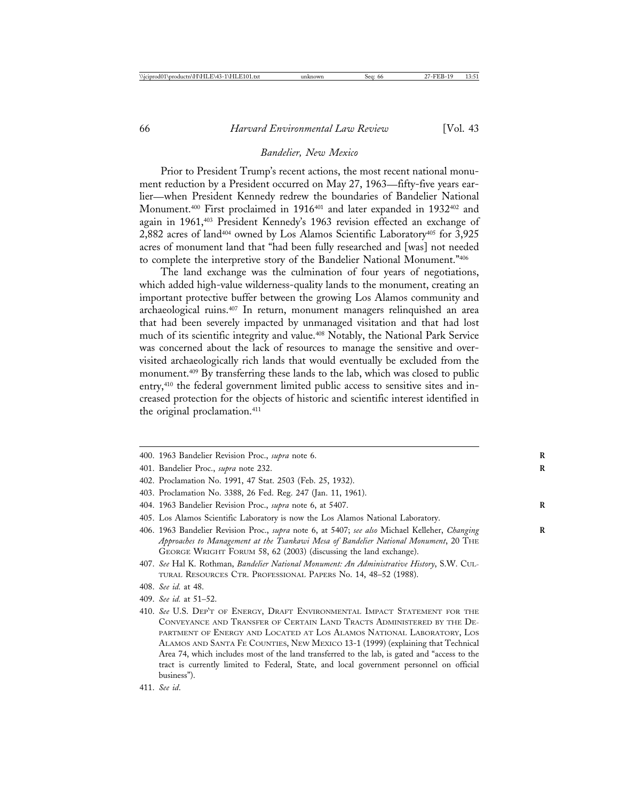## *Bandelier, New Mexico*

Prior to President Trump's recent actions, the most recent national monument reduction by a President occurred on May 27, 1963—fifty-five years earlier—when President Kennedy redrew the boundaries of Bandelier National Monument.<sup>400</sup> First proclaimed in 1916<sup>401</sup> and later expanded in 1932<sup>402</sup> and again in 1961,403 President Kennedy's 1963 revision effected an exchange of 2,882 acres of land404 owned by Los Alamos Scientific Laboratory405 for 3,925 acres of monument land that "had been fully researched and [was] not needed to complete the interpretive story of the Bandelier National Monument."406

The land exchange was the culmination of four years of negotiations, which added high-value wilderness-quality lands to the monument, creating an important protective buffer between the growing Los Alamos community and archaeological ruins.407 In return, monument managers relinquished an area that had been severely impacted by unmanaged visitation and that had lost much of its scientific integrity and value.408 Notably, the National Park Service was concerned about the lack of resources to manage the sensitive and overvisited archaeologically rich lands that would eventually be excluded from the monument.409 By transferring these lands to the lab, which was closed to public entry,<sup>410</sup> the federal government limited public access to sensitive sites and increased protection for the objects of historic and scientific interest identified in the original proclamation.<sup>411</sup>

400. 1963 Bandelier Revision Proc., *supra* note 6. **R**

- 402. Proclamation No. 1991, 47 Stat. 2503 (Feb. 25, 1932).
- 403. Proclamation No. 3388, 26 Fed. Reg. 247 (Jan. 11, 1961).
- 404. 1963 Bandelier Revision Proc., *supra* note 6, at 5407. **R**
- 405. Los Alamos Scientific Laboratory is now the Los Alamos National Laboratory.
- 406. 1963 Bandelier Revision Proc., *supra* note 6, at 5407; *see also* Michael Kelleher, *Changing* **R** *Approaches to Management at the Tsankawi Mesa of Bandelier National Monument*, 20 THE GEORGE WRIGHT FORUM 58, 62 (2003) (discussing the land exchange).
- 407. *See* Hal K. Rothman, *Bandelier National Monument: An Administrative History*, S.W. CUL-TURAL RESOURCES CTR. PROFESSIONAL PAPERS No. 14, 48–52 (1988).
- 408. *See id.* at 48.
- 409. *See id.* at 51–52.
- 410. *See* U.S. DEP'T OF ENERGY, DRAFT ENVIRONMENTAL IMPACT STATEMENT FOR THE CONVEYANCE AND TRANSFER OF CERTAIN LAND TRACTS ADMINISTERED BY THE DE-PARTMENT OF ENERGY AND LOCATED AT LOS ALAMOS NATIONAL LABORATORY, LOS ALAMOS AND SANTA FE COUNTIES, NEW MEXICO 13-1 (1999) (explaining that Technical Area 74, which includes most of the land transferred to the lab, is gated and "access to the tract is currently limited to Federal, State, and local government personnel on official business").
- 411. *See id*.

<sup>401.</sup> Bandelier Proc., *supra* note 232. **R**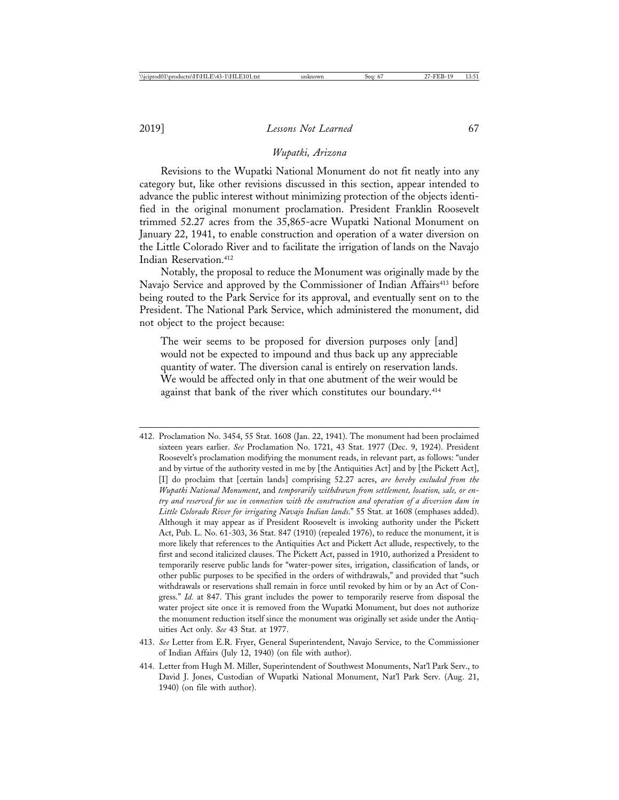#### *Wupatki, Arizona*

Revisions to the Wupatki National Monument do not fit neatly into any category but, like other revisions discussed in this section, appear intended to advance the public interest without minimizing protection of the objects identified in the original monument proclamation. President Franklin Roosevelt trimmed 52.27 acres from the 35,865-acre Wupatki National Monument on January 22, 1941, to enable construction and operation of a water diversion on the Little Colorado River and to facilitate the irrigation of lands on the Navajo Indian Reservation.<sup>412</sup>

Notably, the proposal to reduce the Monument was originally made by the Navajo Service and approved by the Commissioner of Indian Affairs<sup>413</sup> before being routed to the Park Service for its approval, and eventually sent on to the President. The National Park Service, which administered the monument, did not object to the project because:

The weir seems to be proposed for diversion purposes only [and] would not be expected to impound and thus back up any appreciable quantity of water. The diversion canal is entirely on reservation lands. We would be affected only in that one abutment of the weir would be against that bank of the river which constitutes our boundary.<sup>414</sup>

- 412. Proclamation No. 3454, 55 Stat. 1608 (Jan. 22, 1941). The monument had been proclaimed sixteen years earlier. *See* Proclamation No. 1721, 43 Stat. 1977 (Dec. 9, 1924). President Roosevelt's proclamation modifying the monument reads, in relevant part, as follows: "under and by virtue of the authority vested in me by [the Antiquities Act] and by [the Pickett Act], [I] do proclaim that [certain lands] comprising 52.27 acres, *are hereby excluded from the Wupatki National Monument*, and *temporarily withdrawn from settlement, location, sale, or entry and reserved for use in connection with the construction and operation of a diversion dam in Little Colorado River for irrigating Navajo Indian lands*." 55 Stat. at 1608 (emphases added). Although it may appear as if President Roosevelt is invoking authority under the Pickett Act, Pub. L. No. 61-303, 36 Stat. 847 (1910) (repealed 1976), to reduce the monument, it is more likely that references to the Antiquities Act and Pickett Act allude, respectively, to the first and second italicized clauses. The Pickett Act, passed in 1910, authorized a President to temporarily reserve public lands for "water-power sites, irrigation, classification of lands, or other public purposes to be specified in the orders of withdrawals," and provided that "such withdrawals or reservations shall remain in force until revoked by him or by an Act of Congress." *Id.* at 847. This grant includes the power to temporarily reserve from disposal the water project site once it is removed from the Wupatki Monument, but does not authorize the monument reduction itself since the monument was originally set aside under the Antiquities Act only. *See* 43 Stat. at 1977.
- 413. *See* Letter from E.R. Fryer, General Superintendent, Navajo Service, to the Commissioner of Indian Affairs (July 12, 1940) (on file with author).
- 414. Letter from Hugh M. Miller, Superintendent of Southwest Monuments, Nat'l Park Serv., to David J. Jones, Custodian of Wupatki National Monument, Nat'l Park Serv. (Aug. 21, 1940) (on file with author).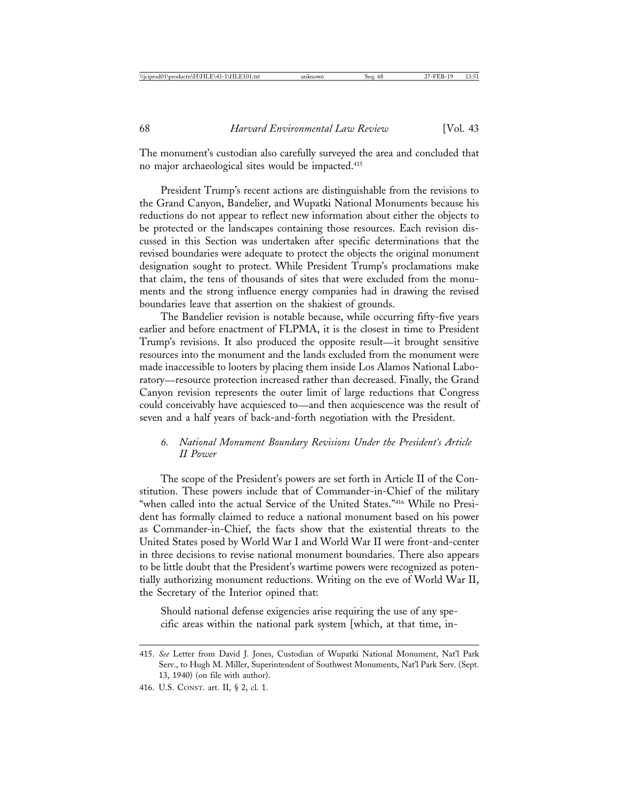The monument's custodian also carefully surveyed the area and concluded that no major archaeological sites would be impacted.415

President Trump's recent actions are distinguishable from the revisions to the Grand Canyon, Bandelier, and Wupatki National Monuments because his reductions do not appear to reflect new information about either the objects to be protected or the landscapes containing those resources. Each revision discussed in this Section was undertaken after specific determinations that the revised boundaries were adequate to protect the objects the original monument designation sought to protect. While President Trump's proclamations make that claim, the tens of thousands of sites that were excluded from the monuments and the strong influence energy companies had in drawing the revised boundaries leave that assertion on the shakiest of grounds.

The Bandelier revision is notable because, while occurring fifty-five years earlier and before enactment of FLPMA, it is the closest in time to President Trump's revisions. It also produced the opposite result—it brought sensitive resources into the monument and the lands excluded from the monument were made inaccessible to looters by placing them inside Los Alamos National Laboratory—resource protection increased rather than decreased. Finally, the Grand Canyon revision represents the outer limit of large reductions that Congress could conceivably have acquiesced to—and then acquiescence was the result of seven and a half years of back-and-forth negotiation with the President.

# *6. National Monument Boundary Revisions Under the President's Article II Power*

The scope of the President's powers are set forth in Article II of the Constitution. These powers include that of Commander-in-Chief of the military "when called into the actual Service of the United States."416 While no President has formally claimed to reduce a national monument based on his power as Commander-in-Chief, the facts show that the existential threats to the United States posed by World War I and World War II were front-and-center in three decisions to revise national monument boundaries. There also appears to be little doubt that the President's wartime powers were recognized as potentially authorizing monument reductions. Writing on the eve of World War II, the Secretary of the Interior opined that:

Should national defense exigencies arise requiring the use of any specific areas within the national park system [which, at that time, in-

<sup>415.</sup> *See* Letter from David J. Jones, Custodian of Wupatki National Monument, Nat'l Park Serv., to Hugh M. Miller, Superintendent of Southwest Monuments, Nat'l Park Serv. (Sept. 13, 1940) (on file with author).

<sup>416.</sup> U.S. CONST. art. II, § 2, cl. 1.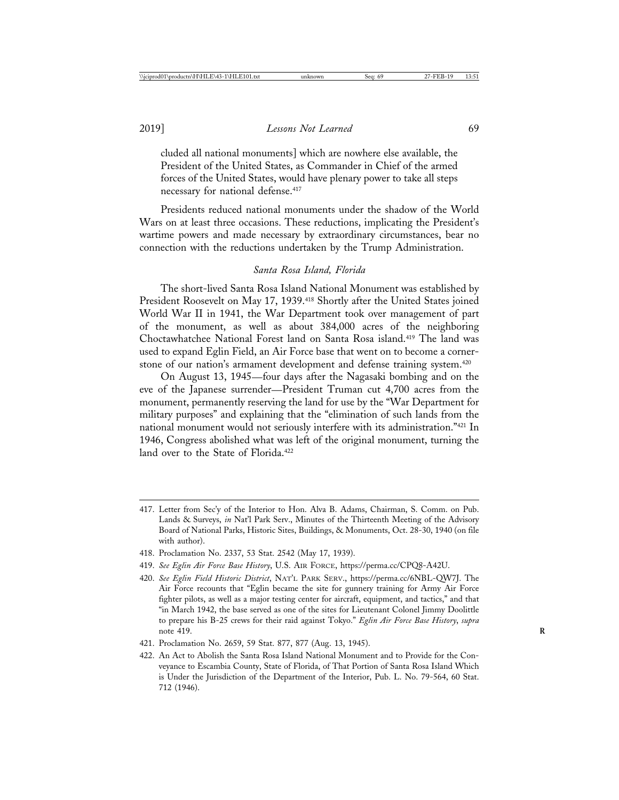cluded all national monuments] which are nowhere else available, the President of the United States, as Commander in Chief of the armed forces of the United States, would have plenary power to take all steps necessary for national defense.417

Presidents reduced national monuments under the shadow of the World Wars on at least three occasions. These reductions, implicating the President's wartime powers and made necessary by extraordinary circumstances, bear no connection with the reductions undertaken by the Trump Administration.

#### *Santa Rosa Island, Florida*

The short-lived Santa Rosa Island National Monument was established by President Roosevelt on May 17, 1939.<sup>418</sup> Shortly after the United States joined World War II in 1941, the War Department took over management of part of the monument, as well as about 384,000 acres of the neighboring Choctawhatchee National Forest land on Santa Rosa island.419 The land was used to expand Eglin Field, an Air Force base that went on to become a cornerstone of our nation's armament development and defense training system.<sup>420</sup>

On August 13, 1945—four days after the Nagasaki bombing and on the eve of the Japanese surrender—President Truman cut 4,700 acres from the monument, permanently reserving the land for use by the "War Department for military purposes" and explaining that the "elimination of such lands from the national monument would not seriously interfere with its administration."421 In 1946, Congress abolished what was left of the original monument, turning the land over to the State of Florida.<sup>422</sup>

- 418. Proclamation No. 2337, 53 Stat. 2542 (May 17, 1939).
- 419. *See Eglin Air Force Base History*, U.S. AIR FORCE, https://perma.cc/CPQ8-A42U.
- 420. *See Eglin Field Historic District*, NAT'L PARK SERV., https://perma.cc/6NBL-QW7J. The Air Force recounts that "Eglin became the site for gunnery training for Army Air Force fighter pilots, as well as a major testing center for aircraft, equipment, and tactics," and that "in March 1942, the base served as one of the sites for Lieutenant Colonel Jimmy Doolittle to prepare his B-25 crews for their raid against Tokyo." *Eglin Air Force Base History*, *supra* note 419.
- 421. Proclamation No. 2659, 59 Stat. 877, 877 (Aug. 13, 1945).
- 422. An Act to Abolish the Santa Rosa Island National Monument and to Provide for the Conveyance to Escambia County, State of Florida, of That Portion of Santa Rosa Island Which is Under the Jurisdiction of the Department of the Interior, Pub. L. No. 79-564, 60 Stat. 712 (1946).

<sup>417.</sup> Letter from Sec'y of the Interior to Hon. Alva B. Adams, Chairman, S. Comm. on Pub. Lands & Surveys, *in* Nat'l Park Serv., Minutes of the Thirteenth Meeting of the Advisory Board of National Parks, Historic Sites, Buildings, & Monuments, Oct. 28-30, 1940 (on file with author).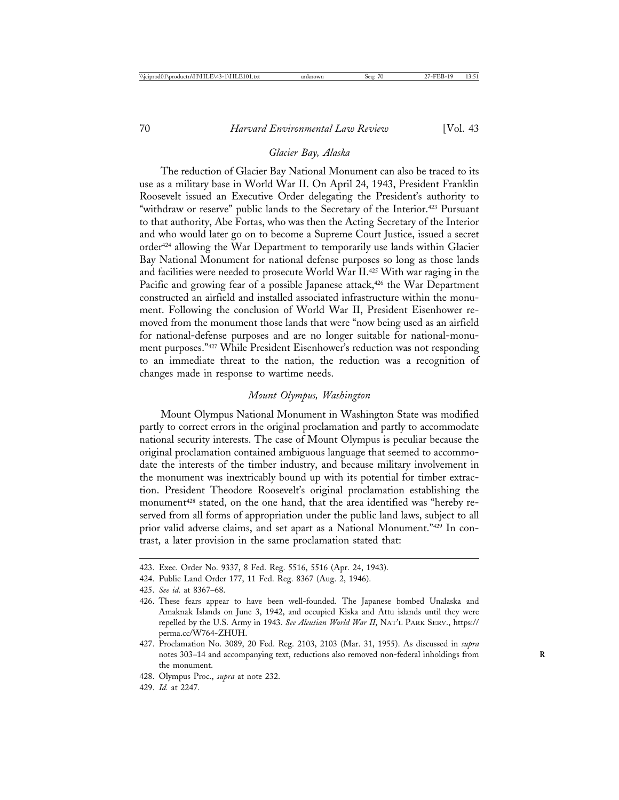### *Glacier Bay, Alaska*

The reduction of Glacier Bay National Monument can also be traced to its use as a military base in World War II. On April 24, 1943, President Franklin Roosevelt issued an Executive Order delegating the President's authority to "withdraw or reserve" public lands to the Secretary of the Interior.<sup>423</sup> Pursuant to that authority, Abe Fortas, who was then the Acting Secretary of the Interior and who would later go on to become a Supreme Court Justice, issued a secret order424 allowing the War Department to temporarily use lands within Glacier Bay National Monument for national defense purposes so long as those lands and facilities were needed to prosecute World War II.425 With war raging in the Pacific and growing fear of a possible Japanese attack,<sup>426</sup> the War Department constructed an airfield and installed associated infrastructure within the monument. Following the conclusion of World War II, President Eisenhower removed from the monument those lands that were "now being used as an airfield for national-defense purposes and are no longer suitable for national-monument purposes."427 While President Eisenhower's reduction was not responding to an immediate threat to the nation, the reduction was a recognition of changes made in response to wartime needs.

### *Mount Olympus, Washington*

Mount Olympus National Monument in Washington State was modified partly to correct errors in the original proclamation and partly to accommodate national security interests. The case of Mount Olympus is peculiar because the original proclamation contained ambiguous language that seemed to accommodate the interests of the timber industry, and because military involvement in the monument was inextricably bound up with its potential for timber extraction. President Theodore Roosevelt's original proclamation establishing the monument<sup>428</sup> stated, on the one hand, that the area identified was "hereby reserved from all forms of appropriation under the public land laws, subject to all prior valid adverse claims, and set apart as a National Monument."429 In contrast, a later provision in the same proclamation stated that:

427. Proclamation No. 3089, 20 Fed. Reg. 2103, 2103 (Mar. 31, 1955). As discussed in *supra* notes 303–14 and accompanying text, reductions also removed non-federal inholdings from **R** the monument.

<sup>423.</sup> Exec. Order No. 9337, 8 Fed. Reg. 5516, 5516 (Apr. 24, 1943).

<sup>424.</sup> Public Land Order 177, 11 Fed. Reg. 8367 (Aug. 2, 1946).

<sup>425.</sup> *See id.* at 8367–68.

<sup>426.</sup> These fears appear to have been well-founded. The Japanese bombed Unalaska and Amaknak Islands on June 3, 1942, and occupied Kiska and Attu islands until they were repelled by the U.S. Army in 1943. *See Aleutian World War II*, NAT'L PARK SERV., https:// perma.cc/W764-ZHUH.

<sup>428.</sup> Olympus Proc., *supra* at note 232.

<sup>429.</sup> *Id.* at 2247.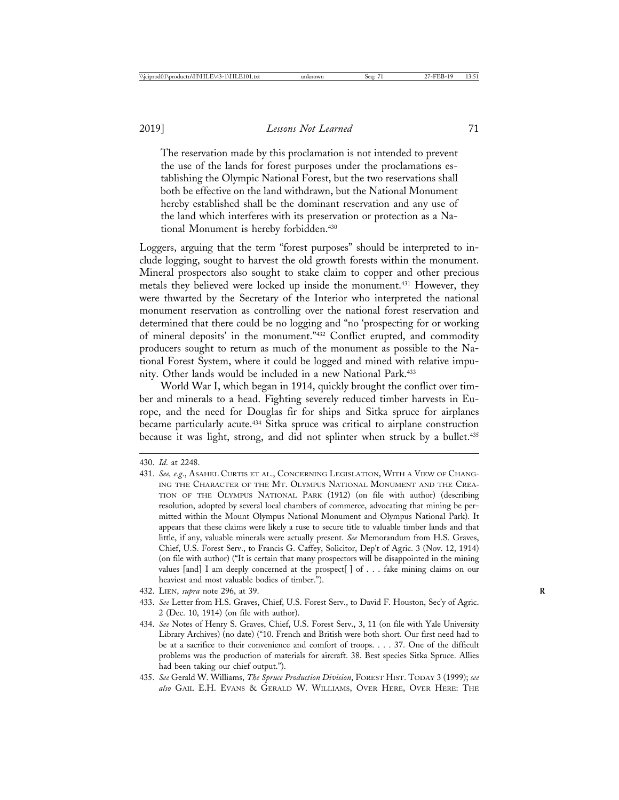The reservation made by this proclamation is not intended to prevent the use of the lands for forest purposes under the proclamations establishing the Olympic National Forest, but the two reservations shall both be effective on the land withdrawn, but the National Monument hereby established shall be the dominant reservation and any use of the land which interferes with its preservation or protection as a National Monument is hereby forbidden.430

Loggers, arguing that the term "forest purposes" should be interpreted to include logging, sought to harvest the old growth forests within the monument. Mineral prospectors also sought to stake claim to copper and other precious metals they believed were locked up inside the monument.431 However, they were thwarted by the Secretary of the Interior who interpreted the national monument reservation as controlling over the national forest reservation and determined that there could be no logging and "no 'prospecting for or working of mineral deposits' in the monument."432 Conflict erupted, and commodity producers sought to return as much of the monument as possible to the National Forest System, where it could be logged and mined with relative impunity. Other lands would be included in a new National Park.<sup>433</sup>

World War I, which began in 1914, quickly brought the conflict over timber and minerals to a head. Fighting severely reduced timber harvests in Europe, and the need for Douglas fir for ships and Sitka spruce for airplanes became particularly acute.434 Sitka spruce was critical to airplane construction because it was light, strong, and did not splinter when struck by a bullet.<sup>435</sup>

432. LIEN, *supra* note 296, at 39. **R**

435. *See* Gerald W. Williams, *The Spruce Production Division*, FOREST HIST. TODAY 3 (1999); *see also* GAIL E.H. EVANS & GERALD W. WILLIAMS, OVER HERE, OVER HERE: THE

<sup>430.</sup> *Id*. at 2248.

<sup>431.</sup> *See, e.g*., ASAHEL CURTIS ET AL., CONCERNING LEGISLATION, WITH A VIEW OF CHANG-ING THE CHARACTER OF THE MT. OLYMPUS NATIONAL MONUMENT AND THE CREA-TION OF THE OLYMPUS NATIONAL PARK (1912) (on file with author) (describing resolution, adopted by several local chambers of commerce, advocating that mining be permitted within the Mount Olympus National Monument and Olympus National Park). It appears that these claims were likely a ruse to secure title to valuable timber lands and that little, if any, valuable minerals were actually present. *See* Memorandum from H.S. Graves, Chief, U.S. Forest Serv., to Francis G. Caffey, Solicitor, Dep't of Agric. 3 (Nov. 12, 1914) (on file with author) ("It is certain that many prospectors will be disappointed in the mining values [and] I am deeply concerned at the prospect[ ] of . . . fake mining claims on our heaviest and most valuable bodies of timber.").

<sup>433.</sup> *See* Letter from H.S. Graves, Chief, U.S. Forest Serv., to David F. Houston, Sec'y of Agric. 2 (Dec. 10, 1914) (on file with author).

<sup>434.</sup> *See* Notes of Henry S. Graves, Chief, U.S. Forest Serv., 3, 11 (on file with Yale University Library Archives) (no date) ("10. French and British were both short. Our first need had to be at a sacrifice to their convenience and comfort of troops. . . . 37. One of the difficult problems was the production of materials for aircraft. 38. Best species Sitka Spruce. Allies had been taking our chief output.").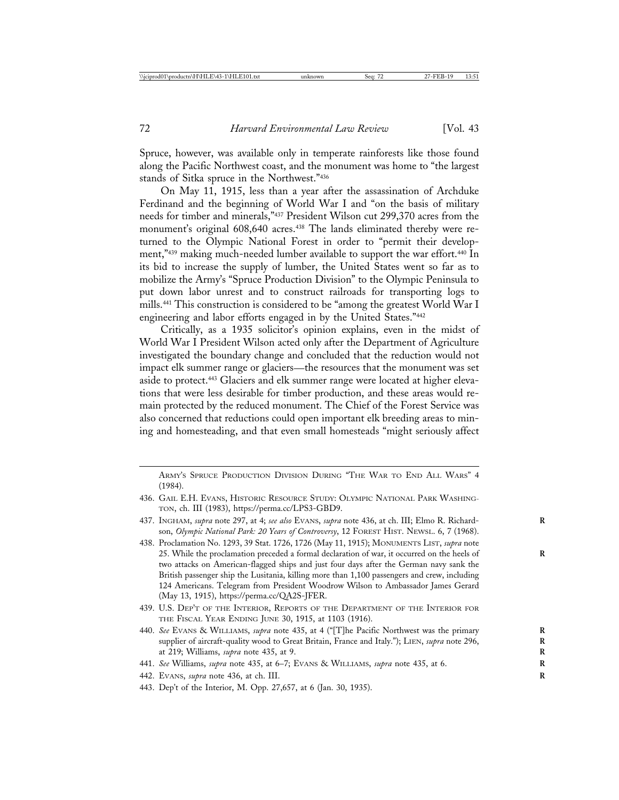Spruce, however, was available only in temperate rainforests like those found along the Pacific Northwest coast, and the monument was home to "the largest stands of Sitka spruce in the Northwest."436

On May 11, 1915, less than a year after the assassination of Archduke Ferdinand and the beginning of World War I and "on the basis of military needs for timber and minerals,"437 President Wilson cut 299,370 acres from the monument's original 608,640 acres.<sup>438</sup> The lands eliminated thereby were returned to the Olympic National Forest in order to "permit their development,"439 making much-needed lumber available to support the war effort.<sup>440</sup> In its bid to increase the supply of lumber, the United States went so far as to mobilize the Army's "Spruce Production Division" to the Olympic Peninsula to put down labor unrest and to construct railroads for transporting logs to mills.441 This construction is considered to be "among the greatest World War I engineering and labor efforts engaged in by the United States."442

Critically, as a 1935 solicitor's opinion explains, even in the midst of World War I President Wilson acted only after the Department of Agriculture investigated the boundary change and concluded that the reduction would not impact elk summer range or glaciers—the resources that the monument was set aside to protect.443 Glaciers and elk summer range were located at higher elevations that were less desirable for timber production, and these areas would remain protected by the reduced monument. The Chief of the Forest Service was also concerned that reductions could open important elk breeding areas to mining and homesteading, and that even small homesteads "might seriously affect

ARMY'S SPRUCE PRODUCTION DIVISION DURING "THE WAR TO END ALL WARS" 4 (1984).

- 437. INGHAM, *supra* note 297, at 4; *see also* EVANS, *supra* note 436, at ch. III; Elmo R. Richard- **R** son, *Olympic National Park: 20 Years of Controversy*, 12 FOREST HIST. NEWSL. 6, 7 (1968).
- 438. Proclamation No. 1293, 39 Stat. 1726, 1726 (May 11, 1915); MONUMENTS LIST, *supra* note 25. While the proclamation preceded a formal declaration of war, it occurred on the heels of **R** two attacks on American-flagged ships and just four days after the German navy sank the British passenger ship the Lusitania, killing more than 1,100 passengers and crew, including 124 Americans. Telegram from President Woodrow Wilson to Ambassador James Gerard (May 13, 1915), https://perma.cc/QA2S-JFER.
- 439. U.S. DEP'T OF THE INTERIOR, REPORTS OF THE DEPARTMENT OF THE INTERIOR FOR THE FISCAL YEAR ENDING JUNE 30, 1915, at 1103 (1916).
- 440. *See* EVANS & WILLIAMS, *supra* note 435, at 4 ("[T]he Pacific Northwest was the primary **R** supplier of aircraft-quality wood to Great Britain, France and Italy."); LIEN, *supra* note 296, at 219; Williams, *supra* note 435, at 9. **R**
- 441. *See* Williams, *supra* note 435, at 6–7; EVANS & WILLIAMS, *supra* note 435, at 6. **R**
- 442. EVANS, *supra* note 436, at ch. III. **R**
- 443. Dep't of the Interior, M. Opp. 27,657, at 6 (Jan. 30, 1935).

<sup>436.</sup> GAIL E.H. EVANS, HISTORIC RESOURCE STUDY: OLYMPIC NATIONAL PARK WASHING-TON, ch. III (1983), https://perma.cc/LPS3-GBD9.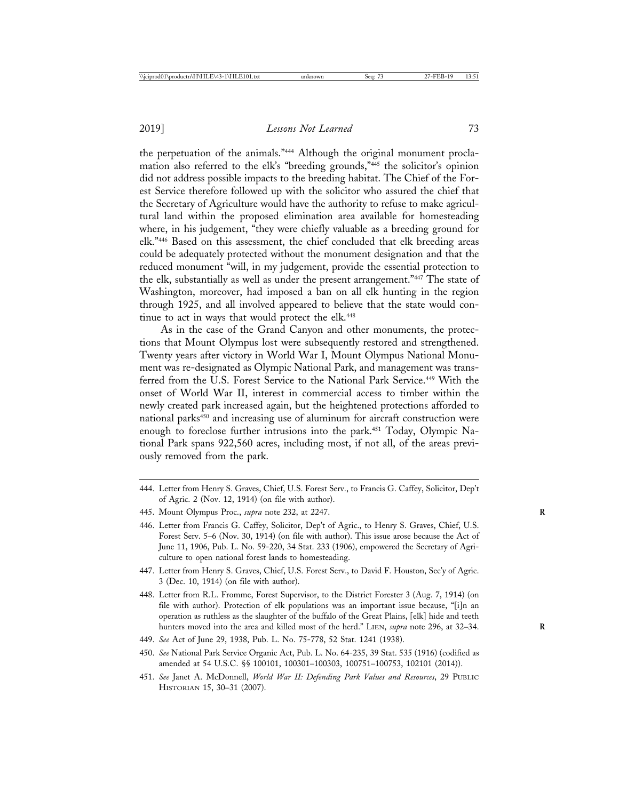the perpetuation of the animals."444 Although the original monument proclamation also referred to the elk's "breeding grounds,"445 the solicitor's opinion did not address possible impacts to the breeding habitat. The Chief of the Forest Service therefore followed up with the solicitor who assured the chief that the Secretary of Agriculture would have the authority to refuse to make agricultural land within the proposed elimination area available for homesteading where, in his judgement, "they were chiefly valuable as a breeding ground for elk."446 Based on this assessment, the chief concluded that elk breeding areas could be adequately protected without the monument designation and that the reduced monument "will, in my judgement, provide the essential protection to the elk, substantially as well as under the present arrangement."447 The state of Washington, moreover, had imposed a ban on all elk hunting in the region through 1925, and all involved appeared to believe that the state would continue to act in ways that would protect the elk.<sup>448</sup>

As in the case of the Grand Canyon and other monuments, the protections that Mount Olympus lost were subsequently restored and strengthened. Twenty years after victory in World War I, Mount Olympus National Monument was re-designated as Olympic National Park, and management was transferred from the U.S. Forest Service to the National Park Service.<sup>449</sup> With the onset of World War II, interest in commercial access to timber within the newly created park increased again, but the heightened protections afforded to national parks<sup>450</sup> and increasing use of aluminum for aircraft construction were enough to foreclose further intrusions into the park.<sup>451</sup> Today, Olympic National Park spans 922,560 acres, including most, if not all, of the areas previously removed from the park.

- 444. Letter from Henry S. Graves, Chief, U.S. Forest Serv., to Francis G. Caffey, Solicitor, Dep't of Agric. 2 (Nov. 12, 1914) (on file with author).
- 445. Mount Olympus Proc., *supra* note 232, at 2247. **R**
- 446. Letter from Francis G. Caffey, Solicitor, Dep't of Agric., to Henry S. Graves, Chief, U.S. Forest Serv. 5–6 (Nov. 30, 1914) (on file with author). This issue arose because the Act of June 11, 1906, Pub. L. No. 59-220, 34 Stat. 233 (1906), empowered the Secretary of Agriculture to open national forest lands to homesteading.
- 447. Letter from Henry S. Graves, Chief, U.S. Forest Serv., to David F. Houston, Sec'y of Agric. 3 (Dec. 10, 1914) (on file with author).
- 448. Letter from R.L. Fromme, Forest Supervisor, to the District Forester 3 (Aug. 7, 1914) (on file with author). Protection of elk populations was an important issue because, "[i]n an operation as ruthless as the slaughter of the buffalo of the Great Plains, [elk] hide and teeth hunters moved into the area and killed most of the herd." LIEN, *supra* note 296, at 32-34.
- 449. *See* Act of June 29, 1938, Pub. L. No. 75-778, 52 Stat. 1241 (1938).
- 450. *See* National Park Service Organic Act, Pub. L. No. 64-235, 39 Stat. 535 (1916) (codified as amended at 54 U.S.C. §§ 100101, 100301–100303, 100751–100753, 102101 (2014)).
- 451. *See* Janet A. McDonnell, *World War II: Defending Park Values and Resources*, 29 PUBLIC HISTORIAN 15, 30–31 (2007).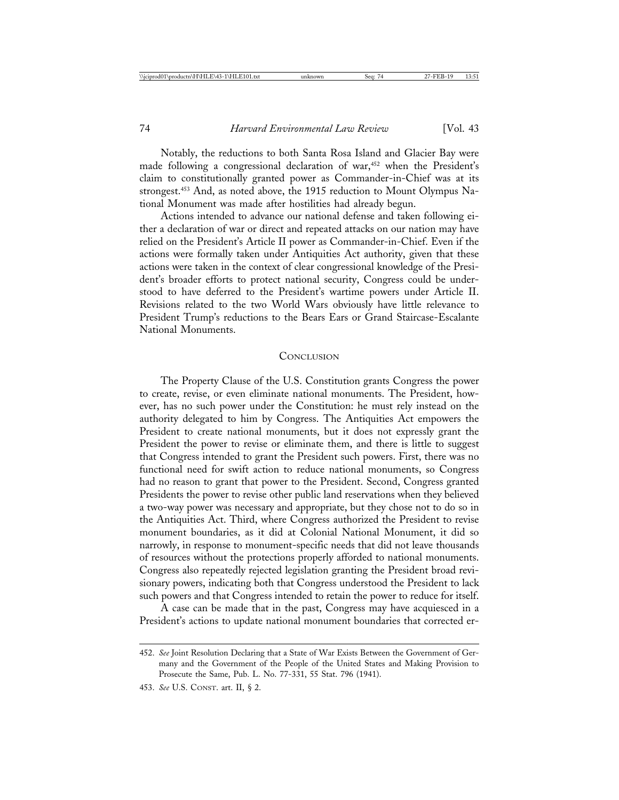Notably, the reductions to both Santa Rosa Island and Glacier Bay were made following a congressional declaration of war,<sup>452</sup> when the President's claim to constitutionally granted power as Commander-in-Chief was at its strongest.453 And, as noted above, the 1915 reduction to Mount Olympus National Monument was made after hostilities had already begun.

Actions intended to advance our national defense and taken following either a declaration of war or direct and repeated attacks on our nation may have relied on the President's Article II power as Commander-in-Chief. Even if the actions were formally taken under Antiquities Act authority, given that these actions were taken in the context of clear congressional knowledge of the President's broader efforts to protect national security, Congress could be understood to have deferred to the President's wartime powers under Article II. Revisions related to the two World Wars obviously have little relevance to President Trump's reductions to the Bears Ears or Grand Staircase-Escalante National Monuments.

## **CONCLUSION**

The Property Clause of the U.S. Constitution grants Congress the power to create, revise, or even eliminate national monuments. The President, however, has no such power under the Constitution: he must rely instead on the authority delegated to him by Congress. The Antiquities Act empowers the President to create national monuments, but it does not expressly grant the President the power to revise or eliminate them, and there is little to suggest that Congress intended to grant the President such powers. First, there was no functional need for swift action to reduce national monuments, so Congress had no reason to grant that power to the President. Second, Congress granted Presidents the power to revise other public land reservations when they believed a two-way power was necessary and appropriate, but they chose not to do so in the Antiquities Act. Third, where Congress authorized the President to revise monument boundaries, as it did at Colonial National Monument, it did so narrowly, in response to monument-specific needs that did not leave thousands of resources without the protections properly afforded to national monuments. Congress also repeatedly rejected legislation granting the President broad revisionary powers, indicating both that Congress understood the President to lack such powers and that Congress intended to retain the power to reduce for itself.

A case can be made that in the past, Congress may have acquiesced in a President's actions to update national monument boundaries that corrected er-

<sup>452.</sup> *See* Joint Resolution Declaring that a State of War Exists Between the Government of Germany and the Government of the People of the United States and Making Provision to Prosecute the Same, Pub. L. No. 77-331, 55 Stat. 796 (1941).

<sup>453.</sup> *See* U.S. CONST. art. II, § 2.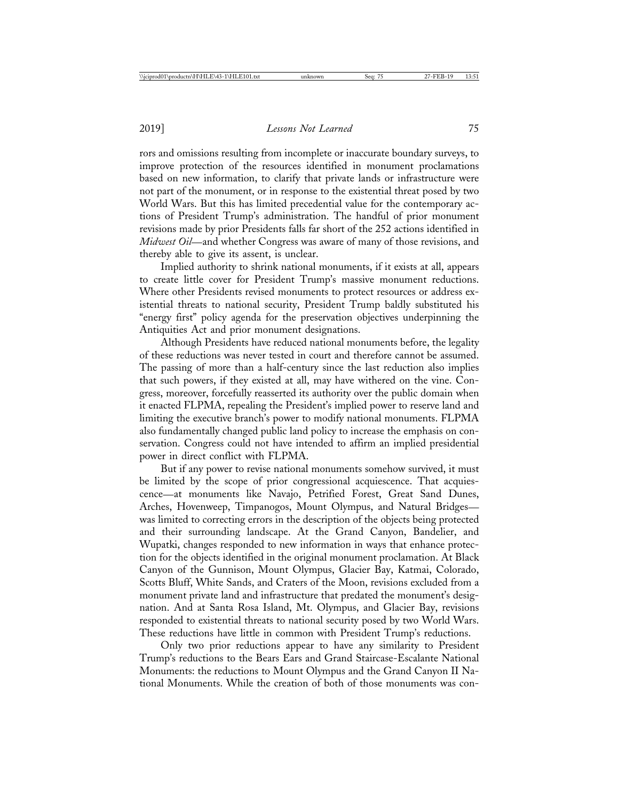rors and omissions resulting from incomplete or inaccurate boundary surveys, to improve protection of the resources identified in monument proclamations based on new information, to clarify that private lands or infrastructure were not part of the monument, or in response to the existential threat posed by two World Wars. But this has limited precedential value for the contemporary actions of President Trump's administration. The handful of prior monument revisions made by prior Presidents falls far short of the 252 actions identified in *Midwest Oil*—and whether Congress was aware of many of those revisions, and thereby able to give its assent, is unclear.

Implied authority to shrink national monuments, if it exists at all, appears to create little cover for President Trump's massive monument reductions. Where other Presidents revised monuments to protect resources or address existential threats to national security, President Trump baldly substituted his "energy first" policy agenda for the preservation objectives underpinning the Antiquities Act and prior monument designations.

Although Presidents have reduced national monuments before, the legality of these reductions was never tested in court and therefore cannot be assumed. The passing of more than a half-century since the last reduction also implies that such powers, if they existed at all, may have withered on the vine. Congress, moreover, forcefully reasserted its authority over the public domain when it enacted FLPMA, repealing the President's implied power to reserve land and limiting the executive branch's power to modify national monuments. FLPMA also fundamentally changed public land policy to increase the emphasis on conservation. Congress could not have intended to affirm an implied presidential power in direct conflict with FLPMA.

But if any power to revise national monuments somehow survived, it must be limited by the scope of prior congressional acquiescence. That acquiescence—at monuments like Navajo, Petrified Forest, Great Sand Dunes, Arches, Hovenweep, Timpanogos, Mount Olympus, and Natural Bridges was limited to correcting errors in the description of the objects being protected and their surrounding landscape. At the Grand Canyon, Bandelier, and Wupatki, changes responded to new information in ways that enhance protection for the objects identified in the original monument proclamation. At Black Canyon of the Gunnison, Mount Olympus, Glacier Bay, Katmai, Colorado, Scotts Bluff, White Sands, and Craters of the Moon, revisions excluded from a monument private land and infrastructure that predated the monument's designation. And at Santa Rosa Island, Mt. Olympus, and Glacier Bay, revisions responded to existential threats to national security posed by two World Wars. These reductions have little in common with President Trump's reductions.

Only two prior reductions appear to have any similarity to President Trump's reductions to the Bears Ears and Grand Staircase-Escalante National Monuments: the reductions to Mount Olympus and the Grand Canyon II National Monuments. While the creation of both of those monuments was con-